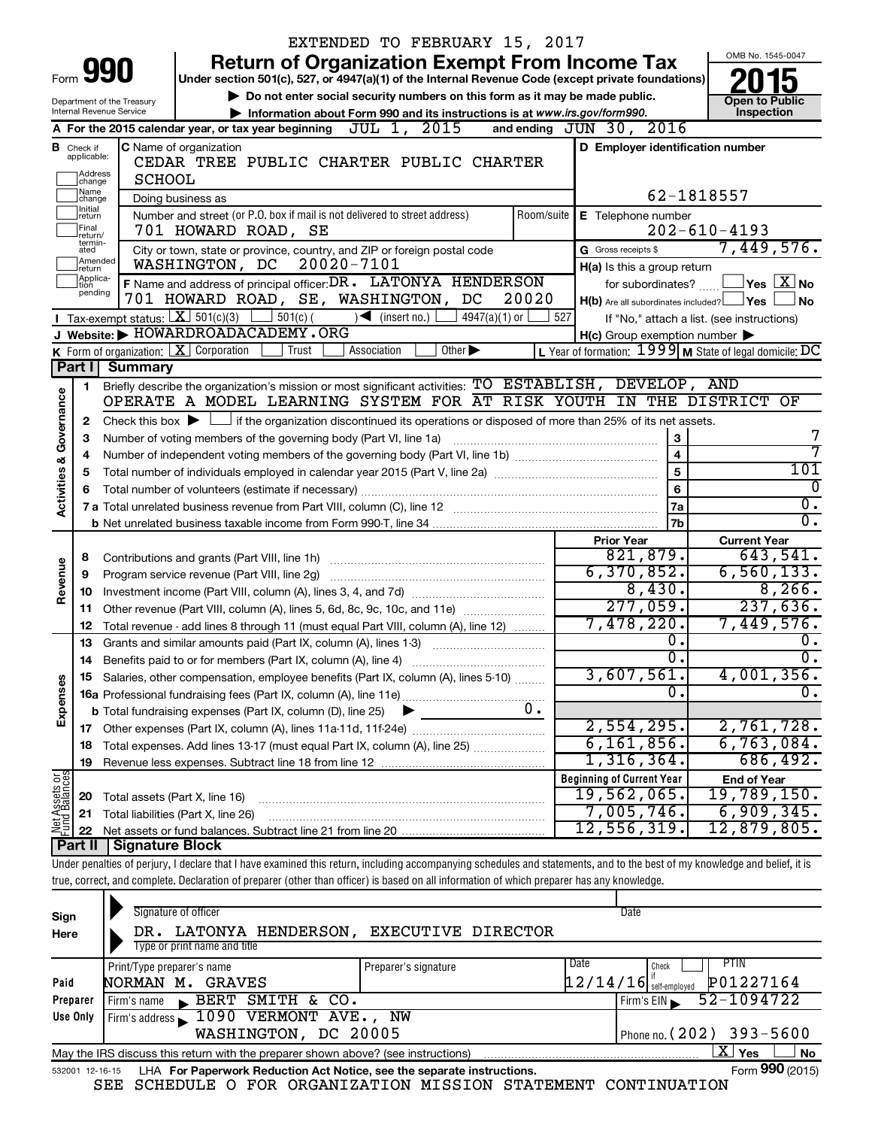|                                                                                                           |                                  | EXTENDED TO FEBRUARY 15, 2017                                                                                                                                              |            |                                                     |                                                                    |  |
|-----------------------------------------------------------------------------------------------------------|----------------------------------|----------------------------------------------------------------------------------------------------------------------------------------------------------------------------|------------|-----------------------------------------------------|--------------------------------------------------------------------|--|
|                                                                                                           |                                  | <b>Return of Organization Exempt From Income Tax</b>                                                                                                                       |            |                                                     | OMB No. 1545-0047                                                  |  |
| Form                                                                                                      |                                  | 990<br>Under section 501(c), 527, or 4947(a)(1) of the Internal Revenue Code (except private foundations)                                                                  |            |                                                     |                                                                    |  |
| Do not enter social security numbers on this form as it may be made public.<br>Department of the Treasury |                                  |                                                                                                                                                                            |            |                                                     |                                                                    |  |
| Internal Revenue Service<br>Information about Form 990 and its instructions is at www.irs.gov/form990.    |                                  |                                                                                                                                                                            |            |                                                     |                                                                    |  |
|                                                                                                           |                                  | A For the 2015 calendar year, or tax year beginning $JUL$ 1, $2015$                                                                                                        |            | and ending JUN 30, 2016                             |                                                                    |  |
|                                                                                                           | <b>B</b> Check if<br>applicable: | C Name of organization<br>CEDAR TREE PUBLIC CHARTER PUBLIC CHARTER                                                                                                         |            | D Employer identification number                    |                                                                    |  |
|                                                                                                           | ]Address<br>]change              | <b>SCHOOL</b>                                                                                                                                                              |            |                                                     |                                                                    |  |
|                                                                                                           | 1Name<br>change                  | Doing business as                                                                                                                                                          |            |                                                     | 62-1818557                                                         |  |
|                                                                                                           | Initial<br>return                | Number and street (or P.O. box if mail is not delivered to street address)                                                                                                 | Room/suite | <b>E</b> Telephone number                           |                                                                    |  |
|                                                                                                           | Final<br>return/                 | 701 HOWARD ROAD, SE                                                                                                                                                        |            |                                                     | $202 - 610 - 4193$                                                 |  |
|                                                                                                           | termin-<br>ated                  | City or town, state or province, country, and ZIP or foreign postal code                                                                                                   |            | G Gross receipts \$                                 | 7,449,576.                                                         |  |
|                                                                                                           | Amended<br>return                | 20020-7101<br>WASHINGTON, DC                                                                                                                                               |            | H(a) Is this a group return                         |                                                                    |  |
|                                                                                                           | Applica-<br>tion                 | F Name and address of principal officer: DR. LATONYA HENDERSON                                                                                                             |            | for subordinates? $\frac{1}{1}$                     | $\sqrt{\mathsf{Yes}\mathord{\;\mathbb{X}}\mathord{\;\mathsf{No}}}$ |  |
|                                                                                                           | pending                          | 701 HOWARD ROAD, SE, WASHINGTON, DC                                                                                                                                        | 20020      | $H(b)$ Are all subordinates included? $\Box$ Yes    | No                                                                 |  |
|                                                                                                           |                                  | <b>I</b> Tax-exempt status: $X \over 301(c)(3)$<br>$\frac{1}{2}$ 501(c) (<br>$\sqrt{\bullet}$ (insert no.)<br>$4947(a)(1)$ or                                              | 527        |                                                     | If "No," attach a list. (see instructions)                         |  |
|                                                                                                           |                                  | J Website: FIOWARDROADACADEMY.ORG                                                                                                                                          |            | $H(c)$ Group exemption number $\blacktriangleright$ |                                                                    |  |
|                                                                                                           |                                  | K Form of organization: $X$ Corporation<br>Trust<br>Association<br>Other $\blacktriangleright$                                                                             |            |                                                     | L Year of formation: $1999$ M State of legal domicile: DC          |  |
|                                                                                                           | Part I                           | <b>Summary</b>                                                                                                                                                             |            |                                                     |                                                                    |  |
|                                                                                                           | 1.                               | Briefly describe the organization's mission or most significant activities: TO ESTABLISH, DEVELOP, AND                                                                     |            |                                                     |                                                                    |  |
| Governance                                                                                                |                                  | OPERATE A MODEL LEARNING SYSTEM FOR AT RISK YOUTH IN THE DISTRICT OF                                                                                                       |            |                                                     |                                                                    |  |
|                                                                                                           | 2                                | Check this box $\blacktriangleright$ $\Box$ if the organization discontinued its operations or disposed of more than 25% of its net assets.                                |            |                                                     | 7                                                                  |  |
|                                                                                                           | з                                | Number of voting members of the governing body (Part VI, line 1a)                                                                                                          |            | 3<br>$\overline{\mathbf{4}}$                        | 7                                                                  |  |
|                                                                                                           | 4<br>5                           |                                                                                                                                                                            |            | 5                                                   | 101                                                                |  |
| <b>Activities &amp;</b>                                                                                   | 6                                |                                                                                                                                                                            |            | 6                                                   | 0                                                                  |  |
|                                                                                                           |                                  |                                                                                                                                                                            |            | 7a                                                  | Ο.                                                                 |  |
|                                                                                                           |                                  |                                                                                                                                                                            |            | 7b                                                  | σ.                                                                 |  |
|                                                                                                           |                                  |                                                                                                                                                                            |            | <b>Prior Year</b>                                   | <b>Current Year</b>                                                |  |
|                                                                                                           | 8                                | Contributions and grants (Part VIII, line 1h)                                                                                                                              |            | 821, 879.                                           | 643,541.                                                           |  |
| Revenue                                                                                                   | 9                                | Program service revenue (Part VIII, line 2g)                                                                                                                               |            | 6,370,852.                                          | 6,560,133.                                                         |  |
|                                                                                                           | 10                               |                                                                                                                                                                            |            | 8,430.                                              | 8,266.                                                             |  |
|                                                                                                           | 11                               | Other revenue (Part VIII, column (A), lines 5, 6d, 8c, 9c, 10c, and 11e)                                                                                                   |            | 277,059.                                            | 237,636.                                                           |  |
|                                                                                                           | 12                               | Total revenue - add lines 8 through 11 (must equal Part VIII, column (A), line 12)                                                                                         |            | 7,478,220.                                          | 7,449,576.                                                         |  |
|                                                                                                           | 13                               | Grants and similar amounts paid (Part IX, column (A), lines 1-3)                                                                                                           |            | 0.                                                  | О.                                                                 |  |
|                                                                                                           | 14                               | Benefits paid to or for members (Part IX, column (A), line 4)                                                                                                              |            | $\overline{0}$ .                                    | σ.                                                                 |  |
|                                                                                                           |                                  | 15 Salaries, other compensation, employee benefits (Part IX, column (A), lines 5-10)                                                                                       |            | 3,607,561.<br>0.                                    | 4,001,356.                                                         |  |
| Expenses                                                                                                  |                                  |                                                                                                                                                                            |            |                                                     | Ο.                                                                 |  |
|                                                                                                           |                                  | <b>b</b> Total fundraising expenses (Part IX, column (D), line 25)                                                                                                         | $0$ .      | 2,554,295.                                          | 2,761,728.                                                         |  |
|                                                                                                           |                                  | Total expenses. Add lines 13-17 (must equal Part IX, column (A), line 25)                                                                                                  |            | 6, 161, 856.                                        | 6,763,084.                                                         |  |
|                                                                                                           | 18<br>19                         |                                                                                                                                                                            |            | $1,316,364$ .                                       | 686,492.                                                           |  |
|                                                                                                           |                                  |                                                                                                                                                                            |            | <b>Beginning of Current Year</b>                    | <b>End of Year</b>                                                 |  |
|                                                                                                           | 20                               | Total assets (Part X, line 16)                                                                                                                                             |            | 19,562,065.                                         | $19,789,150$ .                                                     |  |
|                                                                                                           | 21                               | Total liabilities (Part X, line 26)                                                                                                                                        |            | 7,005,746.                                          | 6,909,345.                                                         |  |
| Net Assets or                                                                                             | 22                               |                                                                                                                                                                            |            | 12,556,319.                                         | 12,879,805.                                                        |  |
|                                                                                                           | Part II                          | <b>Signature Block</b>                                                                                                                                                     |            |                                                     |                                                                    |  |
|                                                                                                           |                                  | Under penalties of perjury, I declare that I have examined this return, including accompanying schedules and statements, and to the best of my knowledge and belief, it is |            |                                                     |                                                                    |  |
|                                                                                                           |                                  | true, correct, and complete. Declaration of preparer (other than officer) is based on all information of which preparer has any knowledge.                                 |            |                                                     |                                                                    |  |
|                                                                                                           |                                  |                                                                                                                                                                            |            |                                                     |                                                                    |  |
| Sign                                                                                                      |                                  | Signature of officer                                                                                                                                                       |            | Date                                                |                                                                    |  |

| -- <u>-</u><br>Here                                                                                         | LATONYA HENDERSON,<br>DR.<br>Type or print name and title                                                    | <b>EXECUTIVE DIRECTOR</b> |                                       |  |  |  |  |  |  |  |
|-------------------------------------------------------------------------------------------------------------|--------------------------------------------------------------------------------------------------------------|---------------------------|---------------------------------------|--|--|--|--|--|--|--|
|                                                                                                             | Print/Type preparer's name                                                                                   | Preparer's signature      | Date<br>PIIN<br>Check                 |  |  |  |  |  |  |  |
| Paid                                                                                                        | NORMAN M. GRAVES                                                                                             |                           | P01227164<br>$12/14/16$ self-employed |  |  |  |  |  |  |  |
| Preparer                                                                                                    | BERT SMITH & CO.<br>Firm's name                                                                              |                           | 52-1094722<br>Firm's EIN              |  |  |  |  |  |  |  |
| Use Only                                                                                                    | Firm's address 1090 VERMONT AVE., NW                                                                         |                           |                                       |  |  |  |  |  |  |  |
|                                                                                                             | WASHINGTON, DC 20005                                                                                         |                           | Phone no. $(202)$ 393-5600            |  |  |  |  |  |  |  |
| x.<br>Yes<br><b>No</b><br>May the IRS discuss this return with the preparer shown above? (see instructions) |                                                                                                              |                           |                                       |  |  |  |  |  |  |  |
|                                                                                                             | Form 990 (2015)<br>LHA For Paperwork Reduction Act Notice, see the separate instructions.<br>532001 12-16-15 |                           |                                       |  |  |  |  |  |  |  |

SEE SCHEDULE O FOR ORGANIZATION MISSION STATEMENT CONTINUATION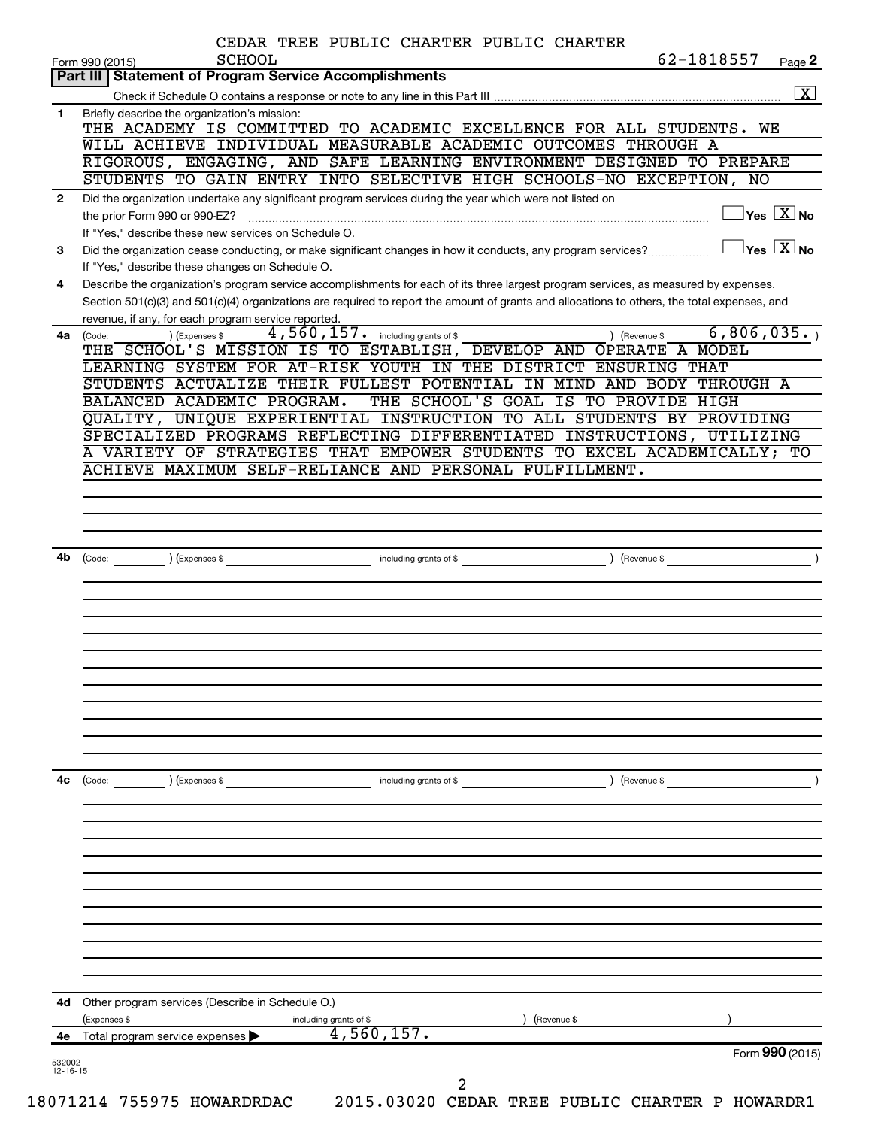|              | <b>SCHOOL</b><br>Form 990 (2015)                                                                                                             | CEDAR TREE PUBLIC CHARTER PUBLIC CHARTER |               | 62-1818557                          | Page 2                                    |
|--------------|----------------------------------------------------------------------------------------------------------------------------------------------|------------------------------------------|---------------|-------------------------------------|-------------------------------------------|
|              | Part III   Statement of Program Service Accomplishments                                                                                      |                                          |               |                                     |                                           |
|              |                                                                                                                                              |                                          |               |                                     | $\boxed{\text{X}}$                        |
| 1.           | Briefly describe the organization's mission:<br>THE ACADEMY IS COMMITTED TO ACADEMIC EXCELLENCE FOR ALL STUDENTS. WE                         |                                          |               |                                     |                                           |
|              | WILL ACHIEVE INDIVIDUAL MEASURABLE ACADEMIC OUTCOMES THROUGH A                                                                               |                                          |               |                                     |                                           |
|              | RIGOROUS, ENGAGING, AND SAFE LEARNING ENVIRONMENT DESIGNED TO PREPARE                                                                        |                                          |               |                                     |                                           |
|              | STUDENTS TO GAIN ENTRY INTO SELECTIVE HIGH SCHOOLS-NO EXCEPTION, NO                                                                          |                                          |               |                                     |                                           |
| $\mathbf{2}$ | Did the organization undertake any significant program services during the year which were not listed on                                     |                                          |               |                                     |                                           |
|              | the prior Form 990 or 990-EZ?                                                                                                                |                                          |               |                                     | $\overline{\ }$ Yes $\overline{\rm X}$ No |
|              | If "Yes," describe these new services on Schedule O.                                                                                         |                                          |               |                                     |                                           |
| 3            | Did the organization cease conducting, or make significant changes in how it conducts, any program services?                                 |                                          |               | $\exists$ Yes $\boxed{\text{X}}$ No |                                           |
|              | If "Yes," describe these changes on Schedule O.                                                                                              |                                          |               |                                     |                                           |
| 4            | Describe the organization's program service accomplishments for each of its three largest program services, as measured by expenses.         |                                          |               |                                     |                                           |
|              | Section 501(c)(3) and 501(c)(4) organizations are required to report the amount of grants and allocations to others, the total expenses, and |                                          |               |                                     |                                           |
|              | revenue, if any, for each program service reported.                                                                                          |                                          |               |                                     |                                           |
| 4a           | (Expenses \$<br>(Code:<br>THE SCHOOL'S MISSION IS TO ESTABLISH, DEVELOP AND OPERATE A MODEL                                                  | $4,560,157$ and including grants of \$   | ) (Revenue \$ | 6,806,035.)                         |                                           |
|              | LEARNING SYSTEM FOR AT-RISK YOUTH IN THE DISTRICT ENSURING THAT                                                                              |                                          |               |                                     |                                           |
|              | STUDENTS ACTUALIZE THEIR FULLEST POTENTIAL IN MIND AND BODY THROUGH A                                                                        |                                          |               |                                     |                                           |
|              | BALANCED ACADEMIC PROGRAM.                                                                                                                   | THE SCHOOL'S GOAL IS TO PROVIDE HIGH     |               |                                     |                                           |
|              | QUALITY, UNIQUE EXPERIENTIAL INSTRUCTION TO ALL STUDENTS BY PROVIDING                                                                        |                                          |               |                                     |                                           |
|              | SPECIALIZED PROGRAMS REFLECTING DIFFERENTIATED INSTRUCTIONS, UTILIZING                                                                       |                                          |               |                                     |                                           |
|              | A VARIETY OF STRATEGIES THAT EMPOWER STUDENTS TO EXCEL ACADEMICALLY; TO                                                                      |                                          |               |                                     |                                           |
|              | ACHIEVE MAXIMUM SELF-RELIANCE AND PERSONAL FULFILLMENT.                                                                                      |                                          |               |                                     |                                           |
|              |                                                                                                                                              |                                          |               |                                     |                                           |
|              |                                                                                                                                              |                                          |               |                                     |                                           |
|              |                                                                                                                                              |                                          |               |                                     |                                           |
|              |                                                                                                                                              |                                          |               |                                     |                                           |
| 4b           |                                                                                                                                              |                                          |               |                                     |                                           |
|              |                                                                                                                                              |                                          |               |                                     |                                           |
|              |                                                                                                                                              |                                          |               |                                     |                                           |
|              |                                                                                                                                              |                                          |               |                                     |                                           |
|              |                                                                                                                                              |                                          |               |                                     |                                           |
|              |                                                                                                                                              |                                          |               |                                     |                                           |
|              |                                                                                                                                              |                                          |               |                                     |                                           |
|              |                                                                                                                                              |                                          |               |                                     |                                           |
|              |                                                                                                                                              |                                          |               |                                     |                                           |
|              |                                                                                                                                              |                                          |               |                                     |                                           |
|              |                                                                                                                                              |                                          |               |                                     |                                           |
|              |                                                                                                                                              |                                          |               |                                     |                                           |
|              | (Code:<br>) (Expenses \$                                                                                                                     | including grants of \$                   | ) (Revenue \$ |                                     |                                           |
|              |                                                                                                                                              |                                          |               |                                     |                                           |
|              |                                                                                                                                              |                                          |               |                                     |                                           |
|              |                                                                                                                                              |                                          |               |                                     |                                           |
|              |                                                                                                                                              |                                          |               |                                     |                                           |
|              |                                                                                                                                              |                                          |               |                                     |                                           |
|              |                                                                                                                                              |                                          |               |                                     |                                           |
|              |                                                                                                                                              |                                          |               |                                     |                                           |
|              |                                                                                                                                              |                                          |               |                                     |                                           |
|              |                                                                                                                                              |                                          |               |                                     |                                           |
| 4с           |                                                                                                                                              |                                          |               |                                     |                                           |
|              | 4d Other program services (Describe in Schedule O.)                                                                                          |                                          |               |                                     |                                           |
|              | (Expenses \$                                                                                                                                 | including grants of \$                   | (Revenue \$   |                                     |                                           |
| 4е           | Total program service expenses                                                                                                               | 4,560,157.                               |               | Form 990 (2015)                     |                                           |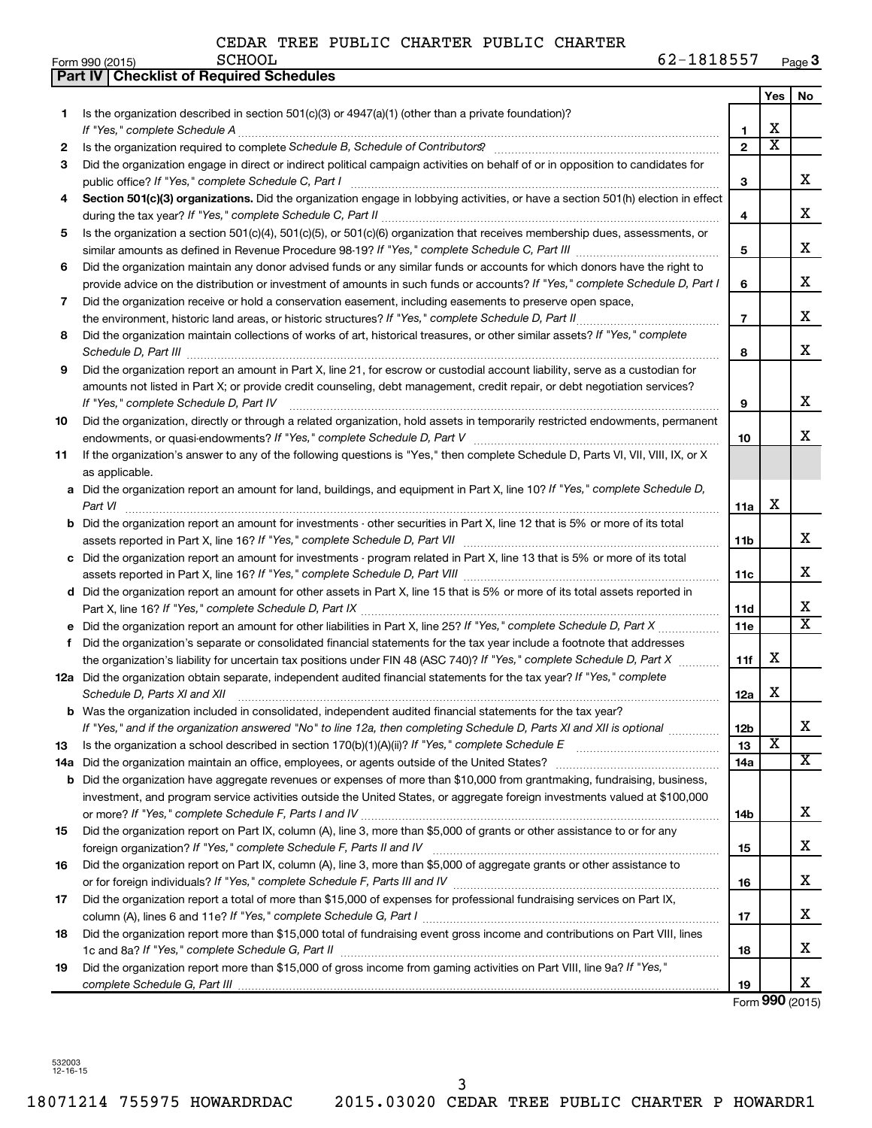|     | <b>Part IV   Checklist of Required Schedules</b>                                                                                                                                                                                    |                |                         |                         |
|-----|-------------------------------------------------------------------------------------------------------------------------------------------------------------------------------------------------------------------------------------|----------------|-------------------------|-------------------------|
|     |                                                                                                                                                                                                                                     |                | <b>Yes</b>              | No.                     |
| 1.  | Is the organization described in section $501(c)(3)$ or $4947(a)(1)$ (other than a private foundation)?                                                                                                                             |                |                         |                         |
|     |                                                                                                                                                                                                                                     | 1              | х                       |                         |
| 2   |                                                                                                                                                                                                                                     | $\overline{2}$ | $\overline{\texttt{x}}$ |                         |
| З   | Did the organization engage in direct or indirect political campaign activities on behalf of or in opposition to candidates for                                                                                                     |                |                         |                         |
|     |                                                                                                                                                                                                                                     | 3              |                         | x                       |
| 4   | Section 501(c)(3) organizations. Did the organization engage in lobbying activities, or have a section 501(h) election in effect                                                                                                    |                |                         |                         |
|     |                                                                                                                                                                                                                                     | 4              |                         | х                       |
| 5   | Is the organization a section 501(c)(4), 501(c)(5), or 501(c)(6) organization that receives membership dues, assessments, or                                                                                                        |                |                         |                         |
|     |                                                                                                                                                                                                                                     | 5              |                         | x                       |
| 6   | Did the organization maintain any donor advised funds or any similar funds or accounts for which donors have the right to                                                                                                           |                |                         |                         |
|     | provide advice on the distribution or investment of amounts in such funds or accounts? If "Yes," complete Schedule D, Part I                                                                                                        | 6              |                         | x                       |
| 7   | Did the organization receive or hold a conservation easement, including easements to preserve open space,                                                                                                                           |                |                         |                         |
|     |                                                                                                                                                                                                                                     | $\overline{7}$ |                         | х                       |
| 8   | Did the organization maintain collections of works of art, historical treasures, or other similar assets? If "Yes," complete                                                                                                        |                |                         |                         |
|     | Schedule D, Part III <b>Marting Community</b> Construction of the Construction of the Construction of the Construction of the Construction of the Construction of the Construction of the Construction of the Construction of the C | 8              |                         | х                       |
| 9   | Did the organization report an amount in Part X, line 21, for escrow or custodial account liability, serve as a custodian for                                                                                                       |                |                         |                         |
|     | amounts not listed in Part X; or provide credit counseling, debt management, credit repair, or debt negotiation services?                                                                                                           |                |                         |                         |
|     |                                                                                                                                                                                                                                     | 9              |                         | x                       |
| 10  | Did the organization, directly or through a related organization, hold assets in temporarily restricted endowments, permanent                                                                                                       |                |                         |                         |
|     |                                                                                                                                                                                                                                     | 10             |                         | x                       |
| 11  | If the organization's answer to any of the following questions is "Yes," then complete Schedule D, Parts VI, VII, VIII, IX, or X                                                                                                    |                |                         |                         |
|     | as applicable.                                                                                                                                                                                                                      |                |                         |                         |
|     | a Did the organization report an amount for land, buildings, and equipment in Part X, line 10? If "Yes," complete Schedule D,                                                                                                       |                |                         |                         |
|     | Part VI                                                                                                                                                                                                                             | 11a            | х                       |                         |
|     | <b>b</b> Did the organization report an amount for investments - other securities in Part X, line 12 that is 5% or more of its total                                                                                                |                |                         |                         |
|     |                                                                                                                                                                                                                                     | 11b            |                         | х                       |
|     | c Did the organization report an amount for investments - program related in Part X, line 13 that is 5% or more of its total                                                                                                        |                |                         |                         |
|     |                                                                                                                                                                                                                                     | 11c            |                         | x                       |
|     | d Did the organization report an amount for other assets in Part X, line 15 that is 5% or more of its total assets reported in                                                                                                      |                |                         |                         |
|     |                                                                                                                                                                                                                                     | 11d            |                         | х                       |
|     |                                                                                                                                                                                                                                     | 11e            |                         | $\overline{\texttt{x}}$ |
| f   | Did the organization's separate or consolidated financial statements for the tax year include a footnote that addresses                                                                                                             |                |                         |                         |
|     | the organization's liability for uncertain tax positions under FIN 48 (ASC 740)? If "Yes," complete Schedule D, Part X                                                                                                              | 11f            | х                       |                         |
|     | 12a Did the organization obtain separate, independent audited financial statements for the tax year? If "Yes," complete                                                                                                             |                |                         |                         |
|     | Schedule D, Parts XI and XII                                                                                                                                                                                                        | 12a            | х                       |                         |
|     | <b>b</b> Was the organization included in consolidated, independent audited financial statements for the tax year?                                                                                                                  |                |                         |                         |
|     | If "Yes," and if the organization answered "No" to line 12a, then completing Schedule D, Parts XI and XII is optional                                                                                                               | 12b            |                         | x                       |
| 13  |                                                                                                                                                                                                                                     | 13             | X                       |                         |
| 14a |                                                                                                                                                                                                                                     | 14a            |                         | $\overline{\mathbf{x}}$ |
|     | <b>b</b> Did the organization have aggregate revenues or expenses of more than \$10,000 from grantmaking, fundraising, business,                                                                                                    |                |                         |                         |
|     | investment, and program service activities outside the United States, or aggregate foreign investments valued at \$100,000                                                                                                          |                |                         |                         |
|     |                                                                                                                                                                                                                                     | 14b            |                         | x                       |
| 15  | Did the organization report on Part IX, column (A), line 3, more than \$5,000 of grants or other assistance to or for any                                                                                                           |                |                         |                         |
|     |                                                                                                                                                                                                                                     | 15             |                         | x                       |
| 16  | Did the organization report on Part IX, column (A), line 3, more than \$5,000 of aggregate grants or other assistance to                                                                                                            |                |                         |                         |
|     |                                                                                                                                                                                                                                     | 16             |                         | x                       |
| 17  | Did the organization report a total of more than \$15,000 of expenses for professional fundraising services on Part IX,                                                                                                             |                |                         |                         |
|     |                                                                                                                                                                                                                                     | 17             |                         | x                       |
| 18  | Did the organization report more than \$15,000 total of fundraising event gross income and contributions on Part VIII. lines                                                                                                        |                |                         |                         |
|     |                                                                                                                                                                                                                                     | 18             |                         | x                       |
| 19  | Did the organization report more than \$15,000 of gross income from gaming activities on Part VIII, line 9a? If "Yes,"                                                                                                              |                |                         |                         |
|     |                                                                                                                                                                                                                                     | 19             |                         | X                       |

Form **990** (2015)

532003 12-16-15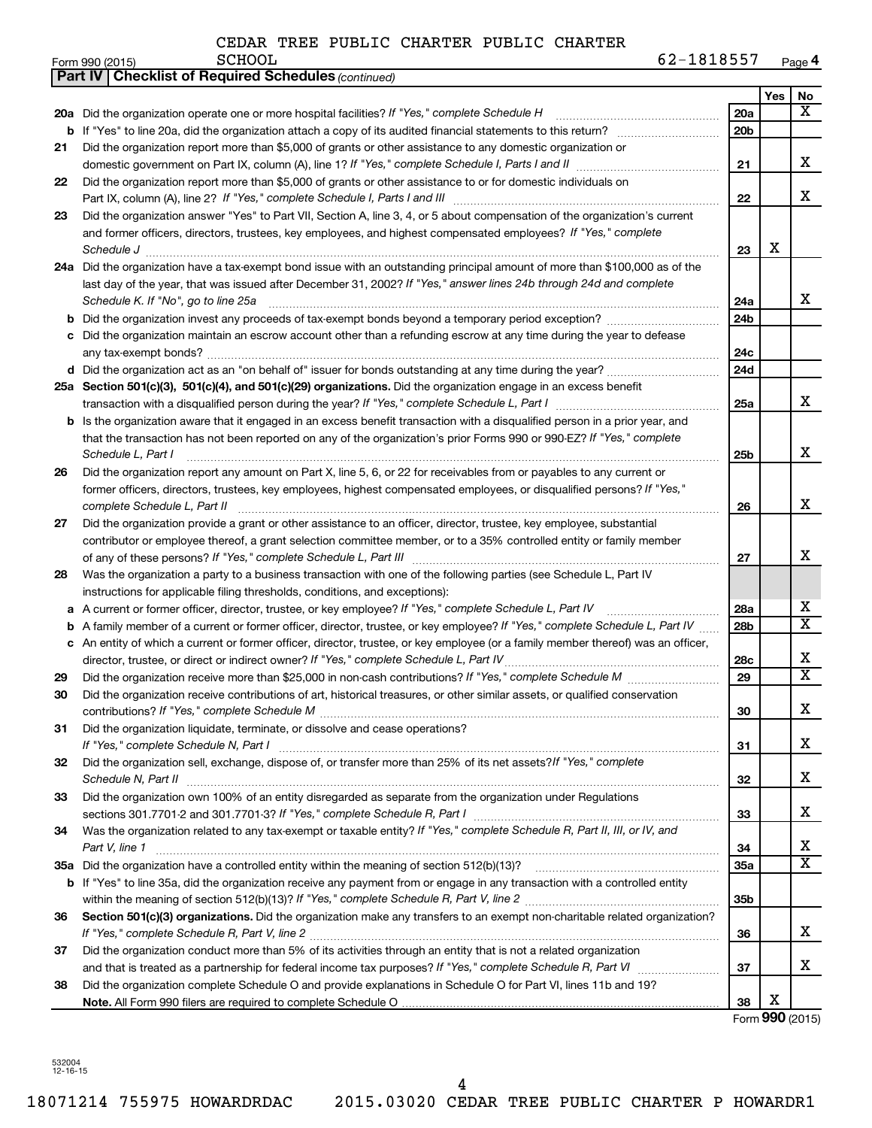|    | <b>Part IV   Checklist of Required Schedules (continued)</b>                                                                        |                 |     |                         |
|----|-------------------------------------------------------------------------------------------------------------------------------------|-----------------|-----|-------------------------|
|    |                                                                                                                                     |                 | Yes | No                      |
|    | 20a Did the organization operate one or more hospital facilities? If "Yes," complete Schedule H                                     | 20a             |     | x                       |
|    |                                                                                                                                     | 20 <sub>b</sub> |     |                         |
| 21 | Did the organization report more than \$5,000 of grants or other assistance to any domestic organization or                         |                 |     |                         |
|    |                                                                                                                                     | 21              |     | х                       |
| 22 | Did the organization report more than \$5,000 of grants or other assistance to or for domestic individuals on                       |                 |     |                         |
|    |                                                                                                                                     | 22              |     | x                       |
| 23 | Did the organization answer "Yes" to Part VII, Section A, line 3, 4, or 5 about compensation of the organization's current          |                 |     |                         |
|    | and former officers, directors, trustees, key employees, and highest compensated employees? If "Yes," complete                      |                 |     |                         |
|    | Schedule J <b>Execute Constructs of the Construction Constructs of the Construction Constructs of the Construction</b>              | 23              | X   |                         |
|    | 24a Did the organization have a tax-exempt bond issue with an outstanding principal amount of more than \$100,000 as of the         |                 |     |                         |
|    | last day of the year, that was issued after December 31, 2002? If "Yes," answer lines 24b through 24d and complete                  |                 |     |                         |
|    | Schedule K. If "No", go to line 25a                                                                                                 | 24a             |     | x                       |
| b  |                                                                                                                                     | 24 <sub>b</sub> |     |                         |
|    | Did the organization maintain an escrow account other than a refunding escrow at any time during the year to defease                |                 |     |                         |
|    |                                                                                                                                     | 24c             |     |                         |
|    | d Did the organization act as an "on behalf of" issuer for bonds outstanding at any time during the year?                           | 24d             |     |                         |
|    | 25a Section 501(c)(3), 501(c)(4), and 501(c)(29) organizations. Did the organization engage in an excess benefit                    |                 |     |                         |
|    |                                                                                                                                     | 25a             |     | x                       |
|    | <b>b</b> Is the organization aware that it engaged in an excess benefit transaction with a disqualified person in a prior year, and |                 |     |                         |
|    | that the transaction has not been reported on any of the organization's prior Forms 990 or 990-EZ? If "Yes," complete               |                 |     |                         |
|    | Schedule L, Part I                                                                                                                  | 25b             |     | х                       |
| 26 | Did the organization report any amount on Part X, line 5, 6, or 22 for receivables from or payables to any current or               |                 |     |                         |
|    | former officers, directors, trustees, key employees, highest compensated employees, or disqualified persons? If "Yes,"              |                 |     |                         |
|    | complete Schedule L, Part II                                                                                                        | 26              |     | х                       |
| 27 | Did the organization provide a grant or other assistance to an officer, director, trustee, key employee, substantial                |                 |     |                         |
|    | contributor or employee thereof, a grant selection committee member, or to a 35% controlled entity or family member                 |                 |     |                         |
|    |                                                                                                                                     | 27              |     | х                       |
| 28 | Was the organization a party to a business transaction with one of the following parties (see Schedule L, Part IV                   |                 |     |                         |
|    | instructions for applicable filing thresholds, conditions, and exceptions):                                                         |                 |     |                         |
| а  | A current or former officer, director, trustee, or key employee? If "Yes," complete Schedule L, Part IV                             | 28a             |     | x                       |
| b  | A family member of a current or former officer, director, trustee, or key employee? If "Yes," complete Schedule L, Part IV          | 28b             |     | $\overline{\textbf{X}}$ |
|    | c An entity of which a current or former officer, director, trustee, or key employee (or a family member thereof) was an officer,   |                 |     |                         |
|    | director, trustee, or direct or indirect owner? If "Yes," complete Schedule L, Part IV                                              | 28c             |     | х                       |
| 29 |                                                                                                                                     | 29              |     | $\overline{\textbf{X}}$ |
| 30 | Did the organization receive contributions of art, historical treasures, or other similar assets, or qualified conservation         |                 |     |                         |
|    |                                                                                                                                     | 30              |     | Χ                       |
| 31 | Did the organization liquidate, terminate, or dissolve and cease operations?                                                        |                 |     |                         |
|    |                                                                                                                                     | 31              |     | x.                      |
| 32 | Did the organization sell, exchange, dispose of, or transfer more than 25% of its net assets? If "Yes," complete                    |                 |     |                         |
|    |                                                                                                                                     | 32              |     | х                       |
| 33 | Did the organization own 100% of an entity disregarded as separate from the organization under Regulations                          |                 |     |                         |
|    |                                                                                                                                     | 33              |     | x                       |
| 34 | Was the organization related to any tax-exempt or taxable entity? If "Yes," complete Schedule R, Part II, III, or IV, and           |                 |     |                         |
|    | Part V, line 1                                                                                                                      | 34              |     | х                       |
|    |                                                                                                                                     | <b>35a</b>      |     | X                       |
|    | b If "Yes" to line 35a, did the organization receive any payment from or engage in any transaction with a controlled entity         |                 |     |                         |
|    |                                                                                                                                     | 35b             |     |                         |
| 36 | Section 501(c)(3) organizations. Did the organization make any transfers to an exempt non-charitable related organization?          |                 |     |                         |
|    |                                                                                                                                     | 36              |     | х                       |
| 37 | Did the organization conduct more than 5% of its activities through an entity that is not a related organization                    |                 |     |                         |
|    |                                                                                                                                     | 37              |     | x                       |
| 38 | Did the organization complete Schedule O and provide explanations in Schedule O for Part VI, lines 11b and 19?                      |                 |     |                         |
|    |                                                                                                                                     | 38              | Χ   |                         |

Form **990** (2015)

532004 12-16-15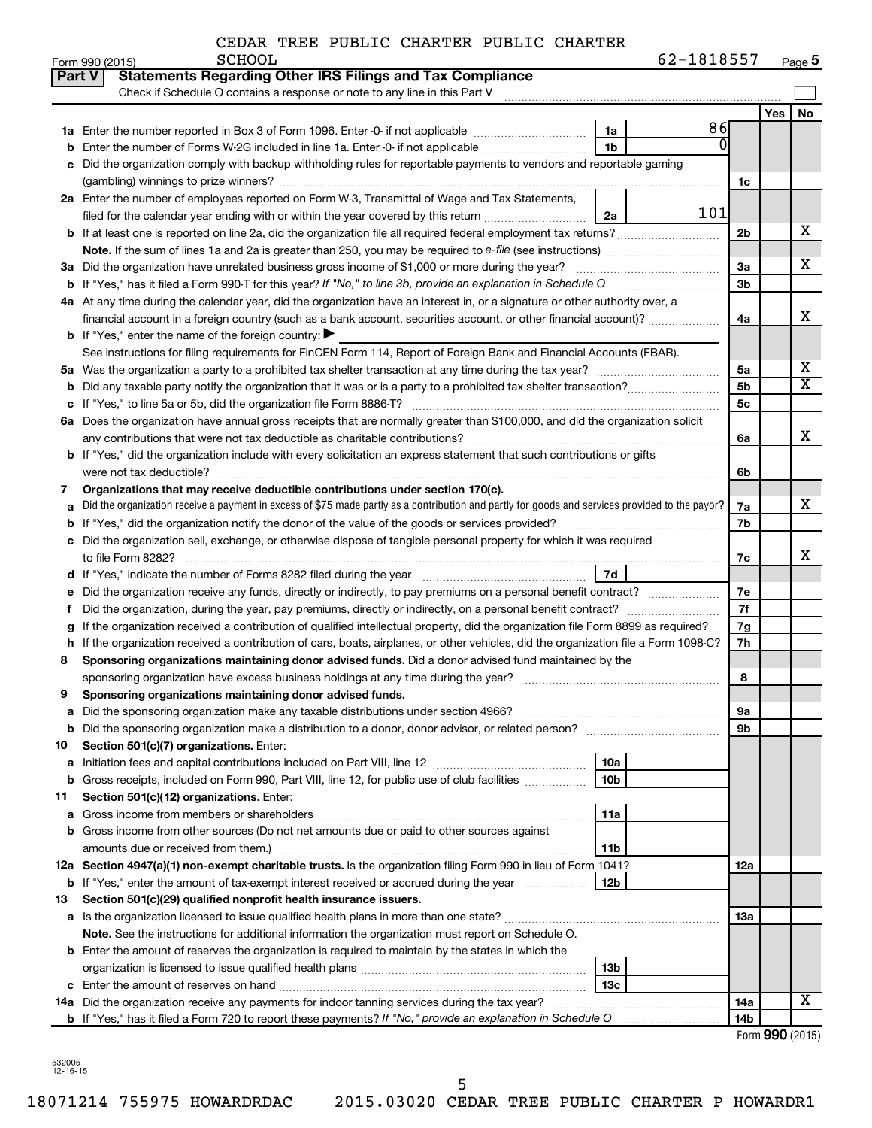| 62-1818557<br>Page 5 |
|----------------------|
|----------------------|

|    | Form 990 (2015)<br><b>PCHOOT</b><br>$02 - 1818251$                                                                                                |                 |                     | Page 5                  |
|----|---------------------------------------------------------------------------------------------------------------------------------------------------|-----------------|---------------------|-------------------------|
|    | <b>Statements Regarding Other IRS Filings and Tax Compliance</b><br>Part V                                                                        |                 |                     |                         |
|    | Check if Schedule O contains a response or note to any line in this Part V                                                                        |                 |                     |                         |
|    |                                                                                                                                                   |                 | Yes                 | No                      |
|    | 86<br>1a                                                                                                                                          |                 |                     |                         |
| b  | $\overline{0}$<br>Enter the number of Forms W-2G included in line 1a. Enter -0- if not applicable<br>1b                                           |                 |                     |                         |
|    | c Did the organization comply with backup withholding rules for reportable payments to vendors and reportable gaming                              |                 |                     |                         |
|    |                                                                                                                                                   | 1c              |                     |                         |
|    | 2a Enter the number of employees reported on Form W-3, Transmittal of Wage and Tax Statements,                                                    |                 |                     |                         |
|    | 101<br>2a                                                                                                                                         |                 |                     |                         |
|    | <b>b</b> If at least one is reported on line 2a, did the organization file all required federal employment tax returns?                           | 2b              |                     | х                       |
|    |                                                                                                                                                   |                 |                     |                         |
|    | 3a Did the organization have unrelated business gross income of \$1,000 or more during the year?                                                  | 3a              |                     | х                       |
|    |                                                                                                                                                   | 3 <sub>b</sub>  |                     |                         |
|    | 4a At any time during the calendar year, did the organization have an interest in, or a signature or other authority over, a                      |                 |                     | х                       |
|    | financial account in a foreign country (such as a bank account, securities account, or other financial account)?                                  | 4a              |                     |                         |
|    | <b>b</b> If "Yes," enter the name of the foreign country: $\blacktriangleright$                                                                   |                 |                     |                         |
|    | See instructions for filing requirements for FinCEN Form 114, Report of Foreign Bank and Financial Accounts (FBAR).                               |                 |                     | х                       |
|    |                                                                                                                                                   | 5a              |                     | $\overline{\textbf{X}}$ |
|    |                                                                                                                                                   | 5b              |                     |                         |
| С  |                                                                                                                                                   | 5 <sub>c</sub>  |                     |                         |
|    | 6a Does the organization have annual gross receipts that are normally greater than \$100,000, and did the organization solicit                    |                 |                     | х                       |
|    |                                                                                                                                                   | 6a              |                     |                         |
|    | <b>b</b> If "Yes," did the organization include with every solicitation an express statement that such contributions or gifts                     |                 |                     |                         |
|    | Organizations that may receive deductible contributions under section 170(c).                                                                     | 6b              |                     |                         |
| 7  | a Did the organization receive a payment in excess of \$75 made partly as a contribution and partly for goods and services provided to the payor? | 7a              |                     | х                       |
|    |                                                                                                                                                   | 7b              |                     |                         |
|    | c Did the organization sell, exchange, or otherwise dispose of tangible personal property for which it was required                               |                 |                     |                         |
|    |                                                                                                                                                   | 7c              |                     | х                       |
|    | 7d                                                                                                                                                |                 |                     |                         |
|    | e Did the organization receive any funds, directly or indirectly, to pay premiums on a personal benefit contract?                                 | 7e              |                     |                         |
| τ. |                                                                                                                                                   | 7f              |                     |                         |
| g  | If the organization received a contribution of qualified intellectual property, did the organization file Form 8899 as required?                  | 7g              |                     |                         |
|    | h If the organization received a contribution of cars, boats, airplanes, or other vehicles, did the organization file a Form 1098-C?              | 7h              |                     |                         |
| 8  | Sponsoring organizations maintaining donor advised funds. Did a donor advised fund maintained by the                                              |                 |                     |                         |
|    |                                                                                                                                                   | 8               |                     |                         |
|    | Sponsoring organizations maintaining donor advised funds.                                                                                         |                 |                     |                         |
|    |                                                                                                                                                   | 9а              |                     |                         |
| b  |                                                                                                                                                   | 9b              |                     |                         |
| 10 | Section 501(c)(7) organizations. Enter:                                                                                                           |                 |                     |                         |
| а  | <b>10a</b><br>Initiation fees and capital contributions included on Part VIII, line 12 [111] [11] [12] [11] [12] [11] [12] [                      |                 |                     |                         |
| b  | Gross receipts, included on Form 990, Part VIII, line 12, for public use of club facilities<br>10 <sub>b</sub>                                    |                 |                     |                         |
| 11 | Section 501(c)(12) organizations. Enter:                                                                                                          |                 |                     |                         |
| а  | 11a                                                                                                                                               |                 |                     |                         |
| b  | Gross income from other sources (Do not net amounts due or paid to other sources against                                                          |                 |                     |                         |
|    | 11b                                                                                                                                               |                 |                     |                         |
|    | 12a Section 4947(a)(1) non-exempt charitable trusts. Is the organization filing Form 990 in lieu of Form 1041?                                    | 12a             |                     |                         |
|    | 12b<br><b>b</b> If "Yes," enter the amount of tax-exempt interest received or accrued during the year                                             |                 |                     |                         |
| 13 | Section 501(c)(29) qualified nonprofit health insurance issuers.                                                                                  |                 |                     |                         |
| а  |                                                                                                                                                   | 13a             |                     |                         |
|    | <b>Note.</b> See the instructions for additional information the organization must report on Schedule O.                                          |                 |                     |                         |
|    | <b>b</b> Enter the amount of reserves the organization is required to maintain by the states in which the                                         |                 |                     |                         |
|    | 13 <sub>b</sub>                                                                                                                                   |                 |                     |                         |
|    | 13с                                                                                                                                               |                 |                     |                         |
|    | 14a Did the organization receive any payments for indoor tanning services during the tax year?                                                    | 14a             |                     | x                       |
|    |                                                                                                                                                   | 14 <sub>b</sub> |                     |                         |
|    |                                                                                                                                                   |                 | $Form$ QQN $(2015)$ |                         |

| Form 990 (2015) |  |
|-----------------|--|
|-----------------|--|

532005 12-16-15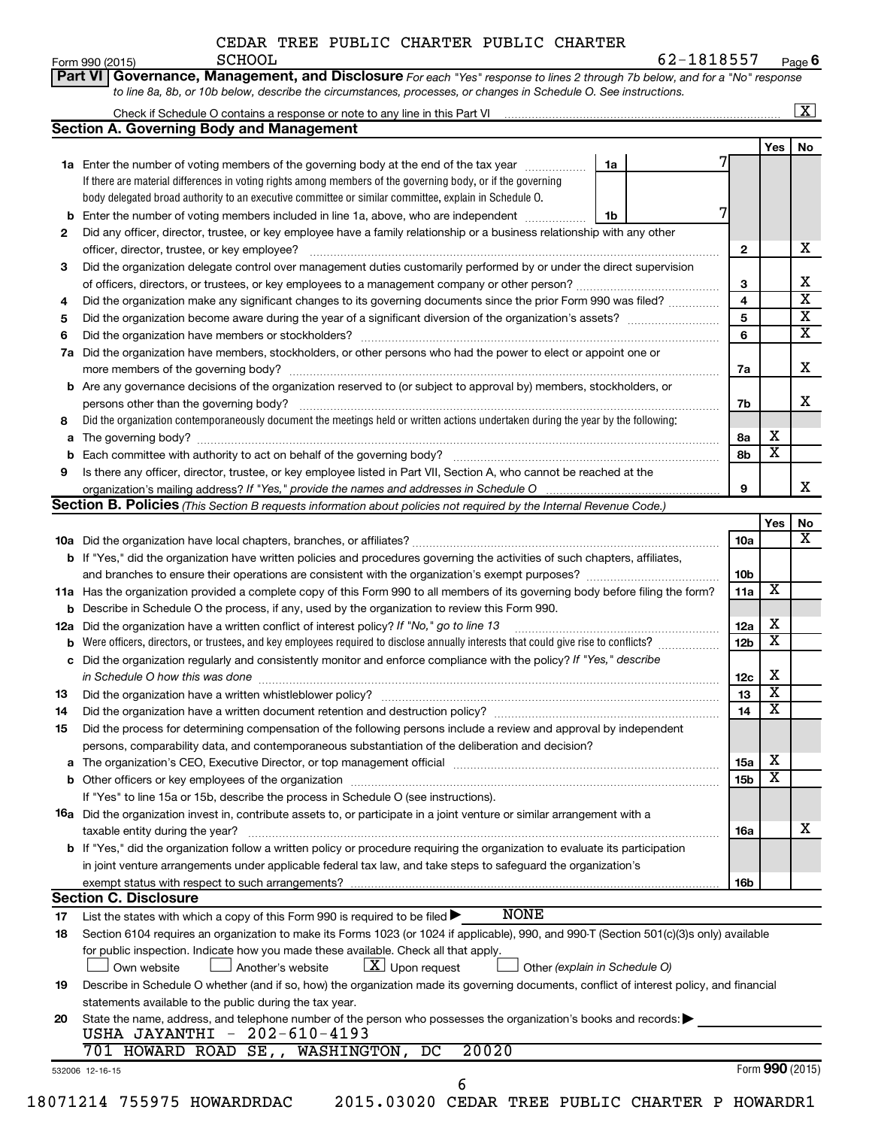| CEDAR TREE PUBLIC CHARTER PUBLIC CHARTER |
|------------------------------------------|
|                                          |

|          |                                                                                                                                                                                                                                     |    |                 |                         | $\sqrt{X}$              |
|----------|-------------------------------------------------------------------------------------------------------------------------------------------------------------------------------------------------------------------------------------|----|-----------------|-------------------------|-------------------------|
|          | <b>Section A. Governing Body and Management</b>                                                                                                                                                                                     |    |                 |                         |                         |
|          |                                                                                                                                                                                                                                     |    |                 | Yes                     | No                      |
|          | 1a Enter the number of voting members of the governing body at the end of the tax year                                                                                                                                              | 1a |                 |                         |                         |
|          | If there are material differences in voting rights among members of the governing body, or if the governing                                                                                                                         |    |                 |                         |                         |
|          | body delegated broad authority to an executive committee or similar committee, explain in Schedule O.                                                                                                                               |    |                 |                         |                         |
|          | <b>b</b> Enter the number of voting members included in line 1a, above, who are independent <i>manumum</i>                                                                                                                          | 1b | 7               |                         |                         |
| 2        | Did any officer, director, trustee, or key employee have a family relationship or a business relationship with any other                                                                                                            |    |                 |                         |                         |
|          |                                                                                                                                                                                                                                     |    | $\mathbf{2}$    |                         | х                       |
| З        | Did the organization delegate control over management duties customarily performed by or under the direct supervision                                                                                                               |    |                 |                         |                         |
|          |                                                                                                                                                                                                                                     |    | 3               |                         | Х                       |
| 4        | Did the organization make any significant changes to its governing documents since the prior Form 990 was filed?                                                                                                                    |    | 4               |                         | $\overline{\mathbf{X}}$ |
| 5        |                                                                                                                                                                                                                                     |    | 5               |                         | $\overline{\mathbf{X}}$ |
| 6        |                                                                                                                                                                                                                                     |    | 6               |                         | $\overline{\mathbf{X}}$ |
| 7a       | Did the organization have members, stockholders, or other persons who had the power to elect or appoint one or                                                                                                                      |    |                 |                         |                         |
|          |                                                                                                                                                                                                                                     |    | 7a              |                         | X                       |
|          | <b>b</b> Are any governance decisions of the organization reserved to (or subject to approval by) members, stockholders, or                                                                                                         |    |                 |                         |                         |
|          |                                                                                                                                                                                                                                     |    | 7b              |                         | x                       |
| 8        | Did the organization contemporaneously document the meetings held or written actions undertaken during the year by the following:                                                                                                   |    |                 |                         |                         |
| a        |                                                                                                                                                                                                                                     |    | 8а              | х                       |                         |
|          |                                                                                                                                                                                                                                     |    | 8b              | $\overline{\textbf{x}}$ |                         |
| 9        | Is there any officer, director, trustee, or key employee listed in Part VII, Section A, who cannot be reached at the                                                                                                                |    |                 |                         |                         |
|          |                                                                                                                                                                                                                                     |    | 9               |                         | x                       |
|          | <b>Section B. Policies</b> (This Section B requests information about policies not required by the Internal Revenue Code.)                                                                                                          |    |                 |                         |                         |
|          |                                                                                                                                                                                                                                     |    |                 | Yes                     | No                      |
|          |                                                                                                                                                                                                                                     |    | 10a             |                         | x                       |
|          | b If "Yes," did the organization have written policies and procedures governing the activities of such chapters, affiliates,                                                                                                        |    |                 |                         |                         |
|          |                                                                                                                                                                                                                                     |    | 10b             |                         |                         |
|          |                                                                                                                                                                                                                                     |    | 11a             | $\overline{\textbf{x}}$ |                         |
|          | 11a Has the organization provided a complete copy of this Form 990 to all members of its governing body before filing the form?                                                                                                     |    |                 |                         |                         |
|          | <b>b</b> Describe in Schedule O the process, if any, used by the organization to review this Form 990.                                                                                                                              |    |                 | х                       |                         |
| 12a      | Did the organization have a written conflict of interest policy? If "No," go to line 13                                                                                                                                             |    | 12a             | $\overline{\textbf{x}}$ |                         |
|          | <b>b</b> Were officers, directors, or trustees, and key employees required to disclose annually interests that could give rise to conflicts?                                                                                        |    | 12 <sub>b</sub> |                         |                         |
|          | c Did the organization regularly and consistently monitor and enforce compliance with the policy? If "Yes," describe                                                                                                                |    |                 |                         |                         |
|          | in Schedule O how this was done <b>construction and construction</b> of the state of the state of the state of the state of the state of the state of the state of the state of the state of the state of the state of the state of |    | 12c             | х                       |                         |
| 13       |                                                                                                                                                                                                                                     |    | 13              | $\overline{\textbf{x}}$ |                         |
| 14       | Did the organization have a written document retention and destruction policy? [111] [12] manument contains an                                                                                                                      |    | 14              | $\overline{\mathtt{x}}$ |                         |
| 15       | Did the process for determining compensation of the following persons include a review and approval by independent                                                                                                                  |    |                 |                         |                         |
|          | persons, comparability data, and contemporaneous substantiation of the deliberation and decision?                                                                                                                                   |    |                 |                         |                         |
| a        |                                                                                                                                                                                                                                     |    | 15a             | х                       |                         |
|          |                                                                                                                                                                                                                                     |    | 15b             | $\overline{\textbf{x}}$ |                         |
|          | If "Yes" to line 15a or 15b, describe the process in Schedule O (see instructions).                                                                                                                                                 |    |                 |                         |                         |
|          | 16a Did the organization invest in, contribute assets to, or participate in a joint venture or similar arrangement with a                                                                                                           |    |                 |                         |                         |
|          | taxable entity during the year?                                                                                                                                                                                                     |    | 16a             |                         | х                       |
|          | b If "Yes," did the organization follow a written policy or procedure requiring the organization to evaluate its participation                                                                                                      |    |                 |                         |                         |
|          | in joint venture arrangements under applicable federal tax law, and take steps to safeguard the organization's                                                                                                                      |    |                 |                         |                         |
|          | exempt status with respect to such arrangements?                                                                                                                                                                                    |    | 16b             |                         |                         |
|          | <b>Section C. Disclosure</b>                                                                                                                                                                                                        |    |                 |                         |                         |
| 17       | <b>NONE</b><br>List the states with which a copy of this Form 990 is required to be filed $\blacktriangleright$                                                                                                                     |    |                 |                         |                         |
| 18       | Section 6104 requires an organization to make its Forms 1023 (or 1024 if applicable), 990, and 990-T (Section 501(c)(3)s only) available                                                                                            |    |                 |                         |                         |
|          | for public inspection. Indicate how you made these available. Check all that apply.                                                                                                                                                 |    |                 |                         |                         |
|          | $\lfloor x \rfloor$ Upon request<br>Another's website<br>Other (explain in Schedule O)<br>Own website                                                                                                                               |    |                 |                         |                         |
|          | Describe in Schedule O whether (and if so, how) the organization made its governing documents, conflict of interest policy, and financial                                                                                           |    |                 |                         |                         |
|          | statements available to the public during the tax year.                                                                                                                                                                             |    |                 |                         |                         |
|          |                                                                                                                                                                                                                                     |    |                 |                         |                         |
|          |                                                                                                                                                                                                                                     |    |                 |                         |                         |
|          | State the name, address, and telephone number of the person who possesses the organization's books and records:                                                                                                                     |    |                 |                         |                         |
| 19<br>20 | USHA JAYANTHI - 202-610-4193                                                                                                                                                                                                        |    |                 |                         |                         |
|          | 20020<br>701 HOWARD ROAD SE,, WASHINGTON, DC<br>532006 12-16-15                                                                                                                                                                     |    |                 | Form 990 (2015)         |                         |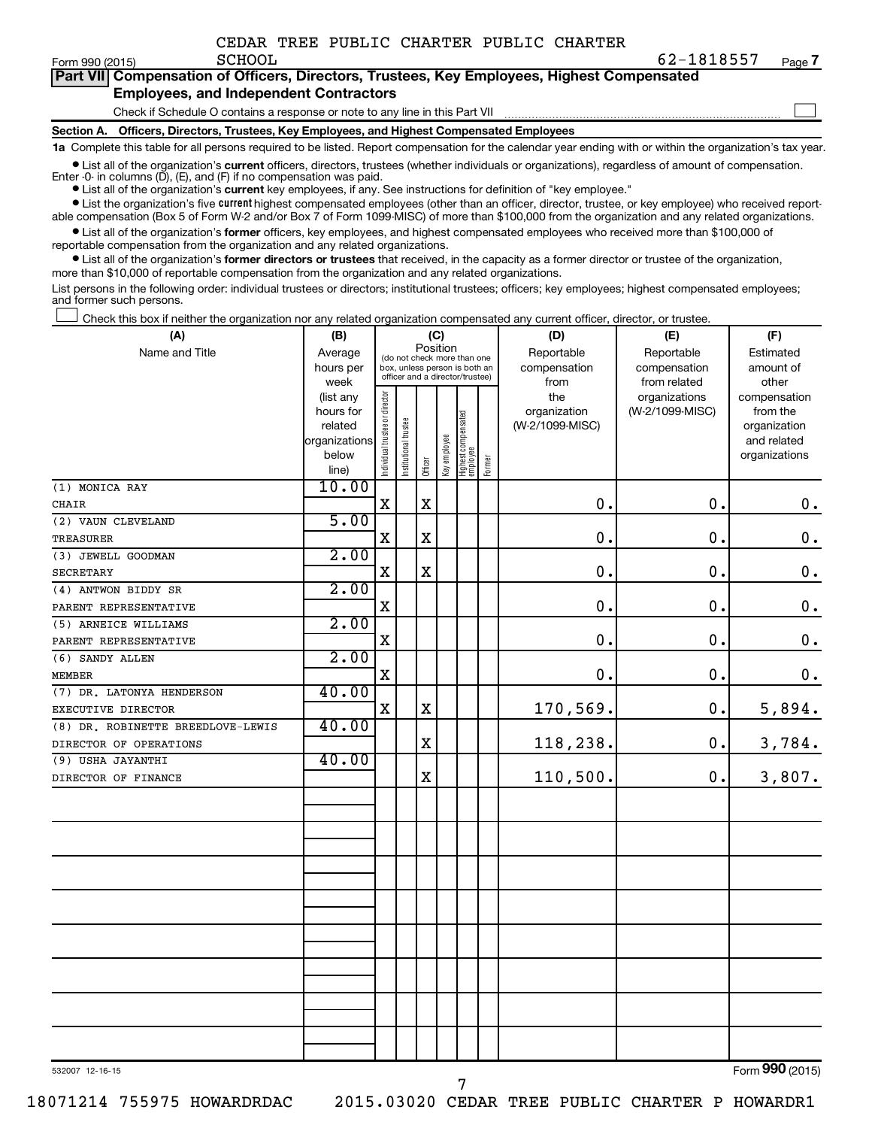|         |  |  | CEDAR TREE PUBLIC CHARTER PUBLIC CHARTER |            |
|---------|--|--|------------------------------------------|------------|
| SCHOOL. |  |  |                                          | 62-1818557 |

| Form 990 (2015) | <b>SCHOOL</b>                                 | 102-181857                                                                                 | Page |
|-----------------|-----------------------------------------------|--------------------------------------------------------------------------------------------|------|
|                 |                                               | Part VII Compensation of Officers, Directors, Trustees, Key Employees, Highest Compensated |      |
|                 | <b>Employees, and Independent Contractors</b> |                                                                                            |      |

Check if Schedule O contains a response or note to any line in this Part VII

**Section A. Officers, Directors, Trustees, Key Employees, and Highest Compensated Employees**

**1a**  Complete this table for all persons required to be listed. Report compensation for the calendar year ending with or within the organization's tax year.

**•** List all of the organization's current officers, directors, trustees (whether individuals or organizations), regardless of amount of compensation. Enter -0- in columns  $(D)$ ,  $(E)$ , and  $(F)$  if no compensation was paid.

**•** List all of the organization's **current** key employees, if any. See instructions for definition of "key employee."

**•** List the organization's five current highest compensated employees (other than an officer, director, trustee, or key employee) who received reportable compensation (Box 5 of Form W-2 and/or Box 7 of Form 1099-MISC) of more than \$100,000 from the organization and any related organizations.

**•** List all of the organization's former officers, key employees, and highest compensated employees who received more than \$100,000 of reportable compensation from the organization and any related organizations.

**•** List all of the organization's former directors or trustees that received, in the capacity as a former director or trustee of the organization, more than \$10,000 of reportable compensation from the organization and any related organizations.

List persons in the following order: individual trustees or directors; institutional trustees; officers; key employees; highest compensated employees; and former such persons.

|  |  |  | Check this box if neither the organization nor any related organization compensated any current officer, director, or trustee. |  |  |
|--|--|--|--------------------------------------------------------------------------------------------------------------------------------|--|--|
|  |  |  |                                                                                                                                |  |  |

| (A)                               | (B)                      |                                | (C)                                                                                                         |             | (D)                        | (E)                               | (F)                    |                 |                 |                             |
|-----------------------------------|--------------------------|--------------------------------|-------------------------------------------------------------------------------------------------------------|-------------|----------------------------|-----------------------------------|------------------------|-----------------|-----------------|-----------------------------|
| Name and Title                    | Average<br>hours per     |                                | Position<br>(do not check more than one<br>box, unless person is both an<br>officer and a director/trustee) |             | Reportable<br>compensation | Reportable<br>compensation        | Estimated<br>amount of |                 |                 |                             |
|                                   | week                     |                                |                                                                                                             |             |                            |                                   |                        | from            | from related    | other                       |
|                                   | (list any                |                                |                                                                                                             |             |                            |                                   |                        | the             | organizations   | compensation                |
|                                   | hours for                |                                |                                                                                                             |             |                            |                                   |                        | organization    | (W-2/1099-MISC) | from the                    |
|                                   | related<br>organizations |                                |                                                                                                             |             |                            |                                   |                        | (W-2/1099-MISC) |                 | organization<br>and related |
|                                   | below                    |                                |                                                                                                             |             |                            |                                   |                        |                 |                 | organizations               |
|                                   | line)                    | Individual trustee or director | Institutional trustee                                                                                       | Officer     | Key employee               | Highest compensated<br>  employee | Former                 |                 |                 |                             |
| (1) MONICA RAY                    | 10.00                    |                                |                                                                                                             |             |                            |                                   |                        |                 |                 |                             |
| CHAIR                             |                          | $\mathbf X$                    |                                                                                                             | X           |                            |                                   |                        | 0.              | $\mathbf 0$ .   | $\boldsymbol{0}$ .          |
| (2) VAUN CLEVELAND                | 5.00                     |                                |                                                                                                             |             |                            |                                   |                        |                 |                 |                             |
| <b>TREASURER</b>                  |                          | $\mathbf X$                    |                                                                                                             | X           |                            |                                   |                        | 0.              | $\mathbf 0$ .   | $\mathbf 0$ .               |
| (3) JEWELL GOODMAN                | 2.00                     |                                |                                                                                                             |             |                            |                                   |                        |                 |                 |                             |
| <b>SECRETARY</b>                  |                          | $\mathbf X$                    |                                                                                                             | X           |                            |                                   |                        | 0.              | $\mathbf 0$ .   | $\mathbf 0$ .               |
| (4) ANTWON BIDDY SR               | 2.00                     |                                |                                                                                                             |             |                            |                                   |                        |                 |                 |                             |
| PARENT REPRESENTATIVE             |                          | $\mathbf X$                    |                                                                                                             |             |                            |                                   |                        | 0.              | $\mathbf 0$ .   | $\boldsymbol{0}$ .          |
| (5) ARNEICE WILLIAMS              | 2.00                     |                                |                                                                                                             |             |                            |                                   |                        |                 |                 |                             |
| PARENT REPRESENTATIVE             |                          | $\mathbf X$                    |                                                                                                             |             |                            |                                   |                        | $\mathbf 0$ .   | $\mathbf 0$ .   | $\mathbf 0$ .               |
| (6) SANDY ALLEN                   | 2.00                     |                                |                                                                                                             |             |                            |                                   |                        |                 |                 |                             |
| <b>MEMBER</b>                     |                          | $\rm X$                        |                                                                                                             |             |                            |                                   |                        | 0.              | $\mathbf 0$ .   | $\mathbf 0$ .               |
| (7) DR. LATONYA HENDERSON         | 40.00                    |                                |                                                                                                             |             |                            |                                   |                        |                 |                 |                             |
| EXECUTIVE DIRECTOR                |                          | X                              |                                                                                                             | $\mathbf X$ |                            |                                   |                        | 170,569.        | 0.              | 5,894.                      |
| (8) DR. ROBINETTE BREEDLOVE-LEWIS | 40.00                    |                                |                                                                                                             |             |                            |                                   |                        |                 |                 |                             |
| DIRECTOR OF OPERATIONS            |                          |                                |                                                                                                             | X           |                            |                                   |                        | 118,238.        | 0.              | 3,784.                      |
| (9) USHA JAYANTHI                 | 40.00                    |                                |                                                                                                             |             |                            |                                   |                        |                 |                 |                             |
| DIRECTOR OF FINANCE               |                          |                                |                                                                                                             | X           |                            |                                   |                        | 110,500.        | $\mathbf 0$ .   | 3,807.                      |
|                                   |                          |                                |                                                                                                             |             |                            |                                   |                        |                 |                 |                             |
|                                   |                          |                                |                                                                                                             |             |                            |                                   |                        |                 |                 |                             |
|                                   |                          |                                |                                                                                                             |             |                            |                                   |                        |                 |                 |                             |
|                                   |                          |                                |                                                                                                             |             |                            |                                   |                        |                 |                 |                             |
|                                   |                          |                                |                                                                                                             |             |                            |                                   |                        |                 |                 |                             |
|                                   |                          |                                |                                                                                                             |             |                            |                                   |                        |                 |                 |                             |
|                                   |                          |                                |                                                                                                             |             |                            |                                   |                        |                 |                 |                             |
|                                   |                          |                                |                                                                                                             |             |                            |                                   |                        |                 |                 |                             |
|                                   |                          |                                |                                                                                                             |             |                            |                                   |                        |                 |                 |                             |
|                                   |                          |                                |                                                                                                             |             |                            |                                   |                        |                 |                 |                             |
|                                   |                          |                                |                                                                                                             |             |                            |                                   |                        |                 |                 |                             |
|                                   |                          |                                |                                                                                                             |             |                            |                                   |                        |                 |                 |                             |
|                                   |                          |                                |                                                                                                             |             |                            |                                   |                        |                 |                 |                             |
|                                   |                          |                                |                                                                                                             |             |                            |                                   |                        |                 |                 |                             |
|                                   |                          |                                |                                                                                                             |             |                            |                                   |                        |                 |                 |                             |
|                                   |                          |                                |                                                                                                             |             |                            |                                   |                        |                 |                 |                             |

7

532007 12-16-15

Form (2015) **990**

**7**

 $\Box$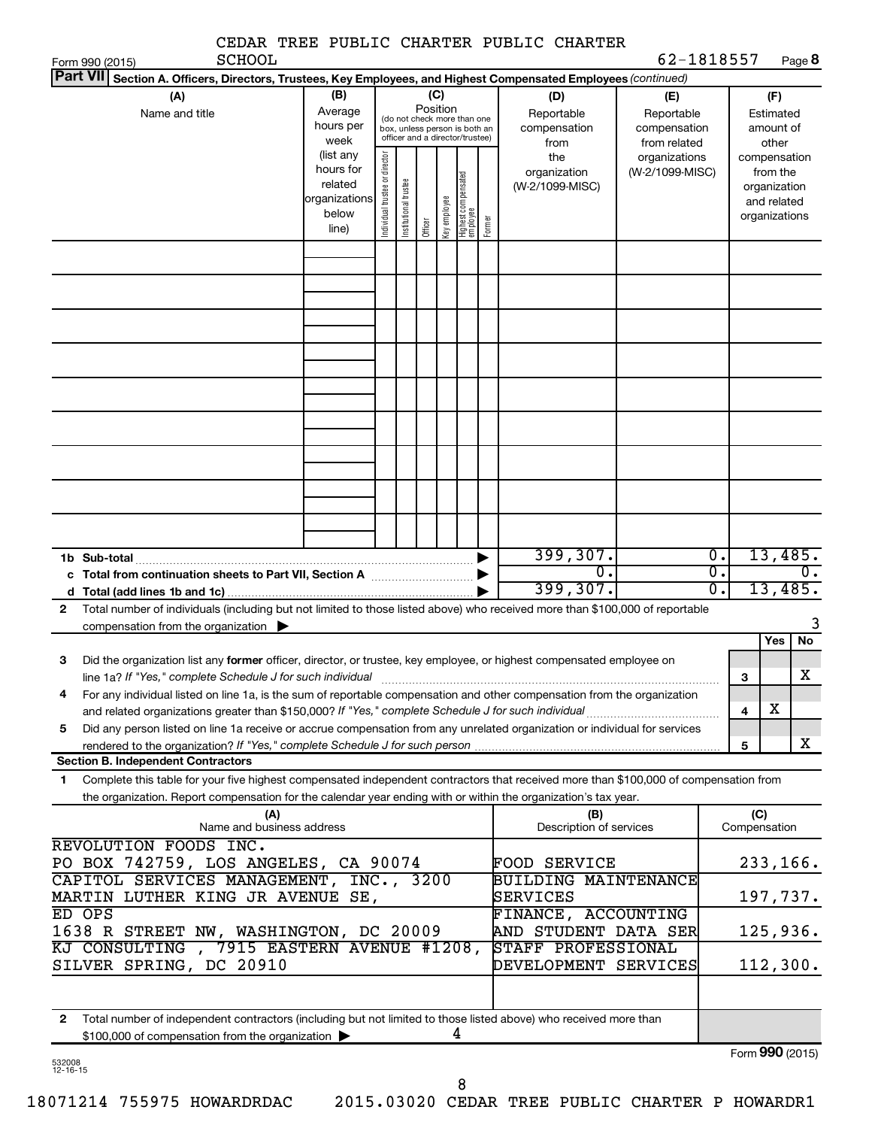|                                                                                                                                           |                        |                                |                       |          |              |                                                              |        | CEDAR TREE PUBLIC CHARTER PUBLIC CHARTER |                                  |                  |              |                          |                         |
|-------------------------------------------------------------------------------------------------------------------------------------------|------------------------|--------------------------------|-----------------------|----------|--------------|--------------------------------------------------------------|--------|------------------------------------------|----------------------------------|------------------|--------------|--------------------------|-------------------------|
| <b>SCHOOL</b><br>Form 990 (2015)<br><b>Part VII</b>                                                                                       |                        |                                |                       |          |              |                                                              |        |                                          | 62-1818557                       |                  |              |                          | Page 8                  |
| Section A. Officers, Directors, Trustees, Key Employees, and Highest Compensated Employees (continued)<br>(A)                             | (B)                    |                                |                       |          | (C)          |                                                              |        | (D)                                      | (E)                              |                  |              | (F)                      |                         |
| Name and title                                                                                                                            | Average                |                                |                       | Position |              |                                                              |        | Reportable                               | Reportable                       |                  |              | Estimated                |                         |
|                                                                                                                                           | hours per              |                                |                       |          |              | (do not check more than one<br>box, unless person is both an |        | compensation                             | compensation                     |                  |              | amount of                |                         |
|                                                                                                                                           | week                   |                                |                       |          |              | officer and a director/trustee)                              |        | from                                     | from related                     |                  |              | other                    |                         |
|                                                                                                                                           | (list any<br>hours for |                                |                       |          |              |                                                              |        | the<br>organization                      | organizations<br>(W-2/1099-MISC) |                  |              | compensation<br>from the |                         |
|                                                                                                                                           | related                |                                |                       |          |              |                                                              |        | (W-2/1099-MISC)                          |                                  |                  |              | organization             |                         |
|                                                                                                                                           | organizations          |                                |                       |          |              |                                                              |        |                                          |                                  |                  |              | and related              |                         |
|                                                                                                                                           | below<br>line)         | Individual trustee or director | Institutional trustee | Officer  | Key employee | Highest compensated<br>  employee                            | Former |                                          |                                  |                  |              | organizations            |                         |
|                                                                                                                                           |                        |                                |                       |          |              |                                                              |        |                                          |                                  |                  |              |                          |                         |
|                                                                                                                                           |                        |                                |                       |          |              |                                                              |        |                                          |                                  |                  |              |                          |                         |
|                                                                                                                                           |                        |                                |                       |          |              |                                                              |        |                                          |                                  |                  |              |                          |                         |
|                                                                                                                                           |                        |                                |                       |          |              |                                                              |        |                                          |                                  |                  |              |                          |                         |
|                                                                                                                                           |                        |                                |                       |          |              |                                                              |        |                                          |                                  |                  |              |                          |                         |
|                                                                                                                                           |                        |                                |                       |          |              |                                                              |        |                                          |                                  |                  |              |                          |                         |
|                                                                                                                                           |                        |                                |                       |          |              |                                                              |        |                                          |                                  |                  |              |                          |                         |
|                                                                                                                                           |                        |                                |                       |          |              |                                                              |        |                                          |                                  |                  |              |                          |                         |
|                                                                                                                                           |                        |                                |                       |          |              |                                                              |        |                                          |                                  |                  |              |                          |                         |
|                                                                                                                                           |                        |                                |                       |          |              |                                                              |        |                                          |                                  |                  |              |                          |                         |
|                                                                                                                                           |                        |                                |                       |          |              |                                                              |        |                                          |                                  |                  |              |                          |                         |
|                                                                                                                                           |                        |                                |                       |          |              |                                                              |        |                                          |                                  |                  |              |                          |                         |
|                                                                                                                                           |                        |                                |                       |          |              |                                                              |        |                                          |                                  |                  |              |                          |                         |
|                                                                                                                                           |                        |                                |                       |          |              |                                                              |        |                                          |                                  |                  |              |                          |                         |
|                                                                                                                                           |                        |                                |                       |          |              |                                                              |        |                                          |                                  |                  |              |                          |                         |
| 1b Sub-total                                                                                                                              |                        |                                |                       |          |              |                                                              |        | 399,307.                                 |                                  | $\overline{0}$ . |              |                          | 13,485.                 |
|                                                                                                                                           |                        |                                |                       |          |              |                                                              |        | о.                                       |                                  | $\overline{0}$ . |              |                          | 0.                      |
|                                                                                                                                           |                        |                                |                       |          |              |                                                              |        | 399,307.                                 |                                  | $\overline{0}$ . |              | 13,485.                  |                         |
| Total number of individuals (including but not limited to those listed above) who received more than \$100,000 of reportable<br>2         |                        |                                |                       |          |              |                                                              |        |                                          |                                  |                  |              |                          |                         |
| compensation from the organization $\blacktriangleright$                                                                                  |                        |                                |                       |          |              |                                                              |        |                                          |                                  |                  |              |                          |                         |
| з<br>Did the organization list any <b>former</b> officer, director, or trustee, key employee, or highest compensated employee on          |                        |                                |                       |          |              |                                                              |        |                                          |                                  |                  |              | Yes                      | No                      |
| line 1a? If "Yes," complete Schedule J for such individual manufactured content content for the complete schedu                           |                        |                                |                       |          |              |                                                              |        |                                          |                                  |                  | 3            |                          | $\overline{\textbf{X}}$ |
| For any individual listed on line 1a, is the sum of reportable compensation and other compensation from the organization<br>4             |                        |                                |                       |          |              |                                                              |        |                                          |                                  |                  |              |                          |                         |
|                                                                                                                                           |                        |                                |                       |          |              |                                                              |        |                                          |                                  |                  | 4            | x                        |                         |
| Did any person listed on line 1a receive or accrue compensation from any unrelated organization or individual for services<br>5           |                        |                                |                       |          |              |                                                              |        |                                          |                                  |                  |              |                          |                         |
| <b>Section B. Independent Contractors</b>                                                                                                 |                        |                                |                       |          |              |                                                              |        |                                          |                                  |                  | 5            |                          | x                       |
| Complete this table for your five highest compensated independent contractors that received more than \$100,000 of compensation from<br>1 |                        |                                |                       |          |              |                                                              |        |                                          |                                  |                  |              |                          |                         |
| the organization. Report compensation for the calendar year ending with or within the organization's tax year.                            |                        |                                |                       |          |              |                                                              |        |                                          |                                  |                  |              |                          |                         |
| (A)                                                                                                                                       |                        |                                |                       |          |              |                                                              |        | (B)                                      |                                  |                  | (C)          |                          |                         |
| Name and business address                                                                                                                 |                        |                                |                       |          |              |                                                              |        | Description of services                  |                                  |                  | Compensation |                          |                         |
| REVOLUTION FOODS INC.<br>PO BOX 742759, LOS ANGELES, CA 90074                                                                             |                        |                                |                       |          |              |                                                              |        | <b>FOOD SERVICE</b>                      |                                  |                  |              |                          | 233,166.                |
| CAPITOL SERVICES MANAGEMENT, INC., 3200                                                                                                   |                        |                                |                       |          |              |                                                              |        | <b>BUILDING MAINTENANCE</b>              |                                  |                  |              |                          |                         |
| MARTIN LUTHER KING JR AVENUE SE,                                                                                                          |                        |                                |                       |          |              |                                                              |        | SERVICES                                 |                                  |                  |              |                          | 197,737.                |
| ED OPS                                                                                                                                    |                        |                                |                       |          |              |                                                              |        | FINANCE, ACCOUNTING                      |                                  |                  |              |                          |                         |
| 1638 R STREET NW, WASHINGTON, DC 20009                                                                                                    |                        |                                |                       |          |              |                                                              |        | AND STUDENT DATA SER                     |                                  |                  |              |                          | 125,936.                |
| KJ CONSULTING , 7915 EASTERN AVENUE #1208,                                                                                                |                        |                                |                       |          |              |                                                              |        | STAFF PROFESSIONAL                       |                                  |                  |              |                          |                         |
| SILVER SPRING, DC 20910                                                                                                                   |                        |                                |                       |          |              |                                                              |        | DEVELOPMENT SERVICES                     |                                  |                  |              |                          | 112,300.                |
|                                                                                                                                           |                        |                                |                       |          |              |                                                              |        |                                          |                                  |                  |              |                          |                         |
| Total number of independent contractors (including but not limited to those listed above) who received more than<br>2                     |                        |                                |                       |          |              |                                                              |        |                                          |                                  |                  |              |                          |                         |
| \$100,000 of compensation from the organization                                                                                           |                        |                                |                       |          |              | 4                                                            |        |                                          |                                  |                  |              |                          |                         |
|                                                                                                                                           |                        |                                |                       |          |              |                                                              |        |                                          |                                  |                  |              |                          | Form 990 (2015)         |

532008 12-16-15

Form 990 (2015)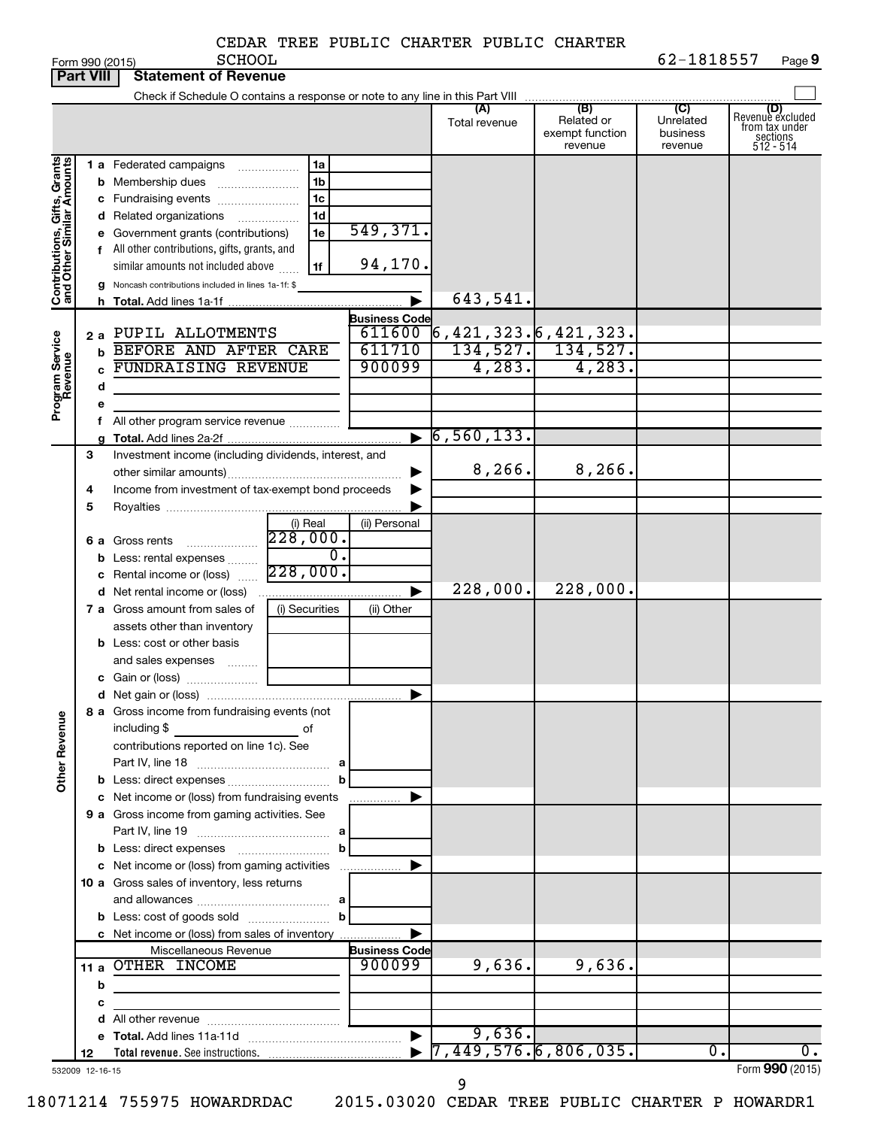|  | CEDAR TREE PUBLIC CHARTER PUBLIC CHARTER |  |
|--|------------------------------------------|--|
|  |                                          |  |

| (B)<br>(C)<br>(D)<br>(A)<br>Revenue excluded<br>Related or<br>Unrelated<br>Total revenue<br>from tax under<br>exempt function<br>business<br>sections<br>512 - 514<br>revenue<br>revenue<br>Contributions, Gifts, Grants<br>and Other Similar Amounts<br><b>1 a</b> Federated campaigns<br>1a<br>1b<br><b>b</b> Membership dues<br>1c<br>c Fundraising events<br>1d<br><b>d</b> Related organizations<br>.<br>549,371.<br>e Government grants (contributions)<br>1e<br>f All other contributions, gifts, grants, and<br>94,170.<br>similar amounts not included above<br>1f<br>g Noncash contributions included in lines 1a-1f: \$<br>643,541.<br>h.<br><b>Business Code</b><br>611600<br>6,421,323.6,421,323.<br>2 a PUPIL ALLOTMENTS<br>Program Service<br>Revenue<br>$134,527.$ 134,527.<br><b>b BEFORE AND AFTER CARE</b><br>611710<br>4, 283.<br>4,283.<br><b>FUNDRAISING REVENUE</b><br>900099<br>d<br>All other program service revenue<br>$\overline{6,560,133}$ .<br>$\blacktriangleright$<br>3<br>Investment income (including dividends, interest, and<br>8,266.<br>8,266.<br>Income from investment of tax-exempt bond proceeds<br>4<br>5<br>(i) Real<br>(ii) Personal<br>228,000.<br>6 a Gross rents<br>$\overline{0}$ .<br><b>b</b> Less: rental expenses<br>228,000.<br>c Rental income or (loss)<br>228,000.<br>228,000.<br><b>d</b> Net rental income or (loss)<br>7 a Gross amount from sales of<br>(i) Securities<br>(ii) Other<br>assets other than inventory<br><b>b</b> Less: cost or other basis<br>and sales expenses<br>8 a Gross income from fundraising events (not<br><b>Other Revenue</b><br>including \$<br>оf<br>contributions reported on line 1c). See<br><b>b</b> Less: direct expenses <i></i><br>b<br>c Net income or (loss) from fundraising events<br>.<br>9 a Gross income from gaming activities. See<br>b<br>c Net income or (loss) from gaming activities<br>10 a Gross sales of inventory, less returns<br>b<br>c Net income or (loss) from sales of inventory<br><b>Business Code</b><br>Miscellaneous Revenue<br>11 a OTHER INCOME<br>9,636.<br>9,636.<br>900099<br>b<br>с<br>9,636.<br>▶<br>7,449,576.6,806,035.<br>$\overline{0}$ .<br>0.<br>12<br>Form 990 (2015)<br>532009 12-16-15 |  | <b>Part VIII</b> | <b>Statement of Revenue</b> |  |  |  |
|--------------------------------------------------------------------------------------------------------------------------------------------------------------------------------------------------------------------------------------------------------------------------------------------------------------------------------------------------------------------------------------------------------------------------------------------------------------------------------------------------------------------------------------------------------------------------------------------------------------------------------------------------------------------------------------------------------------------------------------------------------------------------------------------------------------------------------------------------------------------------------------------------------------------------------------------------------------------------------------------------------------------------------------------------------------------------------------------------------------------------------------------------------------------------------------------------------------------------------------------------------------------------------------------------------------------------------------------------------------------------------------------------------------------------------------------------------------------------------------------------------------------------------------------------------------------------------------------------------------------------------------------------------------------------------------------------------------------------------------------------------------------------------------------------------------------------------------------------------------------------------------------------------------------------------------------------------------------------------------------------------------------------------------------------------------------------------------------------------------------------------------------------------------------------------------------------------------------------------------|--|------------------|-----------------------------|--|--|--|
|                                                                                                                                                                                                                                                                                                                                                                                                                                                                                                                                                                                                                                                                                                                                                                                                                                                                                                                                                                                                                                                                                                                                                                                                                                                                                                                                                                                                                                                                                                                                                                                                                                                                                                                                                                                                                                                                                                                                                                                                                                                                                                                                                                                                                                      |  |                  |                             |  |  |  |
|                                                                                                                                                                                                                                                                                                                                                                                                                                                                                                                                                                                                                                                                                                                                                                                                                                                                                                                                                                                                                                                                                                                                                                                                                                                                                                                                                                                                                                                                                                                                                                                                                                                                                                                                                                                                                                                                                                                                                                                                                                                                                                                                                                                                                                      |  |                  |                             |  |  |  |
|                                                                                                                                                                                                                                                                                                                                                                                                                                                                                                                                                                                                                                                                                                                                                                                                                                                                                                                                                                                                                                                                                                                                                                                                                                                                                                                                                                                                                                                                                                                                                                                                                                                                                                                                                                                                                                                                                                                                                                                                                                                                                                                                                                                                                                      |  |                  |                             |  |  |  |
|                                                                                                                                                                                                                                                                                                                                                                                                                                                                                                                                                                                                                                                                                                                                                                                                                                                                                                                                                                                                                                                                                                                                                                                                                                                                                                                                                                                                                                                                                                                                                                                                                                                                                                                                                                                                                                                                                                                                                                                                                                                                                                                                                                                                                                      |  |                  |                             |  |  |  |
|                                                                                                                                                                                                                                                                                                                                                                                                                                                                                                                                                                                                                                                                                                                                                                                                                                                                                                                                                                                                                                                                                                                                                                                                                                                                                                                                                                                                                                                                                                                                                                                                                                                                                                                                                                                                                                                                                                                                                                                                                                                                                                                                                                                                                                      |  |                  |                             |  |  |  |
|                                                                                                                                                                                                                                                                                                                                                                                                                                                                                                                                                                                                                                                                                                                                                                                                                                                                                                                                                                                                                                                                                                                                                                                                                                                                                                                                                                                                                                                                                                                                                                                                                                                                                                                                                                                                                                                                                                                                                                                                                                                                                                                                                                                                                                      |  |                  |                             |  |  |  |
|                                                                                                                                                                                                                                                                                                                                                                                                                                                                                                                                                                                                                                                                                                                                                                                                                                                                                                                                                                                                                                                                                                                                                                                                                                                                                                                                                                                                                                                                                                                                                                                                                                                                                                                                                                                                                                                                                                                                                                                                                                                                                                                                                                                                                                      |  |                  |                             |  |  |  |
|                                                                                                                                                                                                                                                                                                                                                                                                                                                                                                                                                                                                                                                                                                                                                                                                                                                                                                                                                                                                                                                                                                                                                                                                                                                                                                                                                                                                                                                                                                                                                                                                                                                                                                                                                                                                                                                                                                                                                                                                                                                                                                                                                                                                                                      |  |                  |                             |  |  |  |
|                                                                                                                                                                                                                                                                                                                                                                                                                                                                                                                                                                                                                                                                                                                                                                                                                                                                                                                                                                                                                                                                                                                                                                                                                                                                                                                                                                                                                                                                                                                                                                                                                                                                                                                                                                                                                                                                                                                                                                                                                                                                                                                                                                                                                                      |  |                  |                             |  |  |  |
|                                                                                                                                                                                                                                                                                                                                                                                                                                                                                                                                                                                                                                                                                                                                                                                                                                                                                                                                                                                                                                                                                                                                                                                                                                                                                                                                                                                                                                                                                                                                                                                                                                                                                                                                                                                                                                                                                                                                                                                                                                                                                                                                                                                                                                      |  |                  |                             |  |  |  |
|                                                                                                                                                                                                                                                                                                                                                                                                                                                                                                                                                                                                                                                                                                                                                                                                                                                                                                                                                                                                                                                                                                                                                                                                                                                                                                                                                                                                                                                                                                                                                                                                                                                                                                                                                                                                                                                                                                                                                                                                                                                                                                                                                                                                                                      |  |                  |                             |  |  |  |
|                                                                                                                                                                                                                                                                                                                                                                                                                                                                                                                                                                                                                                                                                                                                                                                                                                                                                                                                                                                                                                                                                                                                                                                                                                                                                                                                                                                                                                                                                                                                                                                                                                                                                                                                                                                                                                                                                                                                                                                                                                                                                                                                                                                                                                      |  |                  |                             |  |  |  |
|                                                                                                                                                                                                                                                                                                                                                                                                                                                                                                                                                                                                                                                                                                                                                                                                                                                                                                                                                                                                                                                                                                                                                                                                                                                                                                                                                                                                                                                                                                                                                                                                                                                                                                                                                                                                                                                                                                                                                                                                                                                                                                                                                                                                                                      |  |                  |                             |  |  |  |
|                                                                                                                                                                                                                                                                                                                                                                                                                                                                                                                                                                                                                                                                                                                                                                                                                                                                                                                                                                                                                                                                                                                                                                                                                                                                                                                                                                                                                                                                                                                                                                                                                                                                                                                                                                                                                                                                                                                                                                                                                                                                                                                                                                                                                                      |  |                  |                             |  |  |  |
|                                                                                                                                                                                                                                                                                                                                                                                                                                                                                                                                                                                                                                                                                                                                                                                                                                                                                                                                                                                                                                                                                                                                                                                                                                                                                                                                                                                                                                                                                                                                                                                                                                                                                                                                                                                                                                                                                                                                                                                                                                                                                                                                                                                                                                      |  |                  |                             |  |  |  |
|                                                                                                                                                                                                                                                                                                                                                                                                                                                                                                                                                                                                                                                                                                                                                                                                                                                                                                                                                                                                                                                                                                                                                                                                                                                                                                                                                                                                                                                                                                                                                                                                                                                                                                                                                                                                                                                                                                                                                                                                                                                                                                                                                                                                                                      |  |                  |                             |  |  |  |
|                                                                                                                                                                                                                                                                                                                                                                                                                                                                                                                                                                                                                                                                                                                                                                                                                                                                                                                                                                                                                                                                                                                                                                                                                                                                                                                                                                                                                                                                                                                                                                                                                                                                                                                                                                                                                                                                                                                                                                                                                                                                                                                                                                                                                                      |  |                  |                             |  |  |  |
|                                                                                                                                                                                                                                                                                                                                                                                                                                                                                                                                                                                                                                                                                                                                                                                                                                                                                                                                                                                                                                                                                                                                                                                                                                                                                                                                                                                                                                                                                                                                                                                                                                                                                                                                                                                                                                                                                                                                                                                                                                                                                                                                                                                                                                      |  |                  |                             |  |  |  |
|                                                                                                                                                                                                                                                                                                                                                                                                                                                                                                                                                                                                                                                                                                                                                                                                                                                                                                                                                                                                                                                                                                                                                                                                                                                                                                                                                                                                                                                                                                                                                                                                                                                                                                                                                                                                                                                                                                                                                                                                                                                                                                                                                                                                                                      |  |                  |                             |  |  |  |
|                                                                                                                                                                                                                                                                                                                                                                                                                                                                                                                                                                                                                                                                                                                                                                                                                                                                                                                                                                                                                                                                                                                                                                                                                                                                                                                                                                                                                                                                                                                                                                                                                                                                                                                                                                                                                                                                                                                                                                                                                                                                                                                                                                                                                                      |  |                  |                             |  |  |  |
|                                                                                                                                                                                                                                                                                                                                                                                                                                                                                                                                                                                                                                                                                                                                                                                                                                                                                                                                                                                                                                                                                                                                                                                                                                                                                                                                                                                                                                                                                                                                                                                                                                                                                                                                                                                                                                                                                                                                                                                                                                                                                                                                                                                                                                      |  |                  |                             |  |  |  |
|                                                                                                                                                                                                                                                                                                                                                                                                                                                                                                                                                                                                                                                                                                                                                                                                                                                                                                                                                                                                                                                                                                                                                                                                                                                                                                                                                                                                                                                                                                                                                                                                                                                                                                                                                                                                                                                                                                                                                                                                                                                                                                                                                                                                                                      |  |                  |                             |  |  |  |
|                                                                                                                                                                                                                                                                                                                                                                                                                                                                                                                                                                                                                                                                                                                                                                                                                                                                                                                                                                                                                                                                                                                                                                                                                                                                                                                                                                                                                                                                                                                                                                                                                                                                                                                                                                                                                                                                                                                                                                                                                                                                                                                                                                                                                                      |  |                  |                             |  |  |  |
|                                                                                                                                                                                                                                                                                                                                                                                                                                                                                                                                                                                                                                                                                                                                                                                                                                                                                                                                                                                                                                                                                                                                                                                                                                                                                                                                                                                                                                                                                                                                                                                                                                                                                                                                                                                                                                                                                                                                                                                                                                                                                                                                                                                                                                      |  |                  |                             |  |  |  |
|                                                                                                                                                                                                                                                                                                                                                                                                                                                                                                                                                                                                                                                                                                                                                                                                                                                                                                                                                                                                                                                                                                                                                                                                                                                                                                                                                                                                                                                                                                                                                                                                                                                                                                                                                                                                                                                                                                                                                                                                                                                                                                                                                                                                                                      |  |                  |                             |  |  |  |
|                                                                                                                                                                                                                                                                                                                                                                                                                                                                                                                                                                                                                                                                                                                                                                                                                                                                                                                                                                                                                                                                                                                                                                                                                                                                                                                                                                                                                                                                                                                                                                                                                                                                                                                                                                                                                                                                                                                                                                                                                                                                                                                                                                                                                                      |  |                  |                             |  |  |  |
|                                                                                                                                                                                                                                                                                                                                                                                                                                                                                                                                                                                                                                                                                                                                                                                                                                                                                                                                                                                                                                                                                                                                                                                                                                                                                                                                                                                                                                                                                                                                                                                                                                                                                                                                                                                                                                                                                                                                                                                                                                                                                                                                                                                                                                      |  |                  |                             |  |  |  |
|                                                                                                                                                                                                                                                                                                                                                                                                                                                                                                                                                                                                                                                                                                                                                                                                                                                                                                                                                                                                                                                                                                                                                                                                                                                                                                                                                                                                                                                                                                                                                                                                                                                                                                                                                                                                                                                                                                                                                                                                                                                                                                                                                                                                                                      |  |                  |                             |  |  |  |
|                                                                                                                                                                                                                                                                                                                                                                                                                                                                                                                                                                                                                                                                                                                                                                                                                                                                                                                                                                                                                                                                                                                                                                                                                                                                                                                                                                                                                                                                                                                                                                                                                                                                                                                                                                                                                                                                                                                                                                                                                                                                                                                                                                                                                                      |  |                  |                             |  |  |  |
|                                                                                                                                                                                                                                                                                                                                                                                                                                                                                                                                                                                                                                                                                                                                                                                                                                                                                                                                                                                                                                                                                                                                                                                                                                                                                                                                                                                                                                                                                                                                                                                                                                                                                                                                                                                                                                                                                                                                                                                                                                                                                                                                                                                                                                      |  |                  |                             |  |  |  |
|                                                                                                                                                                                                                                                                                                                                                                                                                                                                                                                                                                                                                                                                                                                                                                                                                                                                                                                                                                                                                                                                                                                                                                                                                                                                                                                                                                                                                                                                                                                                                                                                                                                                                                                                                                                                                                                                                                                                                                                                                                                                                                                                                                                                                                      |  |                  |                             |  |  |  |
|                                                                                                                                                                                                                                                                                                                                                                                                                                                                                                                                                                                                                                                                                                                                                                                                                                                                                                                                                                                                                                                                                                                                                                                                                                                                                                                                                                                                                                                                                                                                                                                                                                                                                                                                                                                                                                                                                                                                                                                                                                                                                                                                                                                                                                      |  |                  |                             |  |  |  |
|                                                                                                                                                                                                                                                                                                                                                                                                                                                                                                                                                                                                                                                                                                                                                                                                                                                                                                                                                                                                                                                                                                                                                                                                                                                                                                                                                                                                                                                                                                                                                                                                                                                                                                                                                                                                                                                                                                                                                                                                                                                                                                                                                                                                                                      |  |                  |                             |  |  |  |
|                                                                                                                                                                                                                                                                                                                                                                                                                                                                                                                                                                                                                                                                                                                                                                                                                                                                                                                                                                                                                                                                                                                                                                                                                                                                                                                                                                                                                                                                                                                                                                                                                                                                                                                                                                                                                                                                                                                                                                                                                                                                                                                                                                                                                                      |  |                  |                             |  |  |  |
|                                                                                                                                                                                                                                                                                                                                                                                                                                                                                                                                                                                                                                                                                                                                                                                                                                                                                                                                                                                                                                                                                                                                                                                                                                                                                                                                                                                                                                                                                                                                                                                                                                                                                                                                                                                                                                                                                                                                                                                                                                                                                                                                                                                                                                      |  |                  |                             |  |  |  |
|                                                                                                                                                                                                                                                                                                                                                                                                                                                                                                                                                                                                                                                                                                                                                                                                                                                                                                                                                                                                                                                                                                                                                                                                                                                                                                                                                                                                                                                                                                                                                                                                                                                                                                                                                                                                                                                                                                                                                                                                                                                                                                                                                                                                                                      |  |                  |                             |  |  |  |
|                                                                                                                                                                                                                                                                                                                                                                                                                                                                                                                                                                                                                                                                                                                                                                                                                                                                                                                                                                                                                                                                                                                                                                                                                                                                                                                                                                                                                                                                                                                                                                                                                                                                                                                                                                                                                                                                                                                                                                                                                                                                                                                                                                                                                                      |  |                  |                             |  |  |  |
|                                                                                                                                                                                                                                                                                                                                                                                                                                                                                                                                                                                                                                                                                                                                                                                                                                                                                                                                                                                                                                                                                                                                                                                                                                                                                                                                                                                                                                                                                                                                                                                                                                                                                                                                                                                                                                                                                                                                                                                                                                                                                                                                                                                                                                      |  |                  |                             |  |  |  |
|                                                                                                                                                                                                                                                                                                                                                                                                                                                                                                                                                                                                                                                                                                                                                                                                                                                                                                                                                                                                                                                                                                                                                                                                                                                                                                                                                                                                                                                                                                                                                                                                                                                                                                                                                                                                                                                                                                                                                                                                                                                                                                                                                                                                                                      |  |                  |                             |  |  |  |
|                                                                                                                                                                                                                                                                                                                                                                                                                                                                                                                                                                                                                                                                                                                                                                                                                                                                                                                                                                                                                                                                                                                                                                                                                                                                                                                                                                                                                                                                                                                                                                                                                                                                                                                                                                                                                                                                                                                                                                                                                                                                                                                                                                                                                                      |  |                  |                             |  |  |  |
|                                                                                                                                                                                                                                                                                                                                                                                                                                                                                                                                                                                                                                                                                                                                                                                                                                                                                                                                                                                                                                                                                                                                                                                                                                                                                                                                                                                                                                                                                                                                                                                                                                                                                                                                                                                                                                                                                                                                                                                                                                                                                                                                                                                                                                      |  |                  |                             |  |  |  |
|                                                                                                                                                                                                                                                                                                                                                                                                                                                                                                                                                                                                                                                                                                                                                                                                                                                                                                                                                                                                                                                                                                                                                                                                                                                                                                                                                                                                                                                                                                                                                                                                                                                                                                                                                                                                                                                                                                                                                                                                                                                                                                                                                                                                                                      |  |                  |                             |  |  |  |
|                                                                                                                                                                                                                                                                                                                                                                                                                                                                                                                                                                                                                                                                                                                                                                                                                                                                                                                                                                                                                                                                                                                                                                                                                                                                                                                                                                                                                                                                                                                                                                                                                                                                                                                                                                                                                                                                                                                                                                                                                                                                                                                                                                                                                                      |  |                  |                             |  |  |  |
|                                                                                                                                                                                                                                                                                                                                                                                                                                                                                                                                                                                                                                                                                                                                                                                                                                                                                                                                                                                                                                                                                                                                                                                                                                                                                                                                                                                                                                                                                                                                                                                                                                                                                                                                                                                                                                                                                                                                                                                                                                                                                                                                                                                                                                      |  |                  |                             |  |  |  |
|                                                                                                                                                                                                                                                                                                                                                                                                                                                                                                                                                                                                                                                                                                                                                                                                                                                                                                                                                                                                                                                                                                                                                                                                                                                                                                                                                                                                                                                                                                                                                                                                                                                                                                                                                                                                                                                                                                                                                                                                                                                                                                                                                                                                                                      |  |                  |                             |  |  |  |
|                                                                                                                                                                                                                                                                                                                                                                                                                                                                                                                                                                                                                                                                                                                                                                                                                                                                                                                                                                                                                                                                                                                                                                                                                                                                                                                                                                                                                                                                                                                                                                                                                                                                                                                                                                                                                                                                                                                                                                                                                                                                                                                                                                                                                                      |  |                  |                             |  |  |  |
|                                                                                                                                                                                                                                                                                                                                                                                                                                                                                                                                                                                                                                                                                                                                                                                                                                                                                                                                                                                                                                                                                                                                                                                                                                                                                                                                                                                                                                                                                                                                                                                                                                                                                                                                                                                                                                                                                                                                                                                                                                                                                                                                                                                                                                      |  |                  |                             |  |  |  |
|                                                                                                                                                                                                                                                                                                                                                                                                                                                                                                                                                                                                                                                                                                                                                                                                                                                                                                                                                                                                                                                                                                                                                                                                                                                                                                                                                                                                                                                                                                                                                                                                                                                                                                                                                                                                                                                                                                                                                                                                                                                                                                                                                                                                                                      |  |                  |                             |  |  |  |
|                                                                                                                                                                                                                                                                                                                                                                                                                                                                                                                                                                                                                                                                                                                                                                                                                                                                                                                                                                                                                                                                                                                                                                                                                                                                                                                                                                                                                                                                                                                                                                                                                                                                                                                                                                                                                                                                                                                                                                                                                                                                                                                                                                                                                                      |  |                  |                             |  |  |  |
|                                                                                                                                                                                                                                                                                                                                                                                                                                                                                                                                                                                                                                                                                                                                                                                                                                                                                                                                                                                                                                                                                                                                                                                                                                                                                                                                                                                                                                                                                                                                                                                                                                                                                                                                                                                                                                                                                                                                                                                                                                                                                                                                                                                                                                      |  |                  |                             |  |  |  |
|                                                                                                                                                                                                                                                                                                                                                                                                                                                                                                                                                                                                                                                                                                                                                                                                                                                                                                                                                                                                                                                                                                                                                                                                                                                                                                                                                                                                                                                                                                                                                                                                                                                                                                                                                                                                                                                                                                                                                                                                                                                                                                                                                                                                                                      |  |                  |                             |  |  |  |
|                                                                                                                                                                                                                                                                                                                                                                                                                                                                                                                                                                                                                                                                                                                                                                                                                                                                                                                                                                                                                                                                                                                                                                                                                                                                                                                                                                                                                                                                                                                                                                                                                                                                                                                                                                                                                                                                                                                                                                                                                                                                                                                                                                                                                                      |  |                  |                             |  |  |  |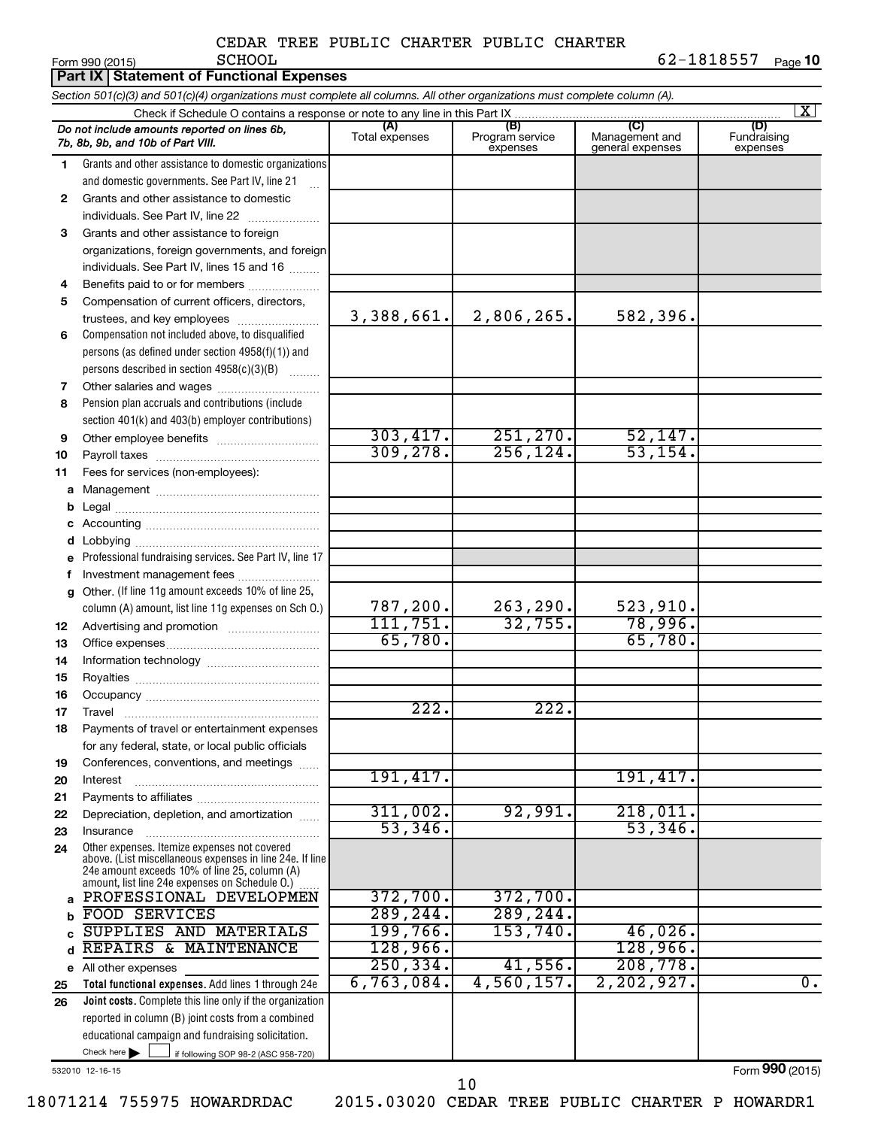|          | Part IX   Statement of Functional Expenses                                                                                                                                                                  |                       |                                    |                                           |                                |  |  |  |  |  |  |  |  |
|----------|-------------------------------------------------------------------------------------------------------------------------------------------------------------------------------------------------------------|-----------------------|------------------------------------|-------------------------------------------|--------------------------------|--|--|--|--|--|--|--|--|
|          | Section 501(c)(3) and 501(c)(4) organizations must complete all columns. All other organizations must complete column (A).<br>Check if Schedule O contains a response or note to any line in this Part IX   |                       |                                    |                                           |                                |  |  |  |  |  |  |  |  |
|          |                                                                                                                                                                                                             |                       |                                    |                                           | $\vert X \vert$                |  |  |  |  |  |  |  |  |
|          | Do not include amounts reported on lines 6b,<br>7b, 8b, 9b, and 10b of Part VIII.                                                                                                                           | (A)<br>Total expenses | (B)<br>Program service<br>expenses | (C)<br>Management and<br>general expenses | (D)<br>Fundraising<br>expenses |  |  |  |  |  |  |  |  |
| 1        | Grants and other assistance to domestic organizations                                                                                                                                                       |                       |                                    |                                           |                                |  |  |  |  |  |  |  |  |
|          | and domestic governments. See Part IV, line 21                                                                                                                                                              |                       |                                    |                                           |                                |  |  |  |  |  |  |  |  |
| 2        | Grants and other assistance to domestic                                                                                                                                                                     |                       |                                    |                                           |                                |  |  |  |  |  |  |  |  |
|          | individuals. See Part IV, line 22                                                                                                                                                                           |                       |                                    |                                           |                                |  |  |  |  |  |  |  |  |
| 3        | Grants and other assistance to foreign                                                                                                                                                                      |                       |                                    |                                           |                                |  |  |  |  |  |  |  |  |
|          | organizations, foreign governments, and foreign                                                                                                                                                             |                       |                                    |                                           |                                |  |  |  |  |  |  |  |  |
|          | individuals. See Part IV, lines 15 and 16                                                                                                                                                                   |                       |                                    |                                           |                                |  |  |  |  |  |  |  |  |
| 4        | Benefits paid to or for members                                                                                                                                                                             |                       |                                    |                                           |                                |  |  |  |  |  |  |  |  |
| 5        | Compensation of current officers, directors,                                                                                                                                                                |                       |                                    |                                           |                                |  |  |  |  |  |  |  |  |
|          | trustees, and key employees                                                                                                                                                                                 | 3,388,661.            | 2,806,265.                         | 582,396.                                  |                                |  |  |  |  |  |  |  |  |
| 6        | Compensation not included above, to disqualified                                                                                                                                                            |                       |                                    |                                           |                                |  |  |  |  |  |  |  |  |
|          | persons (as defined under section 4958(f)(1)) and                                                                                                                                                           |                       |                                    |                                           |                                |  |  |  |  |  |  |  |  |
|          | persons described in section 4958(c)(3)(B)                                                                                                                                                                  |                       |                                    |                                           |                                |  |  |  |  |  |  |  |  |
| 7<br>8   | Other salaries and wages<br>Pension plan accruals and contributions (include                                                                                                                                |                       |                                    |                                           |                                |  |  |  |  |  |  |  |  |
|          | section 401(k) and 403(b) employer contributions)                                                                                                                                                           |                       |                                    |                                           |                                |  |  |  |  |  |  |  |  |
| 9        |                                                                                                                                                                                                             | 303,417.              | 251, 270.                          | 52,147.                                   |                                |  |  |  |  |  |  |  |  |
| 10       |                                                                                                                                                                                                             | 309, 278.             | 256, 124.                          | 53, 154.                                  |                                |  |  |  |  |  |  |  |  |
| 11       | Fees for services (non-employees):                                                                                                                                                                          |                       |                                    |                                           |                                |  |  |  |  |  |  |  |  |
| а        |                                                                                                                                                                                                             |                       |                                    |                                           |                                |  |  |  |  |  |  |  |  |
| b        |                                                                                                                                                                                                             |                       |                                    |                                           |                                |  |  |  |  |  |  |  |  |
|          |                                                                                                                                                                                                             |                       |                                    |                                           |                                |  |  |  |  |  |  |  |  |
| d        |                                                                                                                                                                                                             |                       |                                    |                                           |                                |  |  |  |  |  |  |  |  |
| е        | Professional fundraising services. See Part IV, line 17                                                                                                                                                     |                       |                                    |                                           |                                |  |  |  |  |  |  |  |  |
| f        | Investment management fees                                                                                                                                                                                  |                       |                                    |                                           |                                |  |  |  |  |  |  |  |  |
| g        | Other. (If line 11g amount exceeds 10% of line 25,                                                                                                                                                          |                       |                                    |                                           |                                |  |  |  |  |  |  |  |  |
|          | column (A) amount, list line 11g expenses on Sch O.)                                                                                                                                                        | 787,200.              | 263, 290.                          | 523,910.                                  |                                |  |  |  |  |  |  |  |  |
| 12       |                                                                                                                                                                                                             | 111,751.              | 32,755.                            | 78,996.                                   |                                |  |  |  |  |  |  |  |  |
| 13       |                                                                                                                                                                                                             | 65,780.               |                                    | 65,780.                                   |                                |  |  |  |  |  |  |  |  |
| 14       |                                                                                                                                                                                                             |                       |                                    |                                           |                                |  |  |  |  |  |  |  |  |
| 15       |                                                                                                                                                                                                             |                       |                                    |                                           |                                |  |  |  |  |  |  |  |  |
| 16       |                                                                                                                                                                                                             | 222                   | 222                                |                                           |                                |  |  |  |  |  |  |  |  |
| 17<br>18 | Travel<br>Payments of travel or entertainment expenses                                                                                                                                                      |                       |                                    |                                           |                                |  |  |  |  |  |  |  |  |
|          | for any federal, state, or local public officials                                                                                                                                                           |                       |                                    |                                           |                                |  |  |  |  |  |  |  |  |
| 19       | Conferences, conventions, and meetings                                                                                                                                                                      |                       |                                    |                                           |                                |  |  |  |  |  |  |  |  |
| 20       | Interest                                                                                                                                                                                                    | 191,417.              |                                    | 191,417.                                  |                                |  |  |  |  |  |  |  |  |
| 21       |                                                                                                                                                                                                             |                       |                                    |                                           |                                |  |  |  |  |  |  |  |  |
| 22       | Depreciation, depletion, and amortization                                                                                                                                                                   | 311,002.              | 92,991.                            | 218,011.                                  |                                |  |  |  |  |  |  |  |  |
| 23       | Insurance                                                                                                                                                                                                   | 53,346.               |                                    | 53,346.                                   |                                |  |  |  |  |  |  |  |  |
| 24       | Other expenses. Itemize expenses not covered<br>above. (List miscellaneous expenses in line 24e. If line<br>24e amount exceeds 10% of line 25, column (A)<br>amount, list line 24e expenses on Schedule 0.) |                       |                                    |                                           |                                |  |  |  |  |  |  |  |  |
| a        | PROFESSIONAL DEVELOPMEN                                                                                                                                                                                     | 372,700.              | 372,700.                           |                                           |                                |  |  |  |  |  |  |  |  |
| b        | <b>FOOD SERVICES</b>                                                                                                                                                                                        | 289, 244.             | 289, 244.                          |                                           |                                |  |  |  |  |  |  |  |  |
| Ċ        | SUPPLIES AND MATERIALS                                                                                                                                                                                      | 199,766.              | 153,740.                           | 46,026.                                   |                                |  |  |  |  |  |  |  |  |
| d        | REPAIRS & MAINTENANCE                                                                                                                                                                                       | 128,966.              |                                    | 128,966.                                  |                                |  |  |  |  |  |  |  |  |
|          | e All other expenses                                                                                                                                                                                        | 250, 334.             | 41,556.                            | 208,778.                                  |                                |  |  |  |  |  |  |  |  |
| 25       | Total functional expenses. Add lines 1 through 24e                                                                                                                                                          | 6,763,084.            | 4,560,157.                         | 2, 202, 927.                              | $\overline{0}$ .               |  |  |  |  |  |  |  |  |
| 26       | Joint costs. Complete this line only if the organization                                                                                                                                                    |                       |                                    |                                           |                                |  |  |  |  |  |  |  |  |
|          | reported in column (B) joint costs from a combined                                                                                                                                                          |                       |                                    |                                           |                                |  |  |  |  |  |  |  |  |
|          | educational campaign and fundraising solicitation.<br>Check here $\blacktriangleright$                                                                                                                      |                       |                                    |                                           |                                |  |  |  |  |  |  |  |  |
|          | if following SOP 98-2 (ASC 958-720)                                                                                                                                                                         |                       |                                    |                                           |                                |  |  |  |  |  |  |  |  |

532010 12-16-15

Form (2015) **990**

18071214 755975 HOWARDRDAC 2015.03020 CEDAR TREE PUBLIC CHARTER P HOWARDR1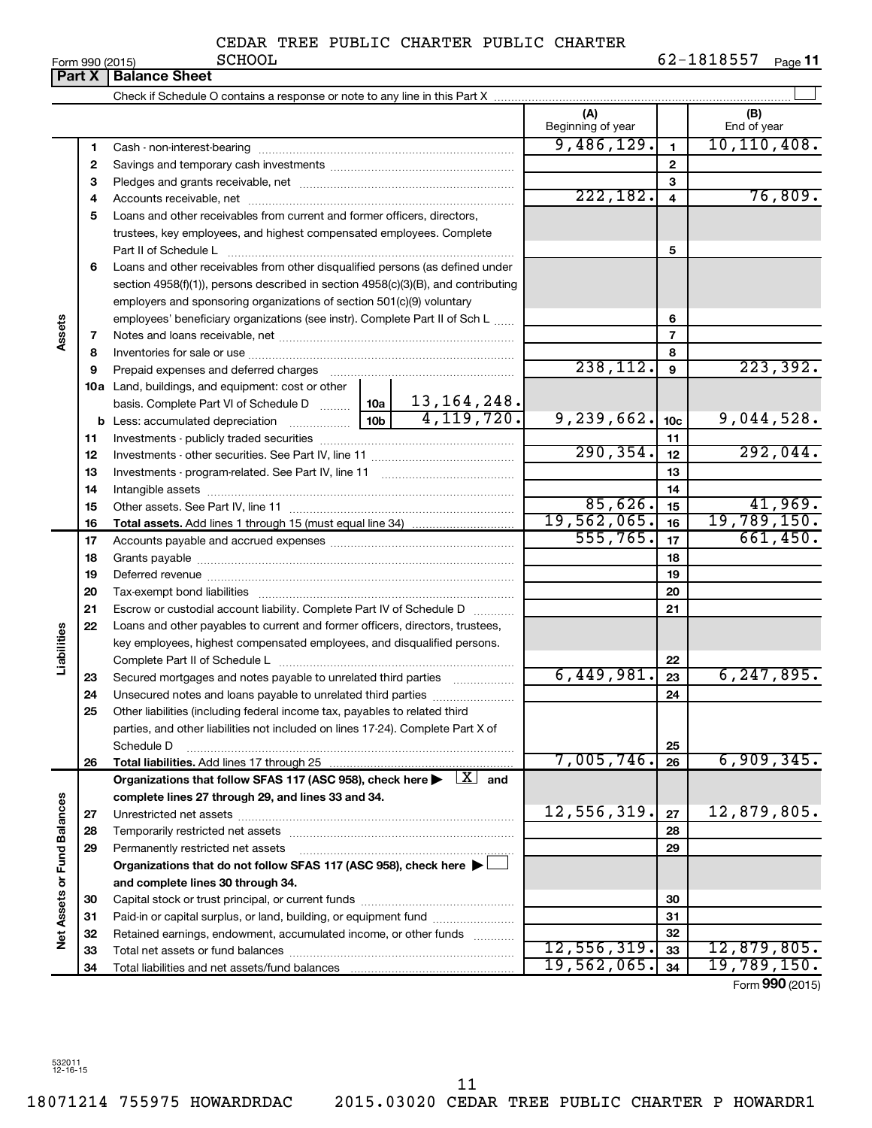| Form 990 (2015) |  |  |
|-----------------|--|--|

|                      | Form 990 (2015)<br><b>Part X</b> | ocuon<br><b>Balance Sheet</b>                                                                                                                                 |               |                   |                 | 02-1010777<br>Page II |
|----------------------|----------------------------------|---------------------------------------------------------------------------------------------------------------------------------------------------------------|---------------|-------------------|-----------------|-----------------------|
|                      |                                  |                                                                                                                                                               |               |                   |                 |                       |
|                      |                                  |                                                                                                                                                               |               | (A)               |                 |                       |
|                      |                                  |                                                                                                                                                               |               | Beginning of year |                 | (B)<br>End of year    |
|                      | 1                                |                                                                                                                                                               |               | 9,486,129.        | $\mathbf{1}$    | 10, 110, 408.         |
|                      | $\mathbf{2}$                     |                                                                                                                                                               |               |                   | $\mathbf{2}$    |                       |
|                      | 3                                |                                                                                                                                                               |               |                   | 3               |                       |
|                      | 4                                |                                                                                                                                                               |               | 222,182.          | 4               | 76,809.               |
|                      | 5                                | Loans and other receivables from current and former officers, directors,                                                                                      |               |                   |                 |                       |
|                      |                                  | trustees, key employees, and highest compensated employees. Complete                                                                                          |               |                   |                 |                       |
|                      |                                  | Part II of Schedule L                                                                                                                                         |               |                   | 5               |                       |
|                      | 6                                | Loans and other receivables from other disqualified persons (as defined under                                                                                 |               |                   |                 |                       |
|                      |                                  | section 4958(f)(1)), persons described in section 4958(c)(3)(B), and contributing                                                                             |               |                   |                 |                       |
|                      |                                  | employers and sponsoring organizations of section 501(c)(9) voluntary                                                                                         |               |                   |                 |                       |
|                      |                                  | employees' beneficiary organizations (see instr). Complete Part II of Sch L                                                                                   |               |                   | 6               |                       |
| Assets               | 7                                |                                                                                                                                                               |               |                   | 7               |                       |
|                      | 8                                |                                                                                                                                                               |               |                   | 8               |                       |
|                      | 9                                | Prepaid expenses and deferred charges                                                                                                                         | 238, 112.     | 9                 | 223, 392.       |                       |
|                      |                                  | 10a Land, buildings, and equipment: cost or other                                                                                                             |               |                   |                 |                       |
|                      |                                  | basis. Complete Part VI of Schedule D  10a                                                                                                                    | 13, 164, 248. |                   |                 |                       |
|                      |                                  |                                                                                                                                                               | 4, 119, 720.  | 9,239,662.        | 10 <sub>c</sub> | 9,044,528.            |
|                      | 11                               |                                                                                                                                                               |               |                   | 11              |                       |
|                      | 12                               |                                                                                                                                                               |               | 290, 354.         | 12              | 292,044.              |
|                      | 13                               |                                                                                                                                                               |               |                   | 13              |                       |
|                      | 14                               |                                                                                                                                                               |               |                   | 14              |                       |
|                      | 15                               |                                                                                                                                                               |               | 85,626.           | 15              | 41,969.               |
|                      | 16                               |                                                                                                                                                               |               | 19,562,065.       | 16              | 19,789,150.           |
|                      | 17                               |                                                                                                                                                               |               | 555, 765.         | 17              | 661,450.              |
|                      | 18                               |                                                                                                                                                               |               | 18                |                 |                       |
|                      | 19                               |                                                                                                                                                               |               | 19                |                 |                       |
|                      | 20                               |                                                                                                                                                               |               |                   | 20              |                       |
|                      | 21                               | Escrow or custodial account liability. Complete Part IV of Schedule D                                                                                         |               |                   | 21              |                       |
| Liabilities          | 22                               | Loans and other payables to current and former officers, directors, trustees,                                                                                 |               |                   |                 |                       |
|                      |                                  | key employees, highest compensated employees, and disqualified persons.                                                                                       |               |                   |                 |                       |
|                      |                                  |                                                                                                                                                               |               | 6,449,981.        | 22              | 6, 247, 895.          |
|                      | 23                               | Secured mortgages and notes payable to unrelated third parties                                                                                                |               |                   | 23              |                       |
|                      | 24                               | Unsecured notes and loans payable to unrelated third parties                                                                                                  |               |                   | 24              |                       |
|                      | 25                               | Other liabilities (including federal income tax, payables to related third<br>parties, and other liabilities not included on lines 17-24). Complete Part X of |               |                   |                 |                       |
|                      |                                  | Schedule D                                                                                                                                                    |               |                   | 25              |                       |
|                      | 26                               | Total liabilities. Add lines 17 through 25                                                                                                                    |               | 7,005,746.        | 26              | 6,909,345.            |
|                      |                                  | Organizations that follow SFAS 117 (ASC 958), check here $\blacktriangleright \begin{array}{c} \boxed{X} \\ \end{array}$ and                                  |               |                   |                 |                       |
|                      |                                  | complete lines 27 through 29, and lines 33 and 34.                                                                                                            |               |                   |                 |                       |
|                      | 27                               |                                                                                                                                                               |               | 12,556,319.       | 27              | 12,879,805.           |
| <b>Fund Balances</b> | 28                               |                                                                                                                                                               |               |                   | 28              |                       |
|                      | 29                               | Permanently restricted net assets                                                                                                                             |               |                   | 29              |                       |
|                      |                                  | Organizations that do not follow SFAS 117 (ASC 958), check here ▶                                                                                             |               |                   |                 |                       |
|                      |                                  | and complete lines 30 through 34.                                                                                                                             |               |                   |                 |                       |
|                      | 30                               |                                                                                                                                                               |               |                   | 30              |                       |
|                      | 31                               | Paid-in or capital surplus, or land, building, or equipment fund                                                                                              |               |                   | 31              |                       |
| Net Assets or        | 32                               | Retained earnings, endowment, accumulated income, or other funds                                                                                              |               |                   | 32              |                       |
|                      | 33                               |                                                                                                                                                               |               | 12,556,319.       | 33              | 12,879,805.           |
|                      | 34                               |                                                                                                                                                               |               | 19,562,065.       | 34              | 19,789,150.           |
|                      |                                  |                                                                                                                                                               |               |                   |                 |                       |

Form (2015) **990**

532011 12-16-15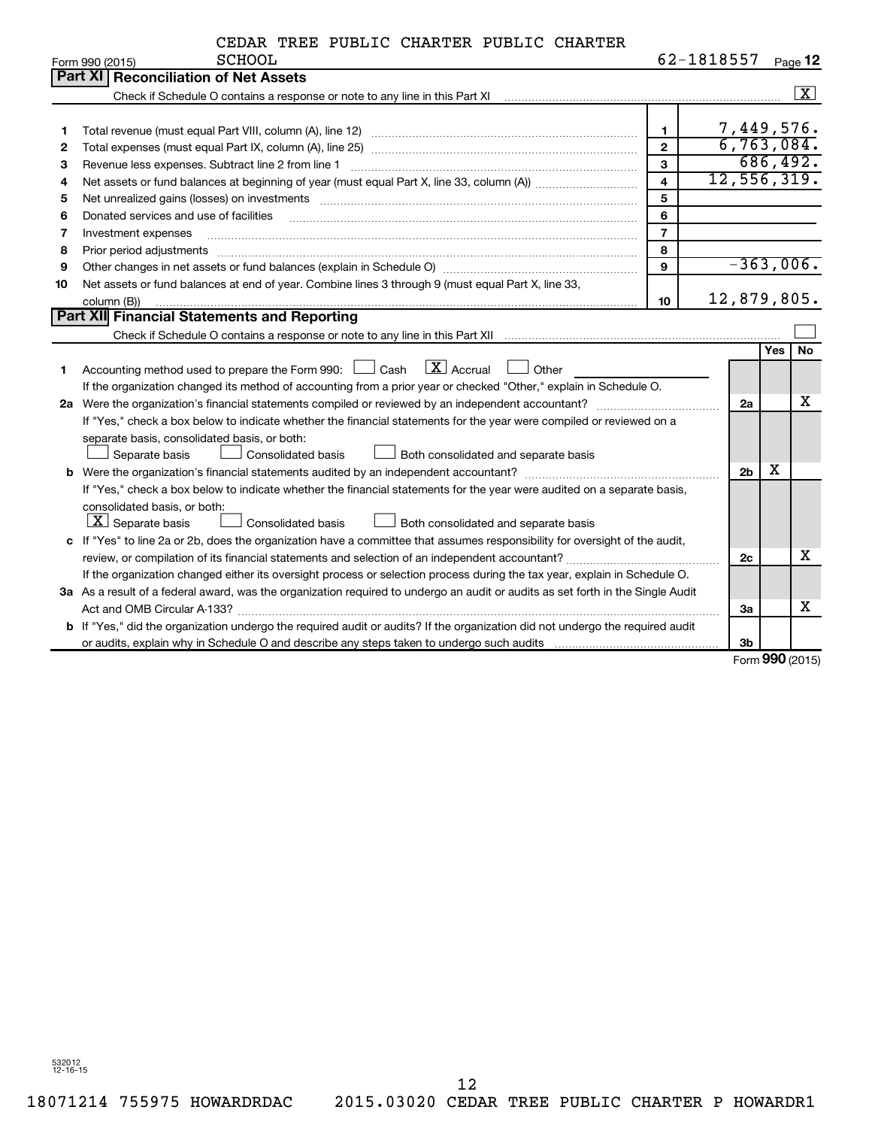|    | 62-1818557<br><b>SCHOOL</b><br>Form 990 (2015)                                                                                       |                         |                |  |     |                    |  |  |  |  |
|----|--------------------------------------------------------------------------------------------------------------------------------------|-------------------------|----------------|--|-----|--------------------|--|--|--|--|
|    | Part XI   Reconciliation of Net Assets                                                                                               |                         |                |  |     |                    |  |  |  |  |
|    |                                                                                                                                      |                         |                |  |     | $\boxed{\text{X}}$ |  |  |  |  |
|    |                                                                                                                                      |                         |                |  |     |                    |  |  |  |  |
| 1  |                                                                                                                                      | $\mathbf{1}$            | 7,449,576.     |  |     |                    |  |  |  |  |
| 2  |                                                                                                                                      | $\overline{2}$          | 6,763,084.     |  |     |                    |  |  |  |  |
| 3  | Revenue less expenses. Subtract line 2 from line 1                                                                                   | $\mathbf{3}$            |                |  |     | 686,492.           |  |  |  |  |
| 4  |                                                                                                                                      | $\overline{\mathbf{4}}$ | 12,556,319.    |  |     |                    |  |  |  |  |
| 5  |                                                                                                                                      | 5                       |                |  |     |                    |  |  |  |  |
| 6  | Donated services and use of facilities                                                                                               | 6                       |                |  |     |                    |  |  |  |  |
| 7  | Investment expenses                                                                                                                  | $\overline{7}$          |                |  |     |                    |  |  |  |  |
| 8  | Prior period adjustments                                                                                                             | 8                       |                |  |     |                    |  |  |  |  |
| 9  |                                                                                                                                      | 9                       |                |  |     | $-363,006.$        |  |  |  |  |
| 10 | Net assets or fund balances at end of year. Combine lines 3 through 9 (must equal Part X, line 33,                                   |                         |                |  |     |                    |  |  |  |  |
|    | column (B))                                                                                                                          | 10                      | 12,879,805.    |  |     |                    |  |  |  |  |
|    | Part XII Financial Statements and Reporting                                                                                          |                         |                |  |     |                    |  |  |  |  |
|    |                                                                                                                                      |                         |                |  |     |                    |  |  |  |  |
|    |                                                                                                                                      |                         |                |  | Yes | <b>No</b>          |  |  |  |  |
| 1  | Accounting method used to prepare the Form 990: $\Box$ Cash $\Box X$ Accrual<br>Other                                                |                         |                |  |     |                    |  |  |  |  |
|    | If the organization changed its method of accounting from a prior year or checked "Other," explain in Schedule O.                    |                         |                |  |     |                    |  |  |  |  |
|    | 2a Were the organization's financial statements compiled or reviewed by an independent accountant?                                   |                         | 2a             |  |     | х                  |  |  |  |  |
|    | If "Yes," check a box below to indicate whether the financial statements for the year were compiled or reviewed on a                 |                         |                |  |     |                    |  |  |  |  |
|    | separate basis, consolidated basis, or both:                                                                                         |                         |                |  |     |                    |  |  |  |  |
|    | Separate basis<br>Consolidated basis<br>Both consolidated and separate basis                                                         |                         |                |  |     |                    |  |  |  |  |
|    |                                                                                                                                      |                         | 2 <sub>b</sub> |  | х   |                    |  |  |  |  |
|    | If "Yes," check a box below to indicate whether the financial statements for the year were audited on a separate basis,              |                         |                |  |     |                    |  |  |  |  |
|    | consolidated basis, or both:                                                                                                         |                         |                |  |     |                    |  |  |  |  |
|    | $ \mathbf{X} $ Separate basis<br>Consolidated basis<br>Both consolidated and separate basis                                          |                         |                |  |     |                    |  |  |  |  |
|    | c If "Yes" to line 2a or 2b, does the organization have a committee that assumes responsibility for oversight of the audit,          |                         |                |  |     |                    |  |  |  |  |
|    |                                                                                                                                      |                         | 2c             |  |     | x                  |  |  |  |  |
|    | If the organization changed either its oversight process or selection process during the tax year, explain in Schedule O.            |                         |                |  |     |                    |  |  |  |  |
|    | 3a As a result of a federal award, was the organization required to undergo an audit or audits as set forth in the Single Audit      |                         |                |  |     |                    |  |  |  |  |
|    |                                                                                                                                      |                         | За             |  |     | x                  |  |  |  |  |
|    | <b>b</b> If "Yes," did the organization undergo the required audit or audits? If the organization did not undergo the required audit |                         |                |  |     |                    |  |  |  |  |
|    |                                                                                                                                      |                         | 3 <sub>b</sub> |  |     |                    |  |  |  |  |

Form (2015) **990**

532012 12-16-15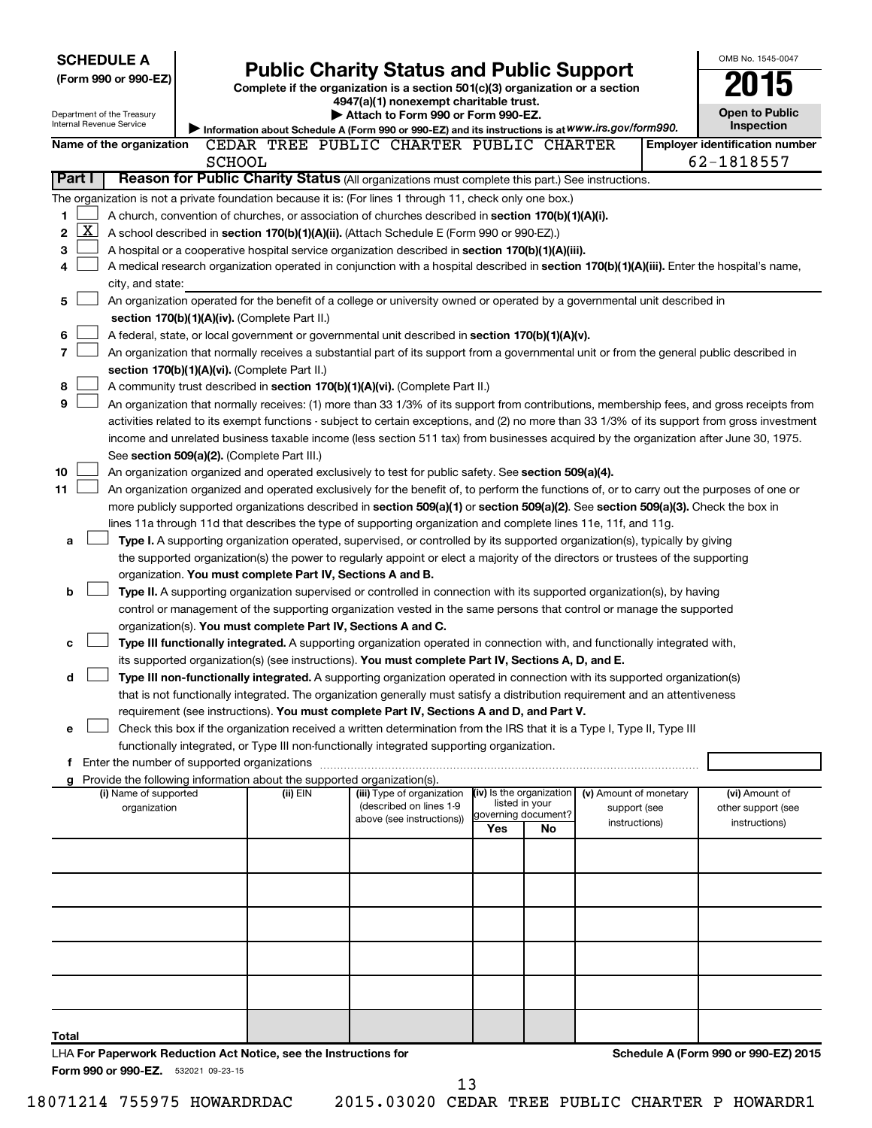| <b>SCHEDULE A</b>                                                                                         |                                                               |            |  |                                                                                                                                    |     |                                       |                        | OMB No. 1545-0047                                                                                                                             |
|-----------------------------------------------------------------------------------------------------------|---------------------------------------------------------------|------------|--|------------------------------------------------------------------------------------------------------------------------------------|-----|---------------------------------------|------------------------|-----------------------------------------------------------------------------------------------------------------------------------------------|
| (Form 990 or 990-EZ)                                                                                      |                                                               |            |  | <b>Public Charity Status and Public Support</b>                                                                                    |     |                                       |                        |                                                                                                                                               |
|                                                                                                           |                                                               |            |  | Complete if the organization is a section 501(c)(3) organization or a section                                                      |     |                                       |                        |                                                                                                                                               |
| Department of the Treasury                                                                                |                                                               |            |  | 4947(a)(1) nonexempt charitable trust.<br>Attach to Form 990 or Form 990-EZ.                                                       |     |                                       |                        | <b>Open to Public</b>                                                                                                                         |
| Internal Revenue Service                                                                                  |                                                               |            |  | Information about Schedule A (Form 990 or 990-EZ) and its instructions is at WWW.irs.gov/form990.                                  |     |                                       |                        | Inspection                                                                                                                                    |
| Name of the organization                                                                                  |                                                               |            |  | CEDAR TREE PUBLIC CHARTER PUBLIC CHARTER                                                                                           |     |                                       |                        | <b>Employer identification number</b>                                                                                                         |
|                                                                                                           | <b>SCHOOL</b>                                                 |            |  |                                                                                                                                    |     |                                       |                        | 62-1818557                                                                                                                                    |
| Part I                                                                                                    |                                                               |            |  | Reason for Public Charity Status (All organizations must complete this part.) See instructions.                                    |     |                                       |                        |                                                                                                                                               |
| The organization is not a private foundation because it is: (For lines 1 through 11, check only one box.) |                                                               |            |  |                                                                                                                                    |     |                                       |                        |                                                                                                                                               |
| 1                                                                                                         |                                                               |            |  | A church, convention of churches, or association of churches described in section 170(b)(1)(A)(i).                                 |     |                                       |                        |                                                                                                                                               |
| $\mathbf{X}$<br>2                                                                                         |                                                               |            |  | A school described in section 170(b)(1)(A)(ii). (Attach Schedule E (Form 990 or 990-EZ).)                                          |     |                                       |                        |                                                                                                                                               |
| 3                                                                                                         |                                                               |            |  | A hospital or a cooperative hospital service organization described in section 170(b)(1)(A)(iii).                                  |     |                                       |                        |                                                                                                                                               |
| 4                                                                                                         |                                                               |            |  |                                                                                                                                    |     |                                       |                        | A medical research organization operated in conjunction with a hospital described in section 170(b)(1)(A)(iii). Enter the hospital's name,    |
| city, and state:                                                                                          |                                                               |            |  |                                                                                                                                    |     |                                       |                        |                                                                                                                                               |
| 5                                                                                                         |                                                               |            |  | An organization operated for the benefit of a college or university owned or operated by a governmental unit described in          |     |                                       |                        |                                                                                                                                               |
|                                                                                                           | section 170(b)(1)(A)(iv). (Complete Part II.)                 |            |  |                                                                                                                                    |     |                                       |                        |                                                                                                                                               |
| 6                                                                                                         |                                                               |            |  | A federal, state, or local government or governmental unit described in section $170(b)(1)(A)(v)$ .                                |     |                                       |                        |                                                                                                                                               |
| 7                                                                                                         |                                                               |            |  |                                                                                                                                    |     |                                       |                        | An organization that normally receives a substantial part of its support from a governmental unit or from the general public described in     |
| section 170(b)(1)(A)(vi). (Complete Part II.)                                                             |                                                               |            |  |                                                                                                                                    |     |                                       |                        |                                                                                                                                               |
| 8                                                                                                         |                                                               |            |  | A community trust described in section 170(b)(1)(A)(vi). (Complete Part II.)                                                       |     |                                       |                        |                                                                                                                                               |
| 9                                                                                                         |                                                               |            |  |                                                                                                                                    |     |                                       |                        | An organization that normally receives: (1) more than 33 1/3% of its support from contributions, membership fees, and gross receipts from     |
|                                                                                                           |                                                               |            |  |                                                                                                                                    |     |                                       |                        | activities related to its exempt functions - subject to certain exceptions, and (2) no more than 33 1/3% of its support from gross investment |
|                                                                                                           |                                                               |            |  |                                                                                                                                    |     |                                       |                        | income and unrelated business taxable income (less section 511 tax) from businesses acquired by the organization after June 30, 1975.         |
| See section 509(a)(2). (Complete Part III.)                                                               |                                                               |            |  |                                                                                                                                    |     |                                       |                        |                                                                                                                                               |
| 10                                                                                                        |                                                               |            |  | An organization organized and operated exclusively to test for public safety. See section 509(a)(4).                               |     |                                       |                        |                                                                                                                                               |
| 11                                                                                                        |                                                               |            |  |                                                                                                                                    |     |                                       |                        | An organization organized and operated exclusively for the benefit of, to perform the functions of, or to carry out the purposes of one or    |
|                                                                                                           |                                                               |            |  |                                                                                                                                    |     |                                       |                        | more publicly supported organizations described in section 509(a)(1) or section 509(a)(2). See section 509(a)(3). Check the box in            |
|                                                                                                           |                                                               |            |  | lines 11a through 11d that describes the type of supporting organization and complete lines 11e, 11f, and 11g.                     |     |                                       |                        |                                                                                                                                               |
| а                                                                                                         |                                                               |            |  | <b>Type I.</b> A supporting organization operated, supervised, or controlled by its supported organization(s), typically by giving |     |                                       |                        |                                                                                                                                               |
|                                                                                                           |                                                               |            |  | the supported organization(s) the power to regularly appoint or elect a majority of the directors or trustees of the supporting    |     |                                       |                        |                                                                                                                                               |
| b                                                                                                         | organization. You must complete Part IV, Sections A and B.    |            |  | Type II. A supporting organization supervised or controlled in connection with its supported organization(s), by having            |     |                                       |                        |                                                                                                                                               |
|                                                                                                           |                                                               |            |  | control or management of the supporting organization vested in the same persons that control or manage the supported               |     |                                       |                        |                                                                                                                                               |
|                                                                                                           | organization(s). You must complete Part IV, Sections A and C. |            |  |                                                                                                                                    |     |                                       |                        |                                                                                                                                               |
| c                                                                                                         |                                                               |            |  | Type III functionally integrated. A supporting organization operated in connection with, and functionally integrated with,         |     |                                       |                        |                                                                                                                                               |
|                                                                                                           |                                                               |            |  | its supported organization(s) (see instructions). You must complete Part IV, Sections A, D, and E.                                 |     |                                       |                        |                                                                                                                                               |
| d                                                                                                         |                                                               |            |  | Type III non-functionally integrated. A supporting organization operated in connection with its supported organization(s)          |     |                                       |                        |                                                                                                                                               |
|                                                                                                           |                                                               |            |  | that is not functionally integrated. The organization generally must satisfy a distribution requirement and an attentiveness       |     |                                       |                        |                                                                                                                                               |
|                                                                                                           |                                                               |            |  | requirement (see instructions). You must complete Part IV, Sections A and D, and Part V.                                           |     |                                       |                        |                                                                                                                                               |
| е                                                                                                         |                                                               |            |  | Check this box if the organization received a written determination from the IRS that it is a Type I, Type II, Type III            |     |                                       |                        |                                                                                                                                               |
|                                                                                                           |                                                               |            |  | functionally integrated, or Type III non-functionally integrated supporting organization.                                          |     |                                       |                        |                                                                                                                                               |
| f Enter the number of supported organizations                                                             |                                                               |            |  |                                                                                                                                    |     |                                       |                        |                                                                                                                                               |
| g Provide the following information about the supported organization(s).                                  |                                                               |            |  |                                                                                                                                    |     |                                       |                        |                                                                                                                                               |
| (i) Name of supported                                                                                     |                                                               | $(ii)$ EIN |  | (iii) Type of organization                                                                                                         |     | (iv) Is the organization              | (v) Amount of monetary | (vi) Amount of                                                                                                                                |
| organization                                                                                              |                                                               |            |  | (described on lines 1-9<br>above (see instructions))                                                                               |     | listed in your<br>governing document? | support (see           | other support (see                                                                                                                            |
|                                                                                                           |                                                               |            |  |                                                                                                                                    | Yes | No                                    | instructions)          | instructions)                                                                                                                                 |
|                                                                                                           |                                                               |            |  |                                                                                                                                    |     |                                       |                        |                                                                                                                                               |
|                                                                                                           |                                                               |            |  |                                                                                                                                    |     |                                       |                        |                                                                                                                                               |
|                                                                                                           |                                                               |            |  |                                                                                                                                    |     |                                       |                        |                                                                                                                                               |
|                                                                                                           |                                                               |            |  |                                                                                                                                    |     |                                       |                        |                                                                                                                                               |
|                                                                                                           |                                                               |            |  |                                                                                                                                    |     |                                       |                        |                                                                                                                                               |
|                                                                                                           |                                                               |            |  |                                                                                                                                    |     |                                       |                        |                                                                                                                                               |
|                                                                                                           |                                                               |            |  |                                                                                                                                    |     |                                       |                        |                                                                                                                                               |
|                                                                                                           |                                                               |            |  |                                                                                                                                    |     |                                       |                        |                                                                                                                                               |
|                                                                                                           |                                                               |            |  |                                                                                                                                    |     |                                       |                        |                                                                                                                                               |
|                                                                                                           |                                                               |            |  |                                                                                                                                    |     |                                       |                        |                                                                                                                                               |
|                                                                                                           |                                                               |            |  |                                                                                                                                    |     |                                       |                        |                                                                                                                                               |
| Total                                                                                                     |                                                               |            |  |                                                                                                                                    |     |                                       |                        |                                                                                                                                               |
| LHA For Paperwork Reduction Act Notice, see the Instructions for<br>Form 990 or 990-EZ. 532021 09-23-15   |                                                               |            |  |                                                                                                                                    |     |                                       |                        | Schedule A (Form 990 or 990-EZ) 2015                                                                                                          |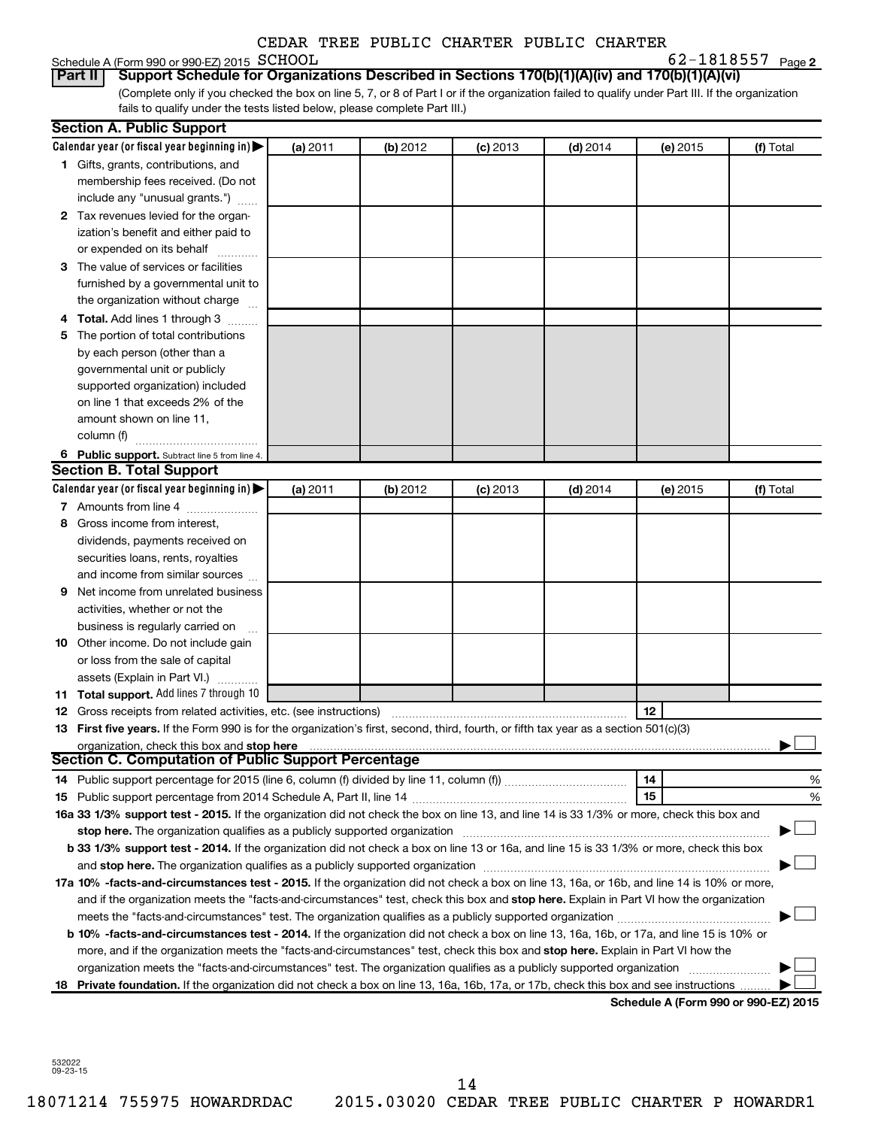# Schedule A (Form 990 or 990-EZ) 2015 SCHOOL

**2** SCHOOL 62-1818557

(Complete only if you checked the box on line 5, 7, or 8 of Part I or if the organization failed to qualify under Part III. If the organization fails to qualify under the tests listed below, please complete Part III.) **Part II Support Schedule for Organizations Described in Sections 170(b)(1)(A)(iv) and 170(b)(1)(A)(vi)**

| Calendar year (or fiscal year beginning in)<br>(a) 2011<br>(b) 2012<br>$(c)$ 2013<br>$(d)$ 2014<br>(e) 2015<br>(f) Total<br>1 Gifts, grants, contributions, and<br>membership fees received. (Do not<br>include any "unusual grants.")<br>2 Tax revenues levied for the organ-<br>ization's benefit and either paid to<br>or expended on its behalf<br>3 The value of services or facilities<br>furnished by a governmental unit to<br>the organization without charge<br>4 Total. Add lines 1 through 3<br>5 The portion of total contributions<br>by each person (other than a<br>governmental unit or publicly<br>supported organization) included<br>on line 1 that exceeds 2% of the<br>amount shown on line 11,<br>column (f)<br>6 Public support. Subtract line 5 from line 4.<br><b>Section B. Total Support</b><br>Calendar year (or fiscal year beginning in)<br>(a) 2011<br>(b) 2012<br>$(c)$ 2013<br>$(d)$ 2014<br>(e) 2015<br>(f) Total<br>7 Amounts from line 4<br>8 Gross income from interest,<br>dividends, payments received on<br>securities loans, rents, royalties<br>and income from similar sources<br>Net income from unrelated business<br>9<br>activities, whether or not the<br>business is regularly carried on<br>10 Other income. Do not include gain<br>or loss from the sale of capital<br>assets (Explain in Part VI.)<br>11 Total support. Add lines 7 through 10<br>12<br><b>12</b> Gross receipts from related activities, etc. (see instructions)<br>13 First five years. If the Form 990 is for the organization's first, second, third, fourth, or fifth tax year as a section 501(c)(3)<br>organization, check this box and stop here<br><b>Section C. Computation of Public Support Percentage</b><br>14<br>%<br>15<br>%<br>16a 33 1/3% support test - 2015. If the organization did not check the box on line 13, and line 14 is 33 1/3% or more, check this box and<br>stop here. The organization qualifies as a publicly supported organization<br>b 33 1/3% support test - 2014. If the organization did not check a box on line 13 or 16a, and line 15 is 33 1/3% or more, check this box<br>and stop here. The organization qualifies as a publicly supported organization [11] manuscription manuscription manuscription manuscription manuscription manuscription manuscription and an analyze of the organization manus<br>17a 10% -facts-and-circumstances test - 2015. If the organization did not check a box on line 13, 16a, or 16b, and line 14 is 10% or more,<br>and if the organization meets the "facts-and-circumstances" test, check this box and stop here. Explain in Part VI how the organization<br>b 10% -facts-and-circumstances test - 2014. If the organization did not check a box on line 13, 16a, 16b, or 17a, and line 15 is 10% or<br>more, and if the organization meets the "facts-and-circumstances" test, check this box and stop here. Explain in Part VI how the<br>organization meets the "facts-and-circumstances" test. The organization qualifies as a publicly supported organization<br>18 Private foundation. If the organization did not check a box on line 13, 16a, 16b, 17a, or 17b, check this box and see instructions | <b>Section A. Public Support</b> |  |  |  |
|-----------------------------------------------------------------------------------------------------------------------------------------------------------------------------------------------------------------------------------------------------------------------------------------------------------------------------------------------------------------------------------------------------------------------------------------------------------------------------------------------------------------------------------------------------------------------------------------------------------------------------------------------------------------------------------------------------------------------------------------------------------------------------------------------------------------------------------------------------------------------------------------------------------------------------------------------------------------------------------------------------------------------------------------------------------------------------------------------------------------------------------------------------------------------------------------------------------------------------------------------------------------------------------------------------------------------------------------------------------------------------------------------------------------------------------------------------------------------------------------------------------------------------------------------------------------------------------------------------------------------------------------------------------------------------------------------------------------------------------------------------------------------------------------------------------------------------------------------------------------------------------------------------------------------------------------------------------------------------------------------------------------------------------------------------------------------------------------------------------------------------------------------------------------------------------------------------------------------------------------------------------------------------------------------------------------------------------------------------------------------------------------------------------------------------------------------------------------------------------------------------------------------------------------------------------------------------------------------------------------------------------------------------------------------------------------------------------------------------------------------------------------------------------------------------------------------------------------------------------------------------------------------------------------------------------------------------------------------------------------------------------------------------------------------------------------------------------------------------------------------------------------------------------------------------------------------------------------------|----------------------------------|--|--|--|
|                                                                                                                                                                                                                                                                                                                                                                                                                                                                                                                                                                                                                                                                                                                                                                                                                                                                                                                                                                                                                                                                                                                                                                                                                                                                                                                                                                                                                                                                                                                                                                                                                                                                                                                                                                                                                                                                                                                                                                                                                                                                                                                                                                                                                                                                                                                                                                                                                                                                                                                                                                                                                                                                                                                                                                                                                                                                                                                                                                                                                                                                                                                                                                                                                       |                                  |  |  |  |
|                                                                                                                                                                                                                                                                                                                                                                                                                                                                                                                                                                                                                                                                                                                                                                                                                                                                                                                                                                                                                                                                                                                                                                                                                                                                                                                                                                                                                                                                                                                                                                                                                                                                                                                                                                                                                                                                                                                                                                                                                                                                                                                                                                                                                                                                                                                                                                                                                                                                                                                                                                                                                                                                                                                                                                                                                                                                                                                                                                                                                                                                                                                                                                                                                       |                                  |  |  |  |
|                                                                                                                                                                                                                                                                                                                                                                                                                                                                                                                                                                                                                                                                                                                                                                                                                                                                                                                                                                                                                                                                                                                                                                                                                                                                                                                                                                                                                                                                                                                                                                                                                                                                                                                                                                                                                                                                                                                                                                                                                                                                                                                                                                                                                                                                                                                                                                                                                                                                                                                                                                                                                                                                                                                                                                                                                                                                                                                                                                                                                                                                                                                                                                                                                       |                                  |  |  |  |
|                                                                                                                                                                                                                                                                                                                                                                                                                                                                                                                                                                                                                                                                                                                                                                                                                                                                                                                                                                                                                                                                                                                                                                                                                                                                                                                                                                                                                                                                                                                                                                                                                                                                                                                                                                                                                                                                                                                                                                                                                                                                                                                                                                                                                                                                                                                                                                                                                                                                                                                                                                                                                                                                                                                                                                                                                                                                                                                                                                                                                                                                                                                                                                                                                       |                                  |  |  |  |
|                                                                                                                                                                                                                                                                                                                                                                                                                                                                                                                                                                                                                                                                                                                                                                                                                                                                                                                                                                                                                                                                                                                                                                                                                                                                                                                                                                                                                                                                                                                                                                                                                                                                                                                                                                                                                                                                                                                                                                                                                                                                                                                                                                                                                                                                                                                                                                                                                                                                                                                                                                                                                                                                                                                                                                                                                                                                                                                                                                                                                                                                                                                                                                                                                       |                                  |  |  |  |
|                                                                                                                                                                                                                                                                                                                                                                                                                                                                                                                                                                                                                                                                                                                                                                                                                                                                                                                                                                                                                                                                                                                                                                                                                                                                                                                                                                                                                                                                                                                                                                                                                                                                                                                                                                                                                                                                                                                                                                                                                                                                                                                                                                                                                                                                                                                                                                                                                                                                                                                                                                                                                                                                                                                                                                                                                                                                                                                                                                                                                                                                                                                                                                                                                       |                                  |  |  |  |
|                                                                                                                                                                                                                                                                                                                                                                                                                                                                                                                                                                                                                                                                                                                                                                                                                                                                                                                                                                                                                                                                                                                                                                                                                                                                                                                                                                                                                                                                                                                                                                                                                                                                                                                                                                                                                                                                                                                                                                                                                                                                                                                                                                                                                                                                                                                                                                                                                                                                                                                                                                                                                                                                                                                                                                                                                                                                                                                                                                                                                                                                                                                                                                                                                       |                                  |  |  |  |
|                                                                                                                                                                                                                                                                                                                                                                                                                                                                                                                                                                                                                                                                                                                                                                                                                                                                                                                                                                                                                                                                                                                                                                                                                                                                                                                                                                                                                                                                                                                                                                                                                                                                                                                                                                                                                                                                                                                                                                                                                                                                                                                                                                                                                                                                                                                                                                                                                                                                                                                                                                                                                                                                                                                                                                                                                                                                                                                                                                                                                                                                                                                                                                                                                       |                                  |  |  |  |
|                                                                                                                                                                                                                                                                                                                                                                                                                                                                                                                                                                                                                                                                                                                                                                                                                                                                                                                                                                                                                                                                                                                                                                                                                                                                                                                                                                                                                                                                                                                                                                                                                                                                                                                                                                                                                                                                                                                                                                                                                                                                                                                                                                                                                                                                                                                                                                                                                                                                                                                                                                                                                                                                                                                                                                                                                                                                                                                                                                                                                                                                                                                                                                                                                       |                                  |  |  |  |
|                                                                                                                                                                                                                                                                                                                                                                                                                                                                                                                                                                                                                                                                                                                                                                                                                                                                                                                                                                                                                                                                                                                                                                                                                                                                                                                                                                                                                                                                                                                                                                                                                                                                                                                                                                                                                                                                                                                                                                                                                                                                                                                                                                                                                                                                                                                                                                                                                                                                                                                                                                                                                                                                                                                                                                                                                                                                                                                                                                                                                                                                                                                                                                                                                       |                                  |  |  |  |
|                                                                                                                                                                                                                                                                                                                                                                                                                                                                                                                                                                                                                                                                                                                                                                                                                                                                                                                                                                                                                                                                                                                                                                                                                                                                                                                                                                                                                                                                                                                                                                                                                                                                                                                                                                                                                                                                                                                                                                                                                                                                                                                                                                                                                                                                                                                                                                                                                                                                                                                                                                                                                                                                                                                                                                                                                                                                                                                                                                                                                                                                                                                                                                                                                       |                                  |  |  |  |
|                                                                                                                                                                                                                                                                                                                                                                                                                                                                                                                                                                                                                                                                                                                                                                                                                                                                                                                                                                                                                                                                                                                                                                                                                                                                                                                                                                                                                                                                                                                                                                                                                                                                                                                                                                                                                                                                                                                                                                                                                                                                                                                                                                                                                                                                                                                                                                                                                                                                                                                                                                                                                                                                                                                                                                                                                                                                                                                                                                                                                                                                                                                                                                                                                       |                                  |  |  |  |
|                                                                                                                                                                                                                                                                                                                                                                                                                                                                                                                                                                                                                                                                                                                                                                                                                                                                                                                                                                                                                                                                                                                                                                                                                                                                                                                                                                                                                                                                                                                                                                                                                                                                                                                                                                                                                                                                                                                                                                                                                                                                                                                                                                                                                                                                                                                                                                                                                                                                                                                                                                                                                                                                                                                                                                                                                                                                                                                                                                                                                                                                                                                                                                                                                       |                                  |  |  |  |
|                                                                                                                                                                                                                                                                                                                                                                                                                                                                                                                                                                                                                                                                                                                                                                                                                                                                                                                                                                                                                                                                                                                                                                                                                                                                                                                                                                                                                                                                                                                                                                                                                                                                                                                                                                                                                                                                                                                                                                                                                                                                                                                                                                                                                                                                                                                                                                                                                                                                                                                                                                                                                                                                                                                                                                                                                                                                                                                                                                                                                                                                                                                                                                                                                       |                                  |  |  |  |
|                                                                                                                                                                                                                                                                                                                                                                                                                                                                                                                                                                                                                                                                                                                                                                                                                                                                                                                                                                                                                                                                                                                                                                                                                                                                                                                                                                                                                                                                                                                                                                                                                                                                                                                                                                                                                                                                                                                                                                                                                                                                                                                                                                                                                                                                                                                                                                                                                                                                                                                                                                                                                                                                                                                                                                                                                                                                                                                                                                                                                                                                                                                                                                                                                       |                                  |  |  |  |
|                                                                                                                                                                                                                                                                                                                                                                                                                                                                                                                                                                                                                                                                                                                                                                                                                                                                                                                                                                                                                                                                                                                                                                                                                                                                                                                                                                                                                                                                                                                                                                                                                                                                                                                                                                                                                                                                                                                                                                                                                                                                                                                                                                                                                                                                                                                                                                                                                                                                                                                                                                                                                                                                                                                                                                                                                                                                                                                                                                                                                                                                                                                                                                                                                       |                                  |  |  |  |
|                                                                                                                                                                                                                                                                                                                                                                                                                                                                                                                                                                                                                                                                                                                                                                                                                                                                                                                                                                                                                                                                                                                                                                                                                                                                                                                                                                                                                                                                                                                                                                                                                                                                                                                                                                                                                                                                                                                                                                                                                                                                                                                                                                                                                                                                                                                                                                                                                                                                                                                                                                                                                                                                                                                                                                                                                                                                                                                                                                                                                                                                                                                                                                                                                       |                                  |  |  |  |
|                                                                                                                                                                                                                                                                                                                                                                                                                                                                                                                                                                                                                                                                                                                                                                                                                                                                                                                                                                                                                                                                                                                                                                                                                                                                                                                                                                                                                                                                                                                                                                                                                                                                                                                                                                                                                                                                                                                                                                                                                                                                                                                                                                                                                                                                                                                                                                                                                                                                                                                                                                                                                                                                                                                                                                                                                                                                                                                                                                                                                                                                                                                                                                                                                       |                                  |  |  |  |
|                                                                                                                                                                                                                                                                                                                                                                                                                                                                                                                                                                                                                                                                                                                                                                                                                                                                                                                                                                                                                                                                                                                                                                                                                                                                                                                                                                                                                                                                                                                                                                                                                                                                                                                                                                                                                                                                                                                                                                                                                                                                                                                                                                                                                                                                                                                                                                                                                                                                                                                                                                                                                                                                                                                                                                                                                                                                                                                                                                                                                                                                                                                                                                                                                       |                                  |  |  |  |
|                                                                                                                                                                                                                                                                                                                                                                                                                                                                                                                                                                                                                                                                                                                                                                                                                                                                                                                                                                                                                                                                                                                                                                                                                                                                                                                                                                                                                                                                                                                                                                                                                                                                                                                                                                                                                                                                                                                                                                                                                                                                                                                                                                                                                                                                                                                                                                                                                                                                                                                                                                                                                                                                                                                                                                                                                                                                                                                                                                                                                                                                                                                                                                                                                       |                                  |  |  |  |
|                                                                                                                                                                                                                                                                                                                                                                                                                                                                                                                                                                                                                                                                                                                                                                                                                                                                                                                                                                                                                                                                                                                                                                                                                                                                                                                                                                                                                                                                                                                                                                                                                                                                                                                                                                                                                                                                                                                                                                                                                                                                                                                                                                                                                                                                                                                                                                                                                                                                                                                                                                                                                                                                                                                                                                                                                                                                                                                                                                                                                                                                                                                                                                                                                       |                                  |  |  |  |
|                                                                                                                                                                                                                                                                                                                                                                                                                                                                                                                                                                                                                                                                                                                                                                                                                                                                                                                                                                                                                                                                                                                                                                                                                                                                                                                                                                                                                                                                                                                                                                                                                                                                                                                                                                                                                                                                                                                                                                                                                                                                                                                                                                                                                                                                                                                                                                                                                                                                                                                                                                                                                                                                                                                                                                                                                                                                                                                                                                                                                                                                                                                                                                                                                       |                                  |  |  |  |
|                                                                                                                                                                                                                                                                                                                                                                                                                                                                                                                                                                                                                                                                                                                                                                                                                                                                                                                                                                                                                                                                                                                                                                                                                                                                                                                                                                                                                                                                                                                                                                                                                                                                                                                                                                                                                                                                                                                                                                                                                                                                                                                                                                                                                                                                                                                                                                                                                                                                                                                                                                                                                                                                                                                                                                                                                                                                                                                                                                                                                                                                                                                                                                                                                       |                                  |  |  |  |
|                                                                                                                                                                                                                                                                                                                                                                                                                                                                                                                                                                                                                                                                                                                                                                                                                                                                                                                                                                                                                                                                                                                                                                                                                                                                                                                                                                                                                                                                                                                                                                                                                                                                                                                                                                                                                                                                                                                                                                                                                                                                                                                                                                                                                                                                                                                                                                                                                                                                                                                                                                                                                                                                                                                                                                                                                                                                                                                                                                                                                                                                                                                                                                                                                       |                                  |  |  |  |
|                                                                                                                                                                                                                                                                                                                                                                                                                                                                                                                                                                                                                                                                                                                                                                                                                                                                                                                                                                                                                                                                                                                                                                                                                                                                                                                                                                                                                                                                                                                                                                                                                                                                                                                                                                                                                                                                                                                                                                                                                                                                                                                                                                                                                                                                                                                                                                                                                                                                                                                                                                                                                                                                                                                                                                                                                                                                                                                                                                                                                                                                                                                                                                                                                       |                                  |  |  |  |
|                                                                                                                                                                                                                                                                                                                                                                                                                                                                                                                                                                                                                                                                                                                                                                                                                                                                                                                                                                                                                                                                                                                                                                                                                                                                                                                                                                                                                                                                                                                                                                                                                                                                                                                                                                                                                                                                                                                                                                                                                                                                                                                                                                                                                                                                                                                                                                                                                                                                                                                                                                                                                                                                                                                                                                                                                                                                                                                                                                                                                                                                                                                                                                                                                       |                                  |  |  |  |
|                                                                                                                                                                                                                                                                                                                                                                                                                                                                                                                                                                                                                                                                                                                                                                                                                                                                                                                                                                                                                                                                                                                                                                                                                                                                                                                                                                                                                                                                                                                                                                                                                                                                                                                                                                                                                                                                                                                                                                                                                                                                                                                                                                                                                                                                                                                                                                                                                                                                                                                                                                                                                                                                                                                                                                                                                                                                                                                                                                                                                                                                                                                                                                                                                       |                                  |  |  |  |
|                                                                                                                                                                                                                                                                                                                                                                                                                                                                                                                                                                                                                                                                                                                                                                                                                                                                                                                                                                                                                                                                                                                                                                                                                                                                                                                                                                                                                                                                                                                                                                                                                                                                                                                                                                                                                                                                                                                                                                                                                                                                                                                                                                                                                                                                                                                                                                                                                                                                                                                                                                                                                                                                                                                                                                                                                                                                                                                                                                                                                                                                                                                                                                                                                       |                                  |  |  |  |
|                                                                                                                                                                                                                                                                                                                                                                                                                                                                                                                                                                                                                                                                                                                                                                                                                                                                                                                                                                                                                                                                                                                                                                                                                                                                                                                                                                                                                                                                                                                                                                                                                                                                                                                                                                                                                                                                                                                                                                                                                                                                                                                                                                                                                                                                                                                                                                                                                                                                                                                                                                                                                                                                                                                                                                                                                                                                                                                                                                                                                                                                                                                                                                                                                       |                                  |  |  |  |
|                                                                                                                                                                                                                                                                                                                                                                                                                                                                                                                                                                                                                                                                                                                                                                                                                                                                                                                                                                                                                                                                                                                                                                                                                                                                                                                                                                                                                                                                                                                                                                                                                                                                                                                                                                                                                                                                                                                                                                                                                                                                                                                                                                                                                                                                                                                                                                                                                                                                                                                                                                                                                                                                                                                                                                                                                                                                                                                                                                                                                                                                                                                                                                                                                       |                                  |  |  |  |
|                                                                                                                                                                                                                                                                                                                                                                                                                                                                                                                                                                                                                                                                                                                                                                                                                                                                                                                                                                                                                                                                                                                                                                                                                                                                                                                                                                                                                                                                                                                                                                                                                                                                                                                                                                                                                                                                                                                                                                                                                                                                                                                                                                                                                                                                                                                                                                                                                                                                                                                                                                                                                                                                                                                                                                                                                                                                                                                                                                                                                                                                                                                                                                                                                       |                                  |  |  |  |
|                                                                                                                                                                                                                                                                                                                                                                                                                                                                                                                                                                                                                                                                                                                                                                                                                                                                                                                                                                                                                                                                                                                                                                                                                                                                                                                                                                                                                                                                                                                                                                                                                                                                                                                                                                                                                                                                                                                                                                                                                                                                                                                                                                                                                                                                                                                                                                                                                                                                                                                                                                                                                                                                                                                                                                                                                                                                                                                                                                                                                                                                                                                                                                                                                       |                                  |  |  |  |
|                                                                                                                                                                                                                                                                                                                                                                                                                                                                                                                                                                                                                                                                                                                                                                                                                                                                                                                                                                                                                                                                                                                                                                                                                                                                                                                                                                                                                                                                                                                                                                                                                                                                                                                                                                                                                                                                                                                                                                                                                                                                                                                                                                                                                                                                                                                                                                                                                                                                                                                                                                                                                                                                                                                                                                                                                                                                                                                                                                                                                                                                                                                                                                                                                       |                                  |  |  |  |
|                                                                                                                                                                                                                                                                                                                                                                                                                                                                                                                                                                                                                                                                                                                                                                                                                                                                                                                                                                                                                                                                                                                                                                                                                                                                                                                                                                                                                                                                                                                                                                                                                                                                                                                                                                                                                                                                                                                                                                                                                                                                                                                                                                                                                                                                                                                                                                                                                                                                                                                                                                                                                                                                                                                                                                                                                                                                                                                                                                                                                                                                                                                                                                                                                       |                                  |  |  |  |
|                                                                                                                                                                                                                                                                                                                                                                                                                                                                                                                                                                                                                                                                                                                                                                                                                                                                                                                                                                                                                                                                                                                                                                                                                                                                                                                                                                                                                                                                                                                                                                                                                                                                                                                                                                                                                                                                                                                                                                                                                                                                                                                                                                                                                                                                                                                                                                                                                                                                                                                                                                                                                                                                                                                                                                                                                                                                                                                                                                                                                                                                                                                                                                                                                       |                                  |  |  |  |
|                                                                                                                                                                                                                                                                                                                                                                                                                                                                                                                                                                                                                                                                                                                                                                                                                                                                                                                                                                                                                                                                                                                                                                                                                                                                                                                                                                                                                                                                                                                                                                                                                                                                                                                                                                                                                                                                                                                                                                                                                                                                                                                                                                                                                                                                                                                                                                                                                                                                                                                                                                                                                                                                                                                                                                                                                                                                                                                                                                                                                                                                                                                                                                                                                       |                                  |  |  |  |
|                                                                                                                                                                                                                                                                                                                                                                                                                                                                                                                                                                                                                                                                                                                                                                                                                                                                                                                                                                                                                                                                                                                                                                                                                                                                                                                                                                                                                                                                                                                                                                                                                                                                                                                                                                                                                                                                                                                                                                                                                                                                                                                                                                                                                                                                                                                                                                                                                                                                                                                                                                                                                                                                                                                                                                                                                                                                                                                                                                                                                                                                                                                                                                                                                       |                                  |  |  |  |
|                                                                                                                                                                                                                                                                                                                                                                                                                                                                                                                                                                                                                                                                                                                                                                                                                                                                                                                                                                                                                                                                                                                                                                                                                                                                                                                                                                                                                                                                                                                                                                                                                                                                                                                                                                                                                                                                                                                                                                                                                                                                                                                                                                                                                                                                                                                                                                                                                                                                                                                                                                                                                                                                                                                                                                                                                                                                                                                                                                                                                                                                                                                                                                                                                       |                                  |  |  |  |
|                                                                                                                                                                                                                                                                                                                                                                                                                                                                                                                                                                                                                                                                                                                                                                                                                                                                                                                                                                                                                                                                                                                                                                                                                                                                                                                                                                                                                                                                                                                                                                                                                                                                                                                                                                                                                                                                                                                                                                                                                                                                                                                                                                                                                                                                                                                                                                                                                                                                                                                                                                                                                                                                                                                                                                                                                                                                                                                                                                                                                                                                                                                                                                                                                       |                                  |  |  |  |
|                                                                                                                                                                                                                                                                                                                                                                                                                                                                                                                                                                                                                                                                                                                                                                                                                                                                                                                                                                                                                                                                                                                                                                                                                                                                                                                                                                                                                                                                                                                                                                                                                                                                                                                                                                                                                                                                                                                                                                                                                                                                                                                                                                                                                                                                                                                                                                                                                                                                                                                                                                                                                                                                                                                                                                                                                                                                                                                                                                                                                                                                                                                                                                                                                       |                                  |  |  |  |
|                                                                                                                                                                                                                                                                                                                                                                                                                                                                                                                                                                                                                                                                                                                                                                                                                                                                                                                                                                                                                                                                                                                                                                                                                                                                                                                                                                                                                                                                                                                                                                                                                                                                                                                                                                                                                                                                                                                                                                                                                                                                                                                                                                                                                                                                                                                                                                                                                                                                                                                                                                                                                                                                                                                                                                                                                                                                                                                                                                                                                                                                                                                                                                                                                       |                                  |  |  |  |
|                                                                                                                                                                                                                                                                                                                                                                                                                                                                                                                                                                                                                                                                                                                                                                                                                                                                                                                                                                                                                                                                                                                                                                                                                                                                                                                                                                                                                                                                                                                                                                                                                                                                                                                                                                                                                                                                                                                                                                                                                                                                                                                                                                                                                                                                                                                                                                                                                                                                                                                                                                                                                                                                                                                                                                                                                                                                                                                                                                                                                                                                                                                                                                                                                       |                                  |  |  |  |
|                                                                                                                                                                                                                                                                                                                                                                                                                                                                                                                                                                                                                                                                                                                                                                                                                                                                                                                                                                                                                                                                                                                                                                                                                                                                                                                                                                                                                                                                                                                                                                                                                                                                                                                                                                                                                                                                                                                                                                                                                                                                                                                                                                                                                                                                                                                                                                                                                                                                                                                                                                                                                                                                                                                                                                                                                                                                                                                                                                                                                                                                                                                                                                                                                       |                                  |  |  |  |
|                                                                                                                                                                                                                                                                                                                                                                                                                                                                                                                                                                                                                                                                                                                                                                                                                                                                                                                                                                                                                                                                                                                                                                                                                                                                                                                                                                                                                                                                                                                                                                                                                                                                                                                                                                                                                                                                                                                                                                                                                                                                                                                                                                                                                                                                                                                                                                                                                                                                                                                                                                                                                                                                                                                                                                                                                                                                                                                                                                                                                                                                                                                                                                                                                       |                                  |  |  |  |
|                                                                                                                                                                                                                                                                                                                                                                                                                                                                                                                                                                                                                                                                                                                                                                                                                                                                                                                                                                                                                                                                                                                                                                                                                                                                                                                                                                                                                                                                                                                                                                                                                                                                                                                                                                                                                                                                                                                                                                                                                                                                                                                                                                                                                                                                                                                                                                                                                                                                                                                                                                                                                                                                                                                                                                                                                                                                                                                                                                                                                                                                                                                                                                                                                       |                                  |  |  |  |
|                                                                                                                                                                                                                                                                                                                                                                                                                                                                                                                                                                                                                                                                                                                                                                                                                                                                                                                                                                                                                                                                                                                                                                                                                                                                                                                                                                                                                                                                                                                                                                                                                                                                                                                                                                                                                                                                                                                                                                                                                                                                                                                                                                                                                                                                                                                                                                                                                                                                                                                                                                                                                                                                                                                                                                                                                                                                                                                                                                                                                                                                                                                                                                                                                       |                                  |  |  |  |
|                                                                                                                                                                                                                                                                                                                                                                                                                                                                                                                                                                                                                                                                                                                                                                                                                                                                                                                                                                                                                                                                                                                                                                                                                                                                                                                                                                                                                                                                                                                                                                                                                                                                                                                                                                                                                                                                                                                                                                                                                                                                                                                                                                                                                                                                                                                                                                                                                                                                                                                                                                                                                                                                                                                                                                                                                                                                                                                                                                                                                                                                                                                                                                                                                       |                                  |  |  |  |
|                                                                                                                                                                                                                                                                                                                                                                                                                                                                                                                                                                                                                                                                                                                                                                                                                                                                                                                                                                                                                                                                                                                                                                                                                                                                                                                                                                                                                                                                                                                                                                                                                                                                                                                                                                                                                                                                                                                                                                                                                                                                                                                                                                                                                                                                                                                                                                                                                                                                                                                                                                                                                                                                                                                                                                                                                                                                                                                                                                                                                                                                                                                                                                                                                       |                                  |  |  |  |
|                                                                                                                                                                                                                                                                                                                                                                                                                                                                                                                                                                                                                                                                                                                                                                                                                                                                                                                                                                                                                                                                                                                                                                                                                                                                                                                                                                                                                                                                                                                                                                                                                                                                                                                                                                                                                                                                                                                                                                                                                                                                                                                                                                                                                                                                                                                                                                                                                                                                                                                                                                                                                                                                                                                                                                                                                                                                                                                                                                                                                                                                                                                                                                                                                       |                                  |  |  |  |
|                                                                                                                                                                                                                                                                                                                                                                                                                                                                                                                                                                                                                                                                                                                                                                                                                                                                                                                                                                                                                                                                                                                                                                                                                                                                                                                                                                                                                                                                                                                                                                                                                                                                                                                                                                                                                                                                                                                                                                                                                                                                                                                                                                                                                                                                                                                                                                                                                                                                                                                                                                                                                                                                                                                                                                                                                                                                                                                                                                                                                                                                                                                                                                                                                       |                                  |  |  |  |

**Schedule A (Form 990 or 990-EZ) 2015**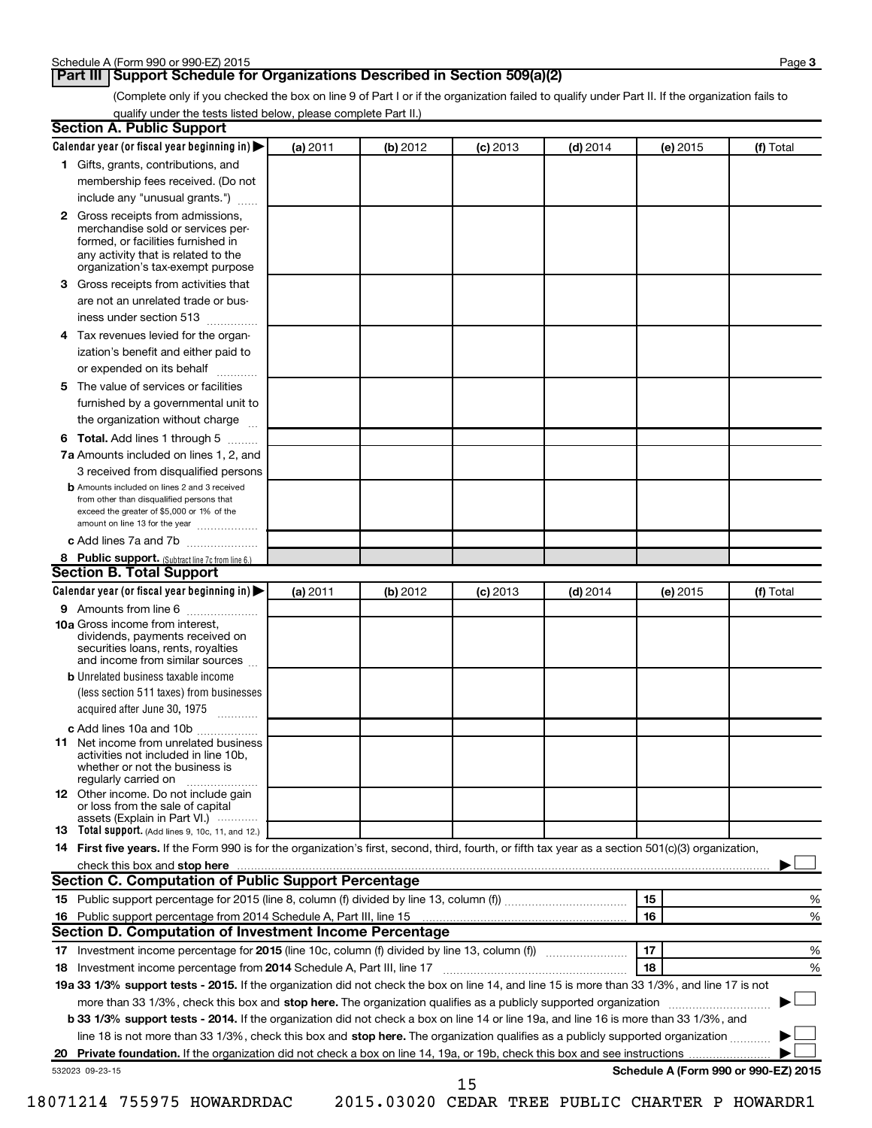# **Part III Support Schedule for Organizations Described in Section 509(a)(2)**

(Complete only if you checked the box on line 9 of Part I or if the organization failed to qualify under Part II. If the organization fails to qualify under the tests listed below, please complete Part II.)

| <b>Section A. Public Support</b>                                                                                                                                                         |          |          |            |            |          |                                                                                                                         |
|------------------------------------------------------------------------------------------------------------------------------------------------------------------------------------------|----------|----------|------------|------------|----------|-------------------------------------------------------------------------------------------------------------------------|
| Calendar year (or fiscal year beginning in)                                                                                                                                              | (a) 2011 | (b) 2012 | $(c)$ 2013 | $(d)$ 2014 | (e) 2015 | (f) Total                                                                                                               |
| 1 Gifts, grants, contributions, and                                                                                                                                                      |          |          |            |            |          |                                                                                                                         |
| membership fees received. (Do not                                                                                                                                                        |          |          |            |            |          |                                                                                                                         |
| include any "unusual grants.")                                                                                                                                                           |          |          |            |            |          |                                                                                                                         |
| 2 Gross receipts from admissions,<br>merchandise sold or services per-<br>formed, or facilities furnished in<br>any activity that is related to the<br>organization's tax-exempt purpose |          |          |            |            |          |                                                                                                                         |
| 3 Gross receipts from activities that                                                                                                                                                    |          |          |            |            |          |                                                                                                                         |
| are not an unrelated trade or bus-                                                                                                                                                       |          |          |            |            |          |                                                                                                                         |
| iness under section 513                                                                                                                                                                  |          |          |            |            |          |                                                                                                                         |
| 4 Tax revenues levied for the organ-                                                                                                                                                     |          |          |            |            |          |                                                                                                                         |
| ization's benefit and either paid to                                                                                                                                                     |          |          |            |            |          |                                                                                                                         |
| or expended on its behalf                                                                                                                                                                |          |          |            |            |          |                                                                                                                         |
| 5 The value of services or facilities                                                                                                                                                    |          |          |            |            |          |                                                                                                                         |
| furnished by a governmental unit to                                                                                                                                                      |          |          |            |            |          |                                                                                                                         |
| the organization without charge                                                                                                                                                          |          |          |            |            |          |                                                                                                                         |
| 6 Total. Add lines 1 through 5                                                                                                                                                           |          |          |            |            |          |                                                                                                                         |
| 7a Amounts included on lines 1, 2, and                                                                                                                                                   |          |          |            |            |          |                                                                                                                         |
| 3 received from disqualified persons                                                                                                                                                     |          |          |            |            |          |                                                                                                                         |
| <b>b</b> Amounts included on lines 2 and 3 received<br>from other than disqualified persons that<br>exceed the greater of \$5,000 or 1% of the<br>amount on line 13 for the year         |          |          |            |            |          |                                                                                                                         |
| c Add lines 7a and 7b                                                                                                                                                                    |          |          |            |            |          |                                                                                                                         |
| 8 Public support. (Subtract line 7c from line 6.)                                                                                                                                        |          |          |            |            |          |                                                                                                                         |
| <b>Section B. Total Support</b>                                                                                                                                                          |          |          |            |            |          |                                                                                                                         |
| Calendar year (or fiscal year beginning in)                                                                                                                                              | (a) 2011 | (b) 2012 | $(c)$ 2013 | $(d)$ 2014 | (e) 2015 | (f) Total                                                                                                               |
| 9 Amounts from line 6                                                                                                                                                                    |          |          |            |            |          |                                                                                                                         |
| <b>10a</b> Gross income from interest,<br>dividends, payments received on<br>securities loans, rents, royalties<br>and income from similar sources                                       |          |          |            |            |          |                                                                                                                         |
| <b>b</b> Unrelated business taxable income                                                                                                                                               |          |          |            |            |          |                                                                                                                         |
| (less section 511 taxes) from businesses                                                                                                                                                 |          |          |            |            |          |                                                                                                                         |
| acquired after June 30, 1975<br>$\frac{1}{2}$                                                                                                                                            |          |          |            |            |          |                                                                                                                         |
| c Add lines 10a and 10b                                                                                                                                                                  |          |          |            |            |          |                                                                                                                         |
| <b>11</b> Net income from unrelated business<br>activities not included in line 10b.<br>whether or not the business is<br>regularly carried on                                           |          |          |            |            |          |                                                                                                                         |
| 12 Other income. Do not include gain<br>or loss from the sale of capital<br>assets (Explain in Part VI.)                                                                                 |          |          |            |            |          |                                                                                                                         |
| <b>13</b> Total support. (Add lines 9, 10c, 11, and 12.)                                                                                                                                 |          |          |            |            |          |                                                                                                                         |
| 14 First five years. If the Form 990 is for the organization's first, second, third, fourth, or fifth tax year as a section 501(c)(3) organization,                                      |          |          |            |            |          |                                                                                                                         |
|                                                                                                                                                                                          |          |          |            |            |          |                                                                                                                         |
| <b>Section C. Computation of Public Support Percentage</b>                                                                                                                               |          |          |            |            |          |                                                                                                                         |
|                                                                                                                                                                                          |          |          |            |            | 15       | ℅                                                                                                                       |
| 16 Public support percentage from 2014 Schedule A, Part III, line 15                                                                                                                     |          |          |            |            | 16       | %                                                                                                                       |
| Section D. Computation of Investment Income Percentage                                                                                                                                   |          |          |            |            |          |                                                                                                                         |
|                                                                                                                                                                                          |          |          |            |            | 17       | %                                                                                                                       |
| 18 Investment income percentage from 2014 Schedule A, Part III, line 17                                                                                                                  |          |          |            |            | 18       | %                                                                                                                       |
| 19a 33 1/3% support tests - 2015. If the organization did not check the box on line 14, and line 15 is more than 33 1/3%, and line 17 is not                                             |          |          |            |            |          |                                                                                                                         |
| more than 33 1/3%, check this box and stop here. The organization qualifies as a publicly supported organization                                                                         |          |          |            |            |          | <u>a sa salawan na katalog asala sa salawan ng Pangalang Pangalang Pangalang Pangalang Pangalang Pangalang Pang</u> ala |
| b 33 1/3% support tests - 2014. If the organization did not check a box on line 14 or line 19a, and line 16 is more than 33 1/3%, and                                                    |          |          |            |            |          |                                                                                                                         |
| line 18 is not more than 33 1/3%, check this box and stop here. The organization qualifies as a publicly supported organization                                                          |          |          |            |            |          |                                                                                                                         |
|                                                                                                                                                                                          |          |          |            |            |          |                                                                                                                         |
| 532023 09-23-15                                                                                                                                                                          |          |          | 15         |            |          | Schedule A (Form 990 or 990-EZ) 2015                                                                                    |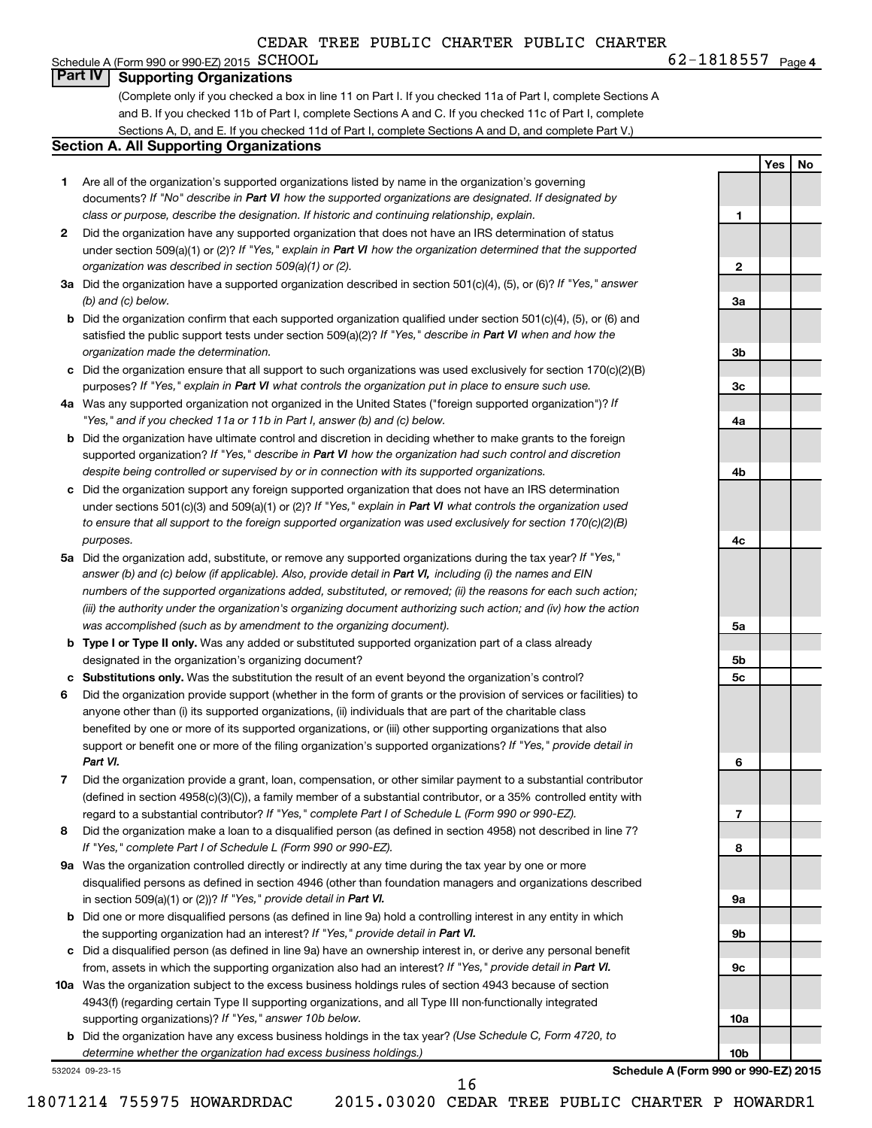#### **4**  $\text{G2}-1818557$   $\text{Page 4}$ Schedule A (Form 990 or 990-EZ) 2015  $SCHOOL$ **Part IV Supporting Organizations**

(Complete only if you checked a box in line 11 on Part I. If you checked 11a of Part I, complete Sections A and B. If you checked 11b of Part I, complete Sections A and C. If you checked 11c of Part I, complete Sections A, D, and E. If you checked 11d of Part I, complete Sections A and D, and complete Part V.)

#### **Section A. All Supporting Organizations**

- **1** Are all of the organization's supported organizations listed by name in the organization's governing documents? If "No" describe in Part VI how the supported organizations are designated. If designated by *class or purpose, describe the designation. If historic and continuing relationship, explain.*
- **2** Did the organization have any supported organization that does not have an IRS determination of status under section 509(a)(1) or (2)? If "Yes," explain in Part VI how the organization determined that the supported *organization was described in section 509(a)(1) or (2).*
- **3a** Did the organization have a supported organization described in section 501(c)(4), (5), or (6)? If "Yes," answer *(b) and (c) below.*
- **b** Did the organization confirm that each supported organization qualified under section 501(c)(4), (5), or (6) and satisfied the public support tests under section 509(a)(2)? If "Yes," describe in Part VI when and how the *organization made the determination.*
- **c** Did the organization ensure that all support to such organizations was used exclusively for section 170(c)(2)(B) purposes? If "Yes," explain in Part VI what controls the organization put in place to ensure such use.
- **4 a** *If* Was any supported organization not organized in the United States ("foreign supported organization")? *"Yes," and if you checked 11a or 11b in Part I, answer (b) and (c) below.*
- **b** Did the organization have ultimate control and discretion in deciding whether to make grants to the foreign supported organization? If "Yes," describe in Part VI how the organization had such control and discretion *despite being controlled or supervised by or in connection with its supported organizations.*
- **c** Did the organization support any foreign supported organization that does not have an IRS determination under sections 501(c)(3) and 509(a)(1) or (2)? If "Yes," explain in Part VI what controls the organization used *to ensure that all support to the foreign supported organization was used exclusively for section 170(c)(2)(B) purposes.*
- **5a** Did the organization add, substitute, or remove any supported organizations during the tax year? If "Yes," answer (b) and (c) below (if applicable). Also, provide detail in Part VI, including (i) the names and EIN *numbers of the supported organizations added, substituted, or removed; (ii) the reasons for each such action; (iii) the authority under the organization's organizing document authorizing such action; and (iv) how the action was accomplished (such as by amendment to the organizing document).*
- **b Type I or Type II only.** Was any added or substituted supported organization part of a class already designated in the organization's organizing document?
- **c Substitutions only.**  Was the substitution the result of an event beyond the organization's control?
- **6** Did the organization provide support (whether in the form of grants or the provision of services or facilities) to support or benefit one or more of the filing organization's supported organizations? If "Yes," provide detail in anyone other than (i) its supported organizations, (ii) individuals that are part of the charitable class benefited by one or more of its supported organizations, or (iii) other supporting organizations that also *Part VI.*
- **7** Did the organization provide a grant, loan, compensation, or other similar payment to a substantial contributor regard to a substantial contributor? If "Yes," complete Part I of Schedule L (Form 990 or 990-EZ). (defined in section 4958(c)(3)(C)), a family member of a substantial contributor, or a 35% controlled entity with
- **8** Did the organization make a loan to a disqualified person (as defined in section 4958) not described in line 7? *If "Yes," complete Part I of Schedule L (Form 990 or 990-EZ).*
- **9 a** Was the organization controlled directly or indirectly at any time during the tax year by one or more in section 509(a)(1) or (2))? If "Yes," provide detail in Part VI. disqualified persons as defined in section 4946 (other than foundation managers and organizations described
- **b** Did one or more disqualified persons (as defined in line 9a) hold a controlling interest in any entity in which the supporting organization had an interest? If "Yes," provide detail in Part VI.
- **c** Did a disqualified person (as defined in line 9a) have an ownership interest in, or derive any personal benefit from, assets in which the supporting organization also had an interest? If "Yes," provide detail in Part VI.
- **10 a** Was the organization subject to the excess business holdings rules of section 4943 because of section supporting organizations)? If "Yes," answer 10b below. 4943(f) (regarding certain Type II supporting organizations, and all Type III non-functionally integrated
	- **b** Did the organization have any excess business holdings in the tax year? (Use Schedule C, Form 4720, to *determine whether the organization had excess business holdings.)*

532024 09-23-15

**Schedule A (Form 990 or 990-EZ) 2015**

18071214 755975 HOWARDRDAC 2015.03020 CEDAR TREE PUBLIC CHARTER P HOWARDR1

16

**Yes No**

**1**

**2**

**3a**

**3b**

**3c**

**4a**

**4b**

**4c**

**5a**

**5b 5c**

**6**

**7**

**8**

**9a**

**9b**

**9c**

**10a**

**10b**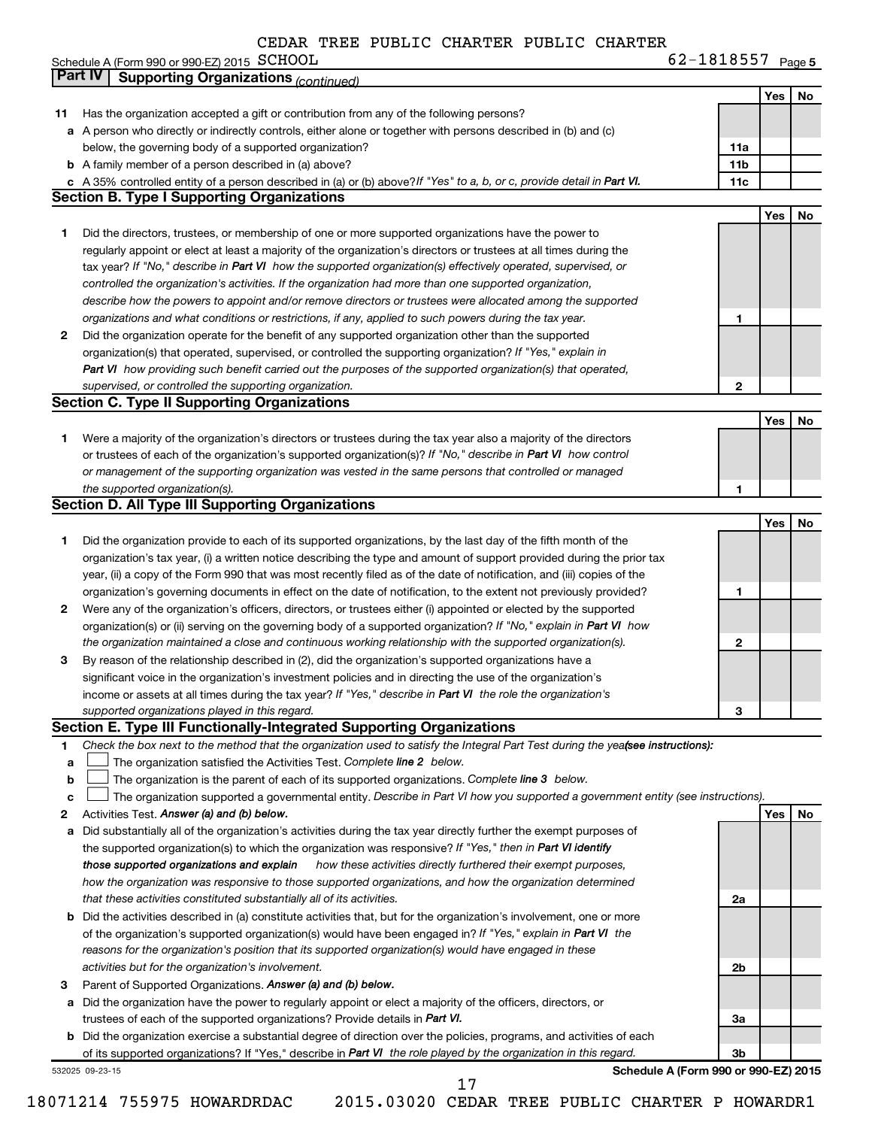|                                                        | CLUAR |  | INDA PUDUIL LAANIAN PUDUIL LAANIAN |            |        |
|--------------------------------------------------------|-------|--|------------------------------------|------------|--------|
| Schedule A (Form 990 or 990-EZ) 2015 $\,$ $\rm SCHOOL$ |       |  |                                    | 62-1818557 | Page 5 |
|                                                        |       |  |                                    |            |        |

|              | Part IV<br><b>Supporting Organizations (continued)</b>                                                                          |                 |     |    |
|--------------|---------------------------------------------------------------------------------------------------------------------------------|-----------------|-----|----|
|              |                                                                                                                                 |                 | Yes | No |
| 11           | Has the organization accepted a gift or contribution from any of the following persons?                                         |                 |     |    |
|              | a A person who directly or indirectly controls, either alone or together with persons described in (b) and (c)                  |                 |     |    |
|              | below, the governing body of a supported organization?                                                                          | 11a             |     |    |
|              | <b>b</b> A family member of a person described in (a) above?                                                                    | 11 <sub>b</sub> |     |    |
|              | c A 35% controlled entity of a person described in (a) or (b) above? If "Yes" to a, b, or c, provide detail in Part VI.         | 11c             |     |    |
|              | <b>Section B. Type I Supporting Organizations</b>                                                                               |                 |     |    |
|              |                                                                                                                                 |                 | Yes | No |
| 1            | Did the directors, trustees, or membership of one or more supported organizations have the power to                             |                 |     |    |
|              | regularly appoint or elect at least a majority of the organization's directors or trustees at all times during the              |                 |     |    |
|              | tax year? If "No," describe in Part VI how the supported organization(s) effectively operated, supervised, or                   |                 |     |    |
|              | controlled the organization's activities. If the organization had more than one supported organization,                         |                 |     |    |
|              | describe how the powers to appoint and/or remove directors or trustees were allocated among the supported                       |                 |     |    |
|              | organizations and what conditions or restrictions, if any, applied to such powers during the tax year.                          | 1               |     |    |
| $\mathbf{2}$ | Did the organization operate for the benefit of any supported organization other than the supported                             |                 |     |    |
|              | organization(s) that operated, supervised, or controlled the supporting organization? If "Yes," explain in                      |                 |     |    |
|              | Part VI how providing such benefit carried out the purposes of the supported organization(s) that operated,                     |                 |     |    |
|              | supervised, or controlled the supporting organization.                                                                          | $\mathbf{2}$    |     |    |
|              | <b>Section C. Type II Supporting Organizations</b>                                                                              |                 |     |    |
|              |                                                                                                                                 |                 | Yes | No |
| 1.           | Were a majority of the organization's directors or trustees during the tax year also a majority of the directors                |                 |     |    |
|              | or trustees of each of the organization's supported organization(s)? If "No," describe in Part VI how control                   |                 |     |    |
|              | or management of the supporting organization was vested in the same persons that controlled or managed                          |                 |     |    |
|              | the supported organization(s).                                                                                                  | 1               |     |    |
|              | <b>Section D. All Type III Supporting Organizations</b>                                                                         |                 |     |    |
|              |                                                                                                                                 |                 | Yes | No |
| 1            | Did the organization provide to each of its supported organizations, by the last day of the fifth month of the                  |                 |     |    |
|              | organization's tax year, (i) a written notice describing the type and amount of support provided during the prior tax           |                 |     |    |
|              | year, (ii) a copy of the Form 990 that was most recently filed as of the date of notification, and (iii) copies of the          |                 |     |    |
|              | organization's governing documents in effect on the date of notification, to the extent not previously provided?                | 1               |     |    |
| 2            | Were any of the organization's officers, directors, or trustees either (i) appointed or elected by the supported                |                 |     |    |
|              | organization(s) or (ii) serving on the governing body of a supported organization? If "No," explain in Part VI how              |                 |     |    |
|              | the organization maintained a close and continuous working relationship with the supported organization(s).                     | 2               |     |    |
| 3            | By reason of the relationship described in (2), did the organization's supported organizations have a                           |                 |     |    |
|              | significant voice in the organization's investment policies and in directing the use of the organization's                      |                 |     |    |
|              | income or assets at all times during the tax year? If "Yes," describe in Part VI the role the organization's                    |                 |     |    |
|              | supported organizations played in this regard.                                                                                  | 3               |     |    |
|              | Section E. Type III Functionally-Integrated Supporting Organizations                                                            |                 |     |    |
| 1            | Check the box next to the method that the organization used to satisfy the Integral Part Test during the yea(see instructions): |                 |     |    |
| a            | The organization satisfied the Activities Test. Complete line 2 below.                                                          |                 |     |    |
| b            | The organization is the parent of each of its supported organizations. Complete line 3 below.                                   |                 |     |    |
| с            | The organization supported a governmental entity. Describe in Part VI how you supported a government entity (see instructions). |                 |     |    |
| 2            | Activities Test. Answer (a) and (b) below.                                                                                      |                 | Yes | No |
| а            | Did substantially all of the organization's activities during the tax year directly further the exempt purposes of              |                 |     |    |
|              | the supported organization(s) to which the organization was responsive? If "Yes," then in Part VI identify                      |                 |     |    |
|              | how these activities directly furthered their exempt purposes,<br>those supported organizations and explain                     |                 |     |    |
|              | how the organization was responsive to those supported organizations, and how the organization determined                       |                 |     |    |
|              | that these activities constituted substantially all of its activities.                                                          | 2a              |     |    |
|              | <b>b</b> Did the activities described in (a) constitute activities that, but for the organization's involvement, one or more    |                 |     |    |
|              | of the organization's supported organization(s) would have been engaged in? If "Yes," explain in Part VI the                    |                 |     |    |
|              | reasons for the organization's position that its supported organization(s) would have engaged in these                          |                 |     |    |
|              | activities but for the organization's involvement.                                                                              | 2b              |     |    |
| 3            | Parent of Supported Organizations. Answer (a) and (b) below.                                                                    |                 |     |    |
|              | a Did the organization have the power to regularly appoint or elect a majority of the officers, directors, or                   |                 |     |    |
|              | trustees of each of the supported organizations? Provide details in Part VI.                                                    | За              |     |    |
|              | <b>b</b> Did the organization exercise a substantial degree of direction over the policies, programs, and activities of each    |                 |     |    |
|              | of its supported organizations? If "Yes," describe in Part VI the role played by the organization in this regard.               | 3b              |     |    |
|              | Schedule A (Form 990 or 990-EZ) 2015<br>532025 09-23-15                                                                         |                 |     |    |
|              | 17                                                                                                                              |                 |     |    |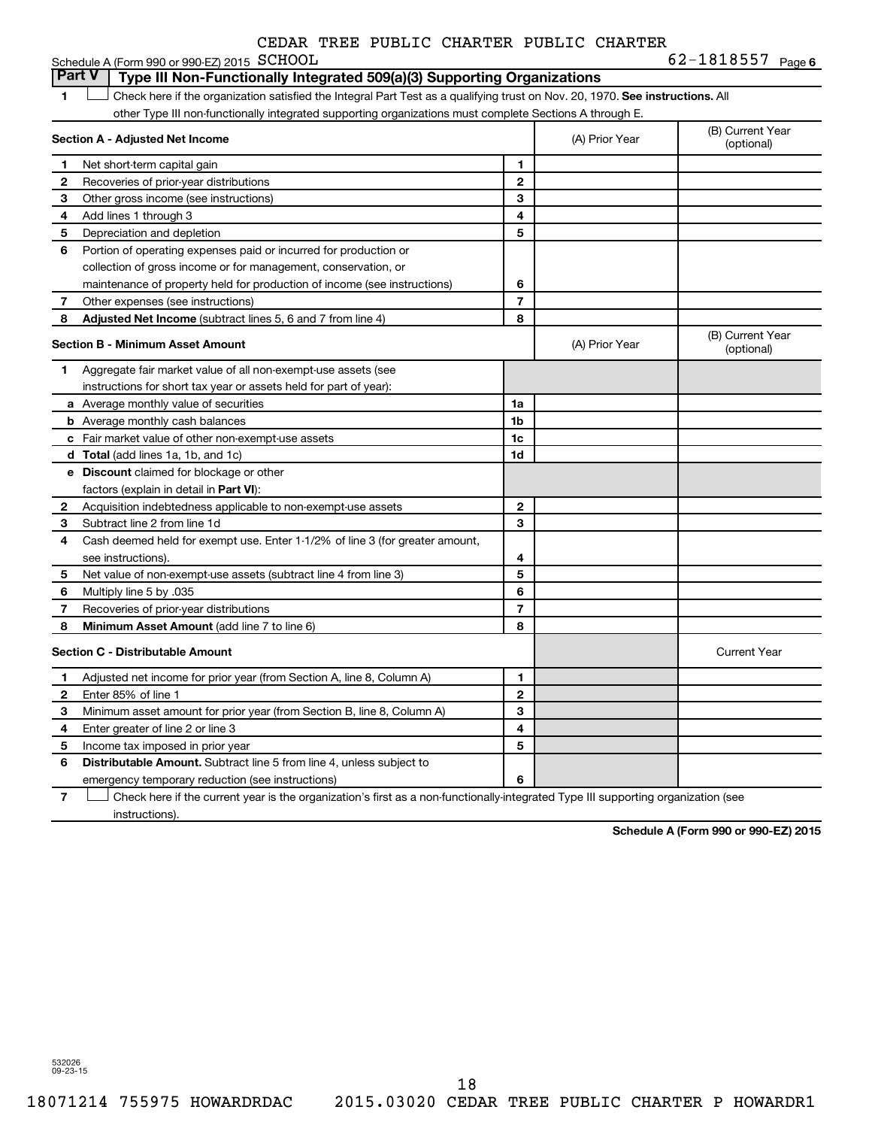| CEDAR TREE PUBLIC CHARTER PUBLIC CHARTER |  |  |  |  |  |
|------------------------------------------|--|--|--|--|--|
|------------------------------------------|--|--|--|--|--|

|                | Schedule A (Form 990 or 990-EZ) 2015 SCHOOL                                                                                   |                |                | 62-1818557 Page 6              |
|----------------|-------------------------------------------------------------------------------------------------------------------------------|----------------|----------------|--------------------------------|
| <b>Part V</b>  | Type III Non-Functionally Integrated 509(a)(3) Supporting Organizations                                                       |                |                |                                |
| 1              | Check here if the organization satisfied the Integral Part Test as a qualifying trust on Nov. 20, 1970. See instructions. All |                |                |                                |
|                | other Type III non-functionally integrated supporting organizations must complete Sections A through E.                       |                |                |                                |
|                | Section A - Adjusted Net Income                                                                                               |                | (A) Prior Year | (B) Current Year<br>(optional) |
| 1.             | Net short-term capital gain                                                                                                   | 1              |                |                                |
| 2              | Recoveries of prior-year distributions                                                                                        | $\mathbf{2}$   |                |                                |
| 3              | Other gross income (see instructions)                                                                                         | 3              |                |                                |
| 4              | Add lines 1 through 3                                                                                                         | 4              |                |                                |
| 5              | Depreciation and depletion                                                                                                    | 5              |                |                                |
| 6              | Portion of operating expenses paid or incurred for production or                                                              |                |                |                                |
|                | collection of gross income or for management, conservation, or                                                                |                |                |                                |
|                | maintenance of property held for production of income (see instructions)                                                      | 6              |                |                                |
| $\overline{7}$ | Other expenses (see instructions)                                                                                             | 7              |                |                                |
| 8              | Adjusted Net Income (subtract lines 5, 6 and 7 from line 4)                                                                   | 8              |                |                                |
|                | <b>Section B - Minimum Asset Amount</b>                                                                                       |                | (A) Prior Year | (B) Current Year<br>(optional) |
| 1              | Aggregate fair market value of all non-exempt-use assets (see                                                                 |                |                |                                |
|                | instructions for short tax year or assets held for part of year):                                                             |                |                |                                |
|                | a Average monthly value of securities                                                                                         | 1a             |                |                                |
|                | <b>b</b> Average monthly cash balances                                                                                        | 1b             |                |                                |
|                | c Fair market value of other non-exempt-use assets                                                                            | 1c             |                |                                |
|                | d Total (add lines 1a, 1b, and 1c)                                                                                            | 1d             |                |                                |
|                | <b>e</b> Discount claimed for blockage or other                                                                               |                |                |                                |
|                | factors (explain in detail in Part VI):                                                                                       |                |                |                                |
| $\mathbf{2}$   | Acquisition indebtedness applicable to non-exempt-use assets                                                                  | $\mathbf{2}$   |                |                                |
| 3              | Subtract line 2 from line 1d                                                                                                  | 3              |                |                                |
| 4              | Cash deemed held for exempt use. Enter 1-1/2% of line 3 (for greater amount,                                                  |                |                |                                |
|                | see instructions).                                                                                                            | 4              |                |                                |
| 5              | Net value of non-exempt-use assets (subtract line 4 from line 3)                                                              | 5              |                |                                |
| 6              | Multiply line 5 by .035                                                                                                       | 6              |                |                                |
| 7              | Recoveries of prior-year distributions                                                                                        | $\overline{7}$ |                |                                |
| 8              | Minimum Asset Amount (add line 7 to line 6)                                                                                   | 8              |                |                                |
|                | <b>Section C - Distributable Amount</b>                                                                                       |                |                | <b>Current Year</b>            |
| 1              | Adjusted net income for prior year (from Section A, line 8, Column A)                                                         | 1              |                |                                |
| 2              | Enter 85% of line 1                                                                                                           | $\mathbf{2}$   |                |                                |
| 3              | Minimum asset amount for prior year (from Section B, line 8, Column A)                                                        | 3              |                |                                |
| 4              | Enter greater of line 2 or line 3                                                                                             | 4              |                |                                |
| 5              | Income tax imposed in prior year                                                                                              | 5              |                |                                |
| 6              | <b>Distributable Amount.</b> Subtract line 5 from line 4, unless subject to                                                   |                |                |                                |
|                | emergency temporary reduction (see instructions)                                                                              | 6              |                |                                |

**7** Let Check here if the current year is the organization's first as a non-functionally-integrated Type III supporting organization (see instructions).

**Schedule A (Form 990 or 990-EZ) 2015**

532026 09-23-15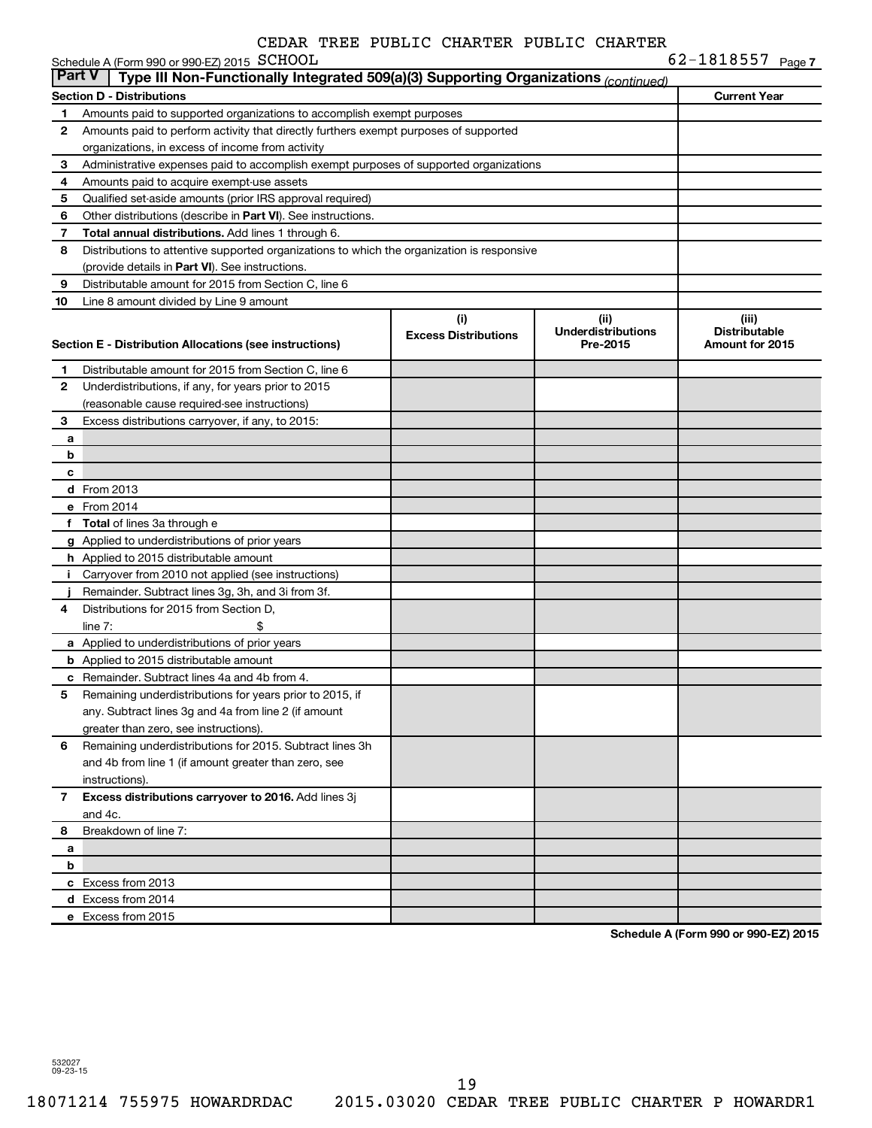|                | Schedule A (Form 990 or 990-EZ) 2015 SCHOOL                                                |                                    |                                               | 62-1818557 <sub>Page 7</sub>                     |
|----------------|--------------------------------------------------------------------------------------------|------------------------------------|-----------------------------------------------|--------------------------------------------------|
| <b>Part V</b>  | Type III Non-Functionally Integrated 509(a)(3) Supporting Organizations (continued)        |                                    |                                               |                                                  |
|                | <b>Section D - Distributions</b>                                                           |                                    |                                               | <b>Current Year</b>                              |
| 1              | Amounts paid to supported organizations to accomplish exempt purposes                      |                                    |                                               |                                                  |
| 2              | Amounts paid to perform activity that directly furthers exempt purposes of supported       |                                    |                                               |                                                  |
|                | organizations, in excess of income from activity                                           |                                    |                                               |                                                  |
| З              | Administrative expenses paid to accomplish exempt purposes of supported organizations      |                                    |                                               |                                                  |
| 4              | Amounts paid to acquire exempt-use assets                                                  |                                    |                                               |                                                  |
| 5              | Qualified set-aside amounts (prior IRS approval required)                                  |                                    |                                               |                                                  |
| 6              | Other distributions (describe in Part VI). See instructions.                               |                                    |                                               |                                                  |
| 7              | Total annual distributions. Add lines 1 through 6.                                         |                                    |                                               |                                                  |
| 8              | Distributions to attentive supported organizations to which the organization is responsive |                                    |                                               |                                                  |
|                | (provide details in Part VI). See instructions.                                            |                                    |                                               |                                                  |
| 9              | Distributable amount for 2015 from Section C, line 6                                       |                                    |                                               |                                                  |
| 10             | Line 8 amount divided by Line 9 amount                                                     |                                    |                                               |                                                  |
|                | Section E - Distribution Allocations (see instructions)                                    | (i)<br><b>Excess Distributions</b> | (ii)<br><b>Underdistributions</b><br>Pre-2015 | (iii)<br><b>Distributable</b><br>Amount for 2015 |
| 1              | Distributable amount for 2015 from Section C, line 6                                       |                                    |                                               |                                                  |
| 2              | Underdistributions, if any, for years prior to 2015                                        |                                    |                                               |                                                  |
|                | (reasonable cause required-see instructions)                                               |                                    |                                               |                                                  |
| з              | Excess distributions carryover, if any, to 2015:                                           |                                    |                                               |                                                  |
| а              |                                                                                            |                                    |                                               |                                                  |
| b              |                                                                                            |                                    |                                               |                                                  |
| c              |                                                                                            |                                    |                                               |                                                  |
|                | d From 2013                                                                                |                                    |                                               |                                                  |
|                | e From 2014                                                                                |                                    |                                               |                                                  |
|                | f Total of lines 3a through e                                                              |                                    |                                               |                                                  |
|                | g Applied to underdistributions of prior years                                             |                                    |                                               |                                                  |
|                | h Applied to 2015 distributable amount                                                     |                                    |                                               |                                                  |
| Î.             | Carryover from 2010 not applied (see instructions)                                         |                                    |                                               |                                                  |
|                | Remainder. Subtract lines 3g, 3h, and 3i from 3f.                                          |                                    |                                               |                                                  |
| 4              | Distributions for 2015 from Section D,                                                     |                                    |                                               |                                                  |
|                | \$<br>line $7:$                                                                            |                                    |                                               |                                                  |
|                | a Applied to underdistributions of prior years                                             |                                    |                                               |                                                  |
|                | <b>b</b> Applied to 2015 distributable amount                                              |                                    |                                               |                                                  |
|                | c Remainder. Subtract lines 4a and 4b from 4.                                              |                                    |                                               |                                                  |
|                | Remaining underdistributions for years prior to 2015, if                                   |                                    |                                               |                                                  |
|                | any. Subtract lines 3g and 4a from line 2 (if amount                                       |                                    |                                               |                                                  |
|                | greater than zero, see instructions).                                                      |                                    |                                               |                                                  |
| 6              | Remaining underdistributions for 2015. Subtract lines 3h                                   |                                    |                                               |                                                  |
|                | and 4b from line 1 (if amount greater than zero, see                                       |                                    |                                               |                                                  |
|                | instructions).                                                                             |                                    |                                               |                                                  |
| $\overline{7}$ | Excess distributions carryover to 2016. Add lines 3j                                       |                                    |                                               |                                                  |
|                | and 4c.                                                                                    |                                    |                                               |                                                  |
| 8              | Breakdown of line 7:                                                                       |                                    |                                               |                                                  |
| а              |                                                                                            |                                    |                                               |                                                  |
| b              |                                                                                            |                                    |                                               |                                                  |
|                | c Excess from 2013                                                                         |                                    |                                               |                                                  |
|                | d Excess from 2014                                                                         |                                    |                                               |                                                  |
|                | e Excess from 2015                                                                         |                                    |                                               |                                                  |
|                |                                                                                            |                                    |                                               |                                                  |

**Schedule A (Form 990 or 990-EZ) 2015**

532027 09-23-15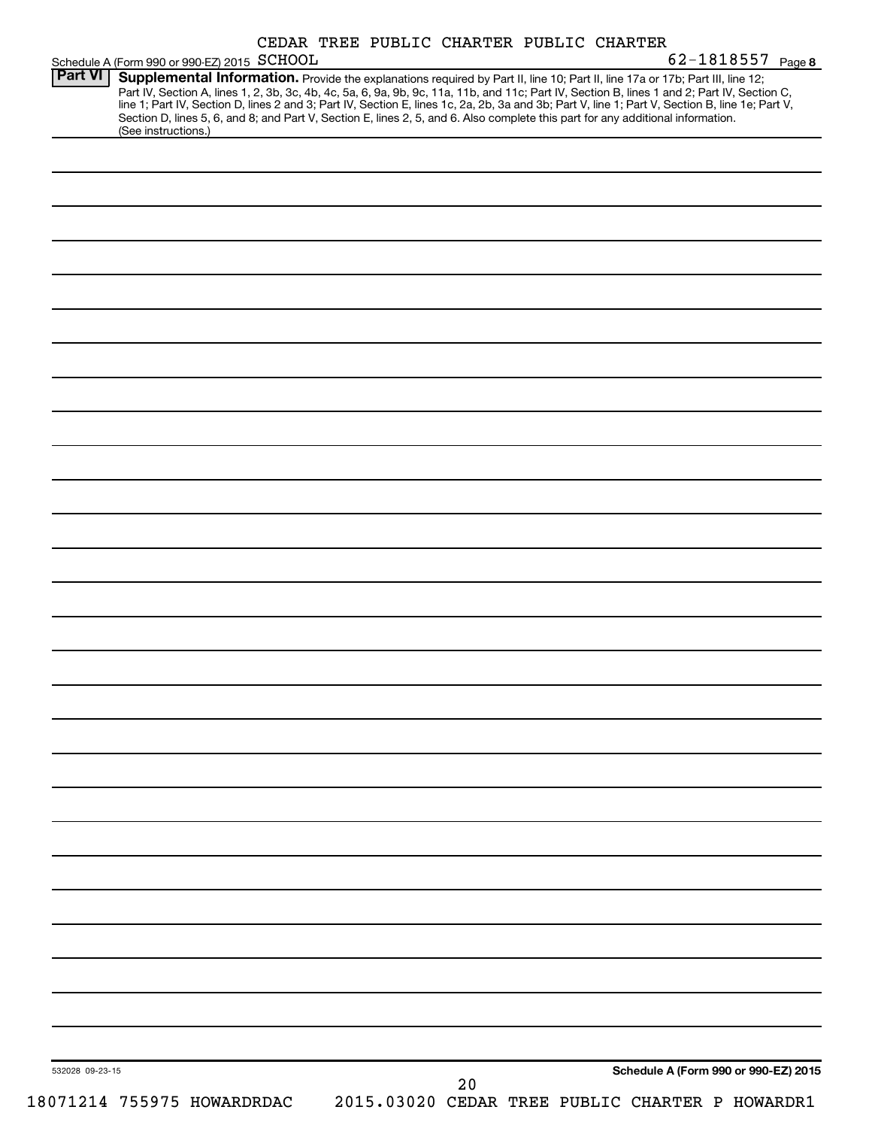| <b>Part VI</b>  | Schedule A (Form 990 or 990-EZ) 2015 SCHOOL |  | 62-1818557 Page 8<br>Supplemental Information. Provide the explanations required by Part II, line 10; Part II, line 17a or 17b; Part III, line 12;                                                                                                                                                                                                               |
|-----------------|---------------------------------------------|--|------------------------------------------------------------------------------------------------------------------------------------------------------------------------------------------------------------------------------------------------------------------------------------------------------------------------------------------------------------------|
|                 | (See instructions.)                         |  | Part IV, Section A, lines 1, 2, 3b, 3c, 4b, 4c, 5a, 6, 9a, 9b, 9c, 11a, 11b, and 11c; Part IV, Section B, lines 1 and 2; Part IV, Section C, line 1; Part IV, Section D, lines 2 and 3; Part IV, Section E, lines 1c, 2a, 2b,<br>Section D, lines 5, 6, and 8; and Part V, Section E, lines 2, 5, and 6. Also complete this part for any additional information. |
|                 |                                             |  |                                                                                                                                                                                                                                                                                                                                                                  |
|                 |                                             |  |                                                                                                                                                                                                                                                                                                                                                                  |
|                 |                                             |  |                                                                                                                                                                                                                                                                                                                                                                  |
|                 |                                             |  |                                                                                                                                                                                                                                                                                                                                                                  |
|                 |                                             |  |                                                                                                                                                                                                                                                                                                                                                                  |
|                 |                                             |  |                                                                                                                                                                                                                                                                                                                                                                  |
|                 |                                             |  |                                                                                                                                                                                                                                                                                                                                                                  |
|                 |                                             |  |                                                                                                                                                                                                                                                                                                                                                                  |
|                 |                                             |  |                                                                                                                                                                                                                                                                                                                                                                  |
|                 |                                             |  |                                                                                                                                                                                                                                                                                                                                                                  |
|                 |                                             |  |                                                                                                                                                                                                                                                                                                                                                                  |
|                 |                                             |  |                                                                                                                                                                                                                                                                                                                                                                  |
|                 |                                             |  |                                                                                                                                                                                                                                                                                                                                                                  |
|                 |                                             |  |                                                                                                                                                                                                                                                                                                                                                                  |
|                 |                                             |  |                                                                                                                                                                                                                                                                                                                                                                  |
|                 |                                             |  |                                                                                                                                                                                                                                                                                                                                                                  |
|                 |                                             |  |                                                                                                                                                                                                                                                                                                                                                                  |
|                 |                                             |  |                                                                                                                                                                                                                                                                                                                                                                  |
|                 |                                             |  |                                                                                                                                                                                                                                                                                                                                                                  |
|                 |                                             |  |                                                                                                                                                                                                                                                                                                                                                                  |
|                 |                                             |  |                                                                                                                                                                                                                                                                                                                                                                  |
|                 |                                             |  |                                                                                                                                                                                                                                                                                                                                                                  |
|                 |                                             |  |                                                                                                                                                                                                                                                                                                                                                                  |
|                 |                                             |  |                                                                                                                                                                                                                                                                                                                                                                  |
|                 |                                             |  |                                                                                                                                                                                                                                                                                                                                                                  |
|                 |                                             |  |                                                                                                                                                                                                                                                                                                                                                                  |
|                 |                                             |  |                                                                                                                                                                                                                                                                                                                                                                  |
|                 |                                             |  |                                                                                                                                                                                                                                                                                                                                                                  |
|                 |                                             |  |                                                                                                                                                                                                                                                                                                                                                                  |
|                 |                                             |  |                                                                                                                                                                                                                                                                                                                                                                  |
| 532028 09-23-15 |                                             |  | Schedule A (Form 990 or 990-EZ) 2015                                                                                                                                                                                                                                                                                                                             |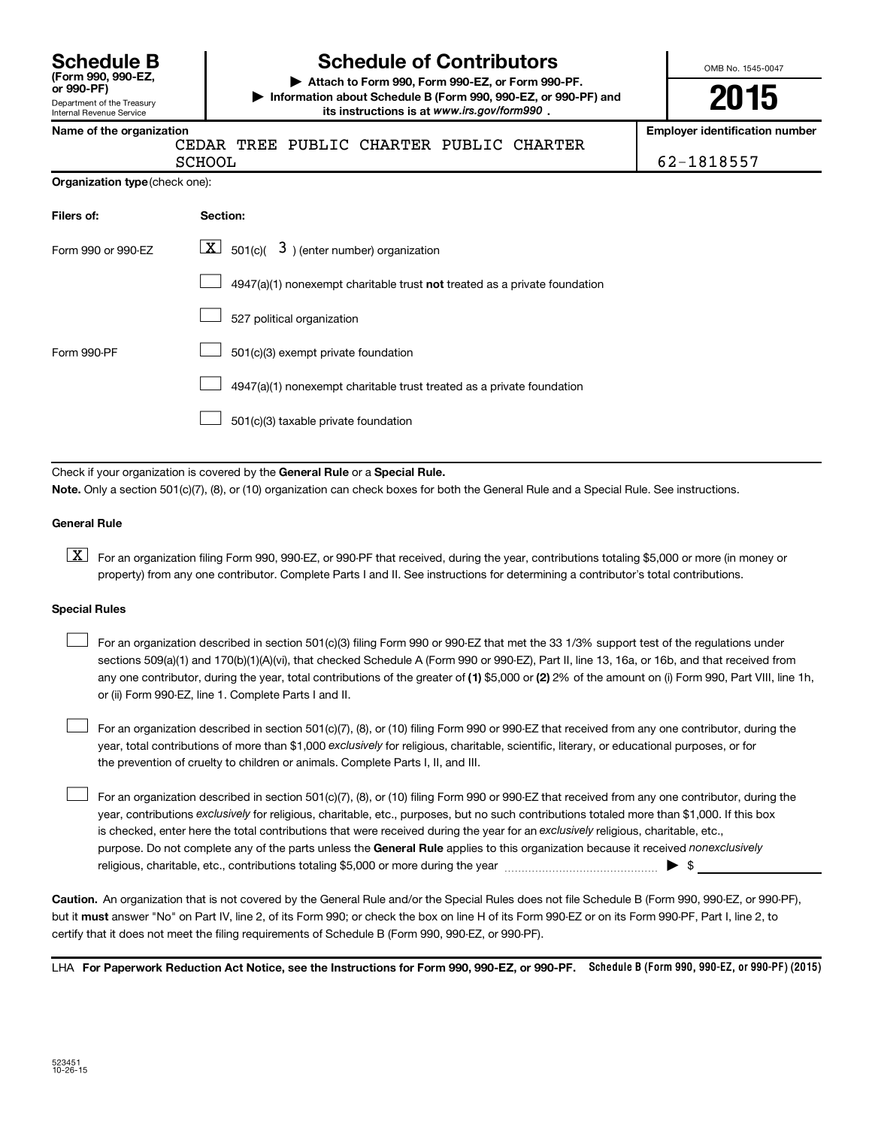| <b>Schedule B</b>     |  |  |
|-----------------------|--|--|
| (Form 990, 990-EZ,    |  |  |
| $or$ QQ $\Omega$ _DF) |  |  |

#### Department of the Treasury Internal Revenue Service

# **Schedule of Contributors**

**or 990-PF) | Attach to Form 990, Form 990-EZ, or Form 990-PF. | Information about Schedule B (Form 990, 990-EZ, or 990-PF) and** its instructions is at www.irs.gov/form990.

OMB No. 1545-0047

**2015**

**Name of the organization Employer identification number**

|  | ∪∟u   |
|--|-------|
|  | ATITC |

CEDAR TREE PUBLIC CHARTER PUBLIC CHARTER

SCHOOL 62-1818557

| Organization type (check one): |  |  |
|--------------------------------|--|--|
|                                |  |  |

| Filers of:         | Section:                                                                  |
|--------------------|---------------------------------------------------------------------------|
| Form 990 or 990-EZ | $\lfloor x \rfloor$ 501(c)( 3) (enter number) organization                |
|                    | 4947(a)(1) nonexempt charitable trust not treated as a private foundation |
|                    | 527 political organization                                                |
| Form 990-PF        | 501(c)(3) exempt private foundation                                       |
|                    | 4947(a)(1) nonexempt charitable trust treated as a private foundation     |
|                    | 501(c)(3) taxable private foundation                                      |

Check if your organization is covered by the General Rule or a Special Rule. **Note.**  Only a section 501(c)(7), (8), or (10) organization can check boxes for both the General Rule and a Special Rule. See instructions.

#### **General Rule**

**K** For an organization filing Form 990, 990-EZ, or 990-PF that received, during the year, contributions totaling \$5,000 or more (in money or property) from any one contributor. Complete Parts I and II. See instructions for determining a contributor's total contributions.

#### **Special Rules**

 $\Box$ 

any one contributor, during the year, total contributions of the greater of **(1)** \$5,000 or **(2)** 2% of the amount on (i) Form 990, Part VIII, line 1h, For an organization described in section 501(c)(3) filing Form 990 or 990-EZ that met the 33 1/3% support test of the regulations under sections 509(a)(1) and 170(b)(1)(A)(vi), that checked Schedule A (Form 990 or 990-EZ), Part II, line 13, 16a, or 16b, and that received from or (ii) Form 990-EZ, line 1. Complete Parts I and II.  $\Box$ 

year, total contributions of more than \$1,000 *exclusively* for religious, charitable, scientific, literary, or educational purposes, or for For an organization described in section 501(c)(7), (8), or (10) filing Form 990 or 990-EZ that received from any one contributor, during the the prevention of cruelty to children or animals. Complete Parts I, II, and III.  $\Box$ 

purpose. Do not complete any of the parts unless the General Rule applies to this organization because it received nonexclusively year, contributions exclusively for religious, charitable, etc., purposes, but no such contributions totaled more than \$1,000. If this box is checked, enter here the total contributions that were received during the year for an exclusively religious, charitable, etc., For an organization described in section 501(c)(7), (8), or (10) filing Form 990 or 990-EZ that received from any one contributor, during the religious, charitable, etc., contributions totaling \$5,000 or more during the year  $\ldots$  $\ldots$  $\ldots$  $\ldots$  $\ldots$  $\ldots$ 

**Caution.** An organization that is not covered by the General Rule and/or the Special Rules does not file Schedule B (Form 990, 990-EZ, or 990-PF),  **must** but it answer "No" on Part IV, line 2, of its Form 990; or check the box on line H of its Form 990-EZ or on its Form 990-PF, Part I, line 2, to certify that it does not meet the filing requirements of Schedule B (Form 990, 990-EZ, or 990-PF).

LHA For Paperwork Reduction Act Notice, see the Instructions for Form 990, 990-EZ, or 990-PF. Schedule B (Form 990, 990-EZ, or 990-PF) (2015)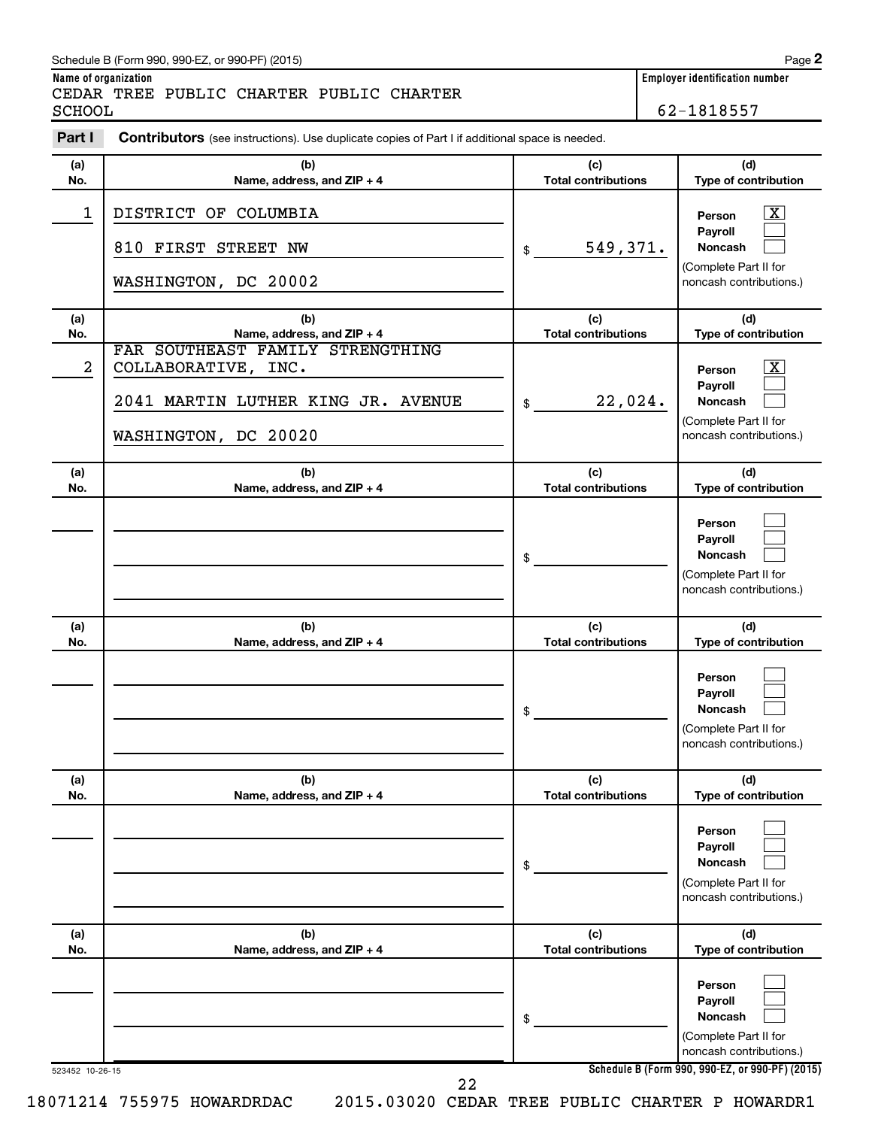# Schedule B (Form 990, 990-EZ, or 990-PF) (2015)

CEDAR TREE PUBLIC CHARTER PUBLIC CHARTER SCHOOL 62-1818557

**Name of organization Employer identification number**

| Part I     | <b>Contributors</b> (see instructions). Use duplicate copies of Part I if additional space is needed.                 |                                   |                                                                                                                 |
|------------|-----------------------------------------------------------------------------------------------------------------------|-----------------------------------|-----------------------------------------------------------------------------------------------------------------|
| (a)<br>No. | (b)<br>Name, address, and ZIP + 4                                                                                     | (c)<br><b>Total contributions</b> | (d)<br>Type of contribution                                                                                     |
| 1          | DISTRICT OF COLUMBIA<br>810 FIRST STREET NW<br>WASHINGTON, DC 20002                                                   | 549,371.<br>\$                    | $\overline{\mathbf{X}}$<br>Person<br>Payroll<br>Noncash<br>(Complete Part II for<br>noncash contributions.)     |
| (a)<br>No. | (b)<br>Name, address, and ZIP + 4                                                                                     | (c)<br><b>Total contributions</b> | (d)<br>Type of contribution                                                                                     |
| 2          | FAR SOUTHEAST FAMILY STRENGTHING<br>COLLABORATIVE, INC.<br>2041 MARTIN LUTHER KING JR. AVENUE<br>WASHINGTON, DC 20020 | 22,024.<br>\$                     | $\boxed{\mathbf{X}}$<br>Person<br>Payroll<br><b>Noncash</b><br>(Complete Part II for<br>noncash contributions.) |
| (a)<br>No. | (b)<br>Name, address, and ZIP + 4                                                                                     | (c)<br><b>Total contributions</b> | (d)<br>Type of contribution                                                                                     |
|            |                                                                                                                       | \$                                | Person<br>Payroll<br><b>Noncash</b><br>(Complete Part II for<br>noncash contributions.)                         |
| (a)<br>No. | (b)<br>Name, address, and ZIP + 4                                                                                     | (c)<br><b>Total contributions</b> | (d)<br>Type of contribution                                                                                     |
|            |                                                                                                                       | \$                                | Person<br>Payroll<br>Noncash<br>(Complete Part II for<br>noncash contributions.)                                |
| (a)<br>No. | (b)<br>Name, address, and ZIP + 4                                                                                     | (c)<br><b>Total contributions</b> | (d)<br>Type of contribution                                                                                     |
|            |                                                                                                                       | \$                                | Person<br>Payroll<br><b>Noncash</b><br>(Complete Part II for<br>noncash contributions.)                         |
| (a)<br>No. | (b)<br>Name, address, and ZIP + 4                                                                                     | (c)<br><b>Total contributions</b> | (d)<br>Type of contribution                                                                                     |
|            |                                                                                                                       | \$                                | Person<br>Payroll<br><b>Noncash</b><br>(Complete Part II for<br>noncash contributions.)                         |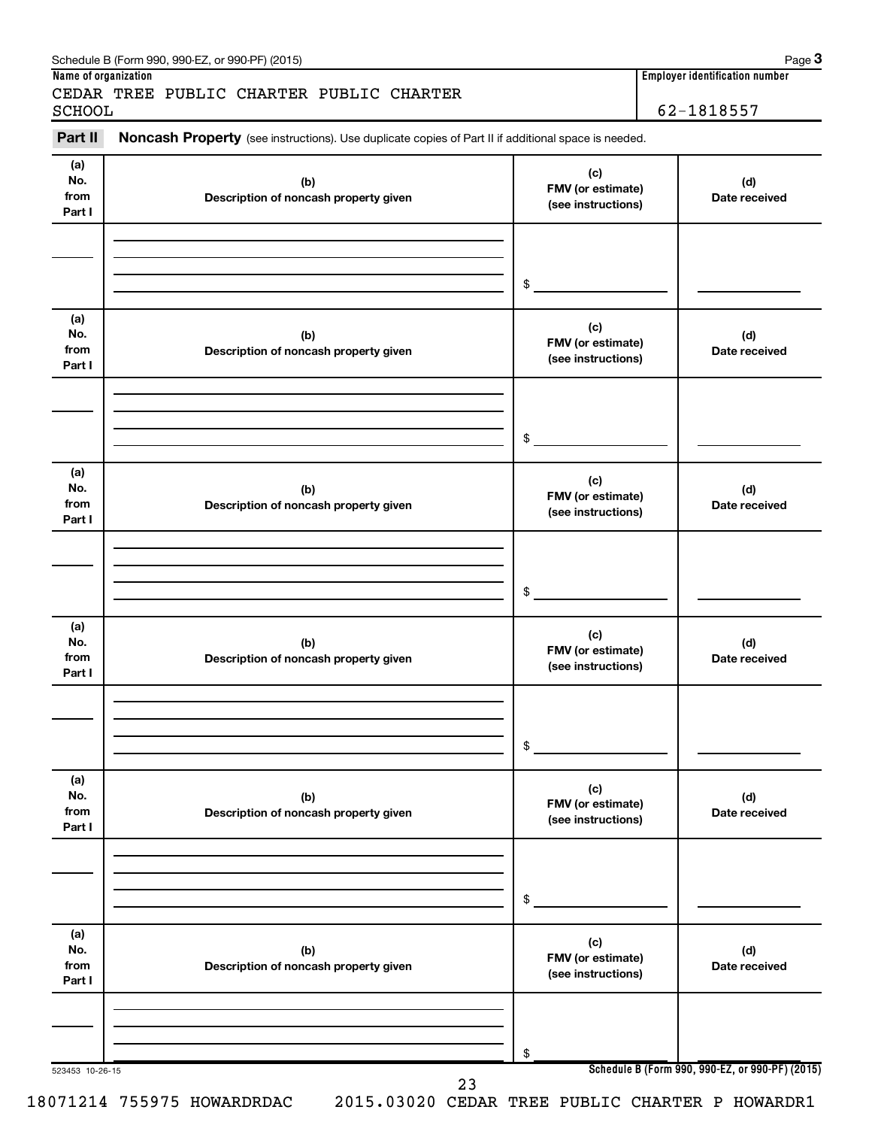| Part II                      | Noncash Property (see instructions). Use duplicate copies of Part II if additional space is needed. |                                                |                      |
|------------------------------|-----------------------------------------------------------------------------------------------------|------------------------------------------------|----------------------|
| (a)<br>No.<br>from<br>Part I | (b)<br>Description of noncash property given                                                        | (c)<br>FMV (or estimate)<br>(see instructions) | (d)<br>Date received |
|                              |                                                                                                     | \$                                             |                      |
| (a)<br>No.<br>from<br>Part I | (b)<br>Description of noncash property given                                                        | (c)<br>FMV (or estimate)<br>(see instructions) | (d)<br>Date received |
|                              |                                                                                                     | $\mathsf{\$}$                                  |                      |
| (a)<br>No.<br>from<br>Part I | (b)<br>Description of noncash property given                                                        | (c)<br>FMV (or estimate)<br>(see instructions) | (d)<br>Date received |
|                              |                                                                                                     | \$                                             |                      |
| (a)<br>No.<br>from<br>Part I | (b)<br>Description of noncash property given                                                        | (c)<br>FMV (or estimate)<br>(see instructions) | (d)<br>Date received |
|                              |                                                                                                     | \$                                             |                      |
| (a)<br>No.<br>from<br>Part I | (b)<br>Description of noncash property given                                                        | (c)<br>FMV (or estimate)<br>(see instructions) | (d)<br>Date received |
|                              |                                                                                                     | \$                                             |                      |
| (a)<br>No.<br>from<br>Part I | (b)<br>Description of noncash property given                                                        | (c)<br>FMV (or estimate)<br>(see instructions) | (d)<br>Date received |
|                              |                                                                                                     | \$                                             |                      |

# Schedule B (Form 990, 990-EZ, or 990-PF) (2015)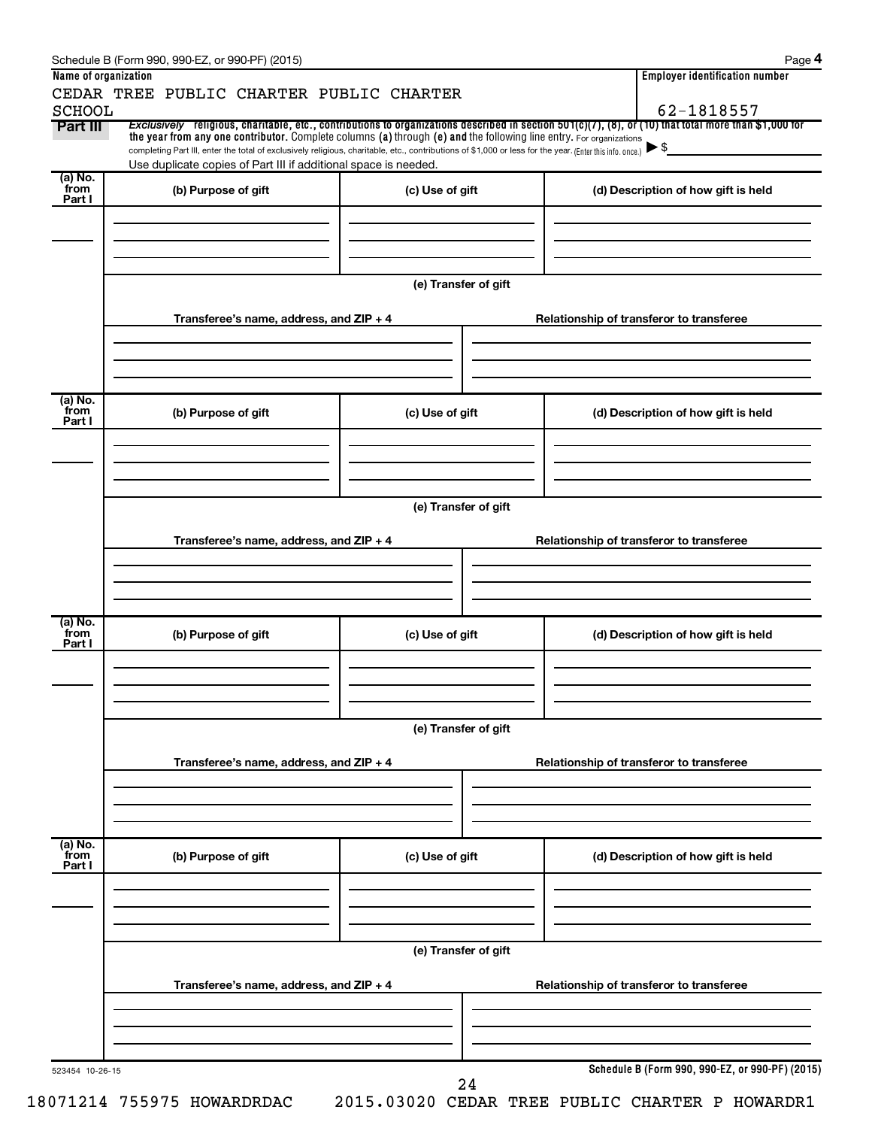|                           | Schedule B (Form 990, 990-EZ, or 990-PF) (2015)                                                                                                                                                                             |                      |                                                                                                                                                                     | Page 4 |  |  |  |
|---------------------------|-----------------------------------------------------------------------------------------------------------------------------------------------------------------------------------------------------------------------------|----------------------|---------------------------------------------------------------------------------------------------------------------------------------------------------------------|--------|--|--|--|
| Name of organization      |                                                                                                                                                                                                                             |                      | <b>Employer identification number</b>                                                                                                                               |        |  |  |  |
|                           | CEDAR TREE PUBLIC CHARTER PUBLIC CHARTER                                                                                                                                                                                    |                      |                                                                                                                                                                     |        |  |  |  |
| <b>SCHOOL</b><br>Part III |                                                                                                                                                                                                                             |                      | 62-1818557<br>Exclusively religious, charitable, etc., contributions to organizations described in section 501(c)(7), (8), or (10) that total more than \$1,000 for |        |  |  |  |
|                           | the year from any one contributor. Complete columns (a) through (e) and the following line entry. For organizations                                                                                                         |                      |                                                                                                                                                                     |        |  |  |  |
|                           | completing Part III, enter the total of exclusively religious, charitable, etc., contributions of \$1,000 or less for the year. (Enter this info. once.)<br>Use duplicate copies of Part III if additional space is needed. |                      | $\blacktriangleright$ \$                                                                                                                                            |        |  |  |  |
| (a) No.                   |                                                                                                                                                                                                                             |                      |                                                                                                                                                                     |        |  |  |  |
| from<br>Part I            | (b) Purpose of gift                                                                                                                                                                                                         | (c) Use of gift      | (d) Description of how gift is held                                                                                                                                 |        |  |  |  |
|                           |                                                                                                                                                                                                                             |                      |                                                                                                                                                                     |        |  |  |  |
|                           |                                                                                                                                                                                                                             |                      |                                                                                                                                                                     |        |  |  |  |
|                           |                                                                                                                                                                                                                             |                      |                                                                                                                                                                     |        |  |  |  |
|                           |                                                                                                                                                                                                                             |                      |                                                                                                                                                                     |        |  |  |  |
|                           |                                                                                                                                                                                                                             | (e) Transfer of gift |                                                                                                                                                                     |        |  |  |  |
|                           | Transferee's name, address, and ZIP + 4                                                                                                                                                                                     |                      | Relationship of transferor to transferee                                                                                                                            |        |  |  |  |
|                           |                                                                                                                                                                                                                             |                      |                                                                                                                                                                     |        |  |  |  |
|                           |                                                                                                                                                                                                                             |                      |                                                                                                                                                                     |        |  |  |  |
|                           |                                                                                                                                                                                                                             |                      |                                                                                                                                                                     |        |  |  |  |
|                           |                                                                                                                                                                                                                             |                      |                                                                                                                                                                     |        |  |  |  |
| (a) No.<br>from           | (b) Purpose of gift                                                                                                                                                                                                         | (c) Use of gift      | (d) Description of how gift is held                                                                                                                                 |        |  |  |  |
| Part I                    |                                                                                                                                                                                                                             |                      |                                                                                                                                                                     |        |  |  |  |
|                           |                                                                                                                                                                                                                             |                      |                                                                                                                                                                     |        |  |  |  |
|                           |                                                                                                                                                                                                                             |                      |                                                                                                                                                                     |        |  |  |  |
|                           |                                                                                                                                                                                                                             |                      |                                                                                                                                                                     |        |  |  |  |
|                           |                                                                                                                                                                                                                             | (e) Transfer of gift |                                                                                                                                                                     |        |  |  |  |
|                           |                                                                                                                                                                                                                             |                      |                                                                                                                                                                     |        |  |  |  |
|                           | Transferee's name, address, and ZIP + 4                                                                                                                                                                                     |                      | Relationship of transferor to transferee                                                                                                                            |        |  |  |  |
|                           |                                                                                                                                                                                                                             |                      |                                                                                                                                                                     |        |  |  |  |
|                           |                                                                                                                                                                                                                             |                      |                                                                                                                                                                     |        |  |  |  |
|                           |                                                                                                                                                                                                                             |                      |                                                                                                                                                                     |        |  |  |  |
| (a) No.<br>from           | (b) Purpose of gift                                                                                                                                                                                                         | (c) Use of gift      | (d) Description of how gift is held                                                                                                                                 |        |  |  |  |
| Part I                    |                                                                                                                                                                                                                             |                      |                                                                                                                                                                     |        |  |  |  |
|                           |                                                                                                                                                                                                                             |                      |                                                                                                                                                                     |        |  |  |  |
|                           |                                                                                                                                                                                                                             |                      |                                                                                                                                                                     |        |  |  |  |
|                           |                                                                                                                                                                                                                             |                      |                                                                                                                                                                     |        |  |  |  |
|                           |                                                                                                                                                                                                                             | (e) Transfer of gift |                                                                                                                                                                     |        |  |  |  |
|                           |                                                                                                                                                                                                                             |                      |                                                                                                                                                                     |        |  |  |  |
|                           | Transferee's name, address, and ZIP + 4                                                                                                                                                                                     |                      | Relationship of transferor to transferee                                                                                                                            |        |  |  |  |
|                           |                                                                                                                                                                                                                             |                      |                                                                                                                                                                     |        |  |  |  |
|                           |                                                                                                                                                                                                                             |                      |                                                                                                                                                                     |        |  |  |  |
|                           |                                                                                                                                                                                                                             |                      |                                                                                                                                                                     |        |  |  |  |
| (a) No.<br>from           | (b) Purpose of gift                                                                                                                                                                                                         | (c) Use of gift      | (d) Description of how gift is held                                                                                                                                 |        |  |  |  |
| Part I                    |                                                                                                                                                                                                                             |                      |                                                                                                                                                                     |        |  |  |  |
|                           |                                                                                                                                                                                                                             |                      |                                                                                                                                                                     |        |  |  |  |
|                           |                                                                                                                                                                                                                             |                      |                                                                                                                                                                     |        |  |  |  |
|                           |                                                                                                                                                                                                                             |                      |                                                                                                                                                                     |        |  |  |  |
|                           |                                                                                                                                                                                                                             | (e) Transfer of gift |                                                                                                                                                                     |        |  |  |  |
|                           |                                                                                                                                                                                                                             |                      |                                                                                                                                                                     |        |  |  |  |
|                           | Transferee's name, address, and ZIP + 4                                                                                                                                                                                     |                      | Relationship of transferor to transferee                                                                                                                            |        |  |  |  |
|                           |                                                                                                                                                                                                                             |                      |                                                                                                                                                                     |        |  |  |  |
|                           |                                                                                                                                                                                                                             |                      |                                                                                                                                                                     |        |  |  |  |
|                           |                                                                                                                                                                                                                             |                      |                                                                                                                                                                     |        |  |  |  |
| 523454 10-26-15           |                                                                                                                                                                                                                             |                      | Schedule B (Form 990, 990-EZ, or 990-PF) (2015)                                                                                                                     |        |  |  |  |
|                           |                                                                                                                                                                                                                             | 24                   |                                                                                                                                                                     |        |  |  |  |
|                           | $0.71.21.4.755075$ mowindoons of                                                                                                                                                                                            | onit nonon attrat    | $mnmin$ $\tau \wedge nmin$ $\tau$ $\wedge$ $nmin$ $\tau$ $\wedge$ $nmin$                                                                                            |        |  |  |  |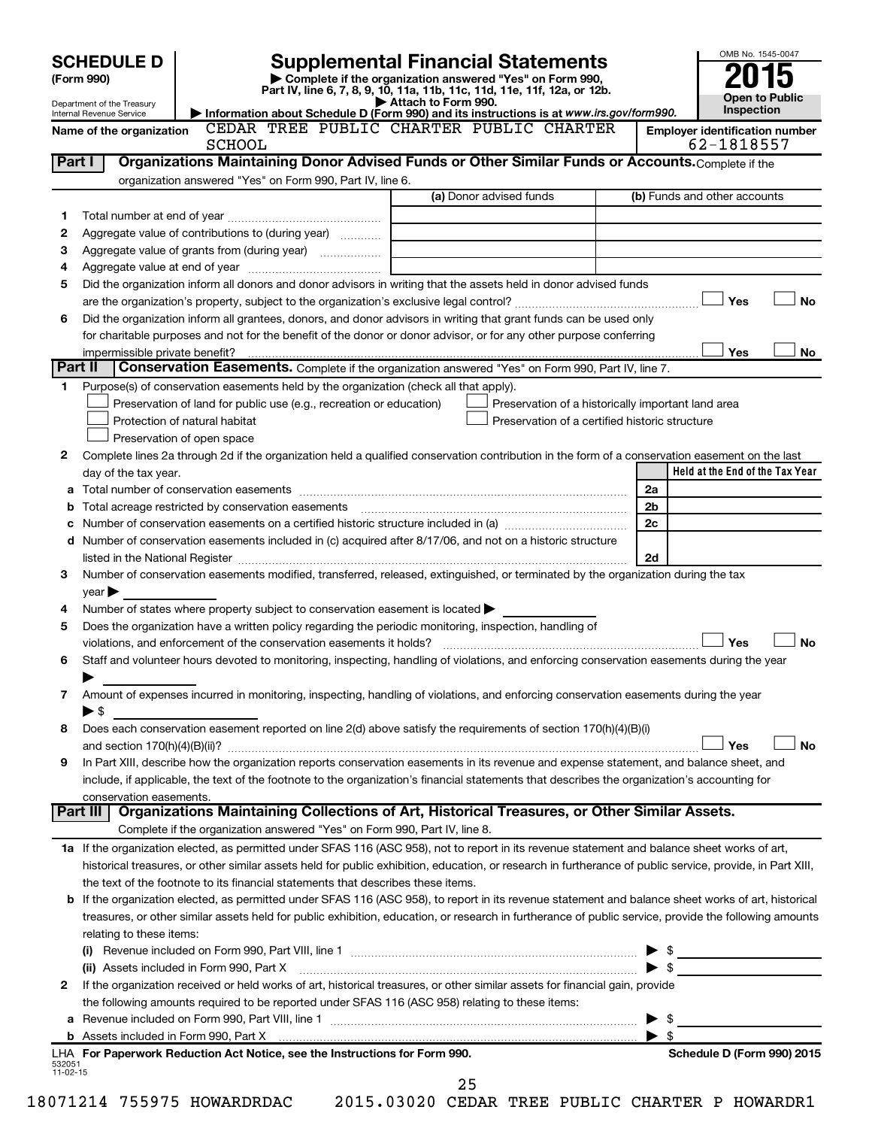| (Form 990) | <b>SCHEDULE D</b>                                      |                                                                                                                                                            |                     | <b>Supplemental Financial Statements</b><br>Complete if the organization answered "Yes" on Form 990,<br>Part IV, line 6, 7, 8, 9, 10, 11a, 11b, 11c, 11d, 11e, 11f, 12a, or 12b. |                                                     | OMB No. 1545-0047                               |
|------------|--------------------------------------------------------|------------------------------------------------------------------------------------------------------------------------------------------------------------|---------------------|----------------------------------------------------------------------------------------------------------------------------------------------------------------------------------|-----------------------------------------------------|-------------------------------------------------|
|            | Department of the Treasury<br>Internal Revenue Service |                                                                                                                                                            | Attach to Form 990. | Information about Schedule D (Form 990) and its instructions is at www.irs.gov/form990.                                                                                          |                                                     | <b>Open to Public</b><br>Inspection             |
|            | Name of the organization                               |                                                                                                                                                            |                     | CEDAR TREE PUBLIC CHARTER PUBLIC CHARTER                                                                                                                                         |                                                     | <b>Employer identification number</b>           |
|            |                                                        | <b>SCHOOL</b>                                                                                                                                              |                     |                                                                                                                                                                                  |                                                     | 62-1818557                                      |
| Part I     |                                                        | Organizations Maintaining Donor Advised Funds or Other Similar Funds or Accounts. Complete if the                                                          |                     |                                                                                                                                                                                  |                                                     |                                                 |
|            |                                                        | organization answered "Yes" on Form 990, Part IV, line 6.                                                                                                  |                     |                                                                                                                                                                                  |                                                     |                                                 |
|            |                                                        |                                                                                                                                                            |                     | (a) Donor advised funds                                                                                                                                                          |                                                     | (b) Funds and other accounts                    |
| 1          |                                                        |                                                                                                                                                            |                     |                                                                                                                                                                                  |                                                     |                                                 |
| 2          |                                                        | Aggregate value of contributions to (during year)                                                                                                          |                     |                                                                                                                                                                                  |                                                     |                                                 |
| 3          |                                                        |                                                                                                                                                            |                     |                                                                                                                                                                                  |                                                     |                                                 |
| 4          |                                                        |                                                                                                                                                            |                     |                                                                                                                                                                                  |                                                     |                                                 |
| 5          |                                                        | Did the organization inform all donors and donor advisors in writing that the assets held in donor advised funds                                           |                     |                                                                                                                                                                                  |                                                     | Yes<br><b>No</b>                                |
| 6          |                                                        | Did the organization inform all grantees, donors, and donor advisors in writing that grant funds can be used only                                          |                     |                                                                                                                                                                                  |                                                     |                                                 |
|            |                                                        | for charitable purposes and not for the benefit of the donor or donor advisor, or for any other purpose conferring                                         |                     |                                                                                                                                                                                  |                                                     |                                                 |
|            |                                                        |                                                                                                                                                            |                     |                                                                                                                                                                                  |                                                     | Yes<br>No                                       |
| Part II    |                                                        | Conservation Easements. Complete if the organization answered "Yes" on Form 990, Part IV, line 7.                                                          |                     |                                                                                                                                                                                  |                                                     |                                                 |
| 1.         |                                                        | Purpose(s) of conservation easements held by the organization (check all that apply).                                                                      |                     |                                                                                                                                                                                  |                                                     |                                                 |
|            |                                                        | Preservation of land for public use (e.g., recreation or education)                                                                                        |                     | Preservation of a historically important land area                                                                                                                               |                                                     |                                                 |
|            |                                                        | Protection of natural habitat                                                                                                                              |                     | Preservation of a certified historic structure                                                                                                                                   |                                                     |                                                 |
|            |                                                        | Preservation of open space                                                                                                                                 |                     |                                                                                                                                                                                  |                                                     |                                                 |
| 2          |                                                        | Complete lines 2a through 2d if the organization held a qualified conservation contribution in the form of a conservation easement on the last             |                     |                                                                                                                                                                                  |                                                     |                                                 |
|            | day of the tax year.                                   |                                                                                                                                                            |                     |                                                                                                                                                                                  |                                                     | Held at the End of the Tax Year                 |
|            |                                                        |                                                                                                                                                            |                     |                                                                                                                                                                                  | 2a                                                  |                                                 |
|            |                                                        |                                                                                                                                                            |                     |                                                                                                                                                                                  | 2 <sub>b</sub>                                      |                                                 |
|            |                                                        |                                                                                                                                                            |                     |                                                                                                                                                                                  | 2c                                                  |                                                 |
|            |                                                        | d Number of conservation easements included in (c) acquired after 8/17/06, and not on a historic structure                                                 |                     |                                                                                                                                                                                  |                                                     |                                                 |
|            |                                                        |                                                                                                                                                            |                     |                                                                                                                                                                                  | 2d                                                  |                                                 |
| з          |                                                        | Number of conservation easements modified, transferred, released, extinguished, or terminated by the organization during the tax                           |                     |                                                                                                                                                                                  |                                                     |                                                 |
|            | year                                                   |                                                                                                                                                            |                     |                                                                                                                                                                                  |                                                     |                                                 |
| 4          |                                                        | Number of states where property subject to conservation easement is located $\blacktriangleright$                                                          |                     |                                                                                                                                                                                  |                                                     |                                                 |
| 5          |                                                        | Does the organization have a written policy regarding the periodic monitoring, inspection, handling of                                                     |                     |                                                                                                                                                                                  |                                                     |                                                 |
|            |                                                        |                                                                                                                                                            |                     |                                                                                                                                                                                  |                                                     | Yes<br><b>No</b>                                |
| 6          |                                                        | Staff and volunteer hours devoted to monitoring, inspecting, handling of violations, and enforcing conservation easements during the year                  |                     |                                                                                                                                                                                  |                                                     |                                                 |
| 7          |                                                        | Amount of expenses incurred in monitoring, inspecting, handling of violations, and enforcing conservation easements during the year                        |                     |                                                                                                                                                                                  |                                                     |                                                 |
|            | $\blacktriangleright$ \$                               |                                                                                                                                                            |                     |                                                                                                                                                                                  |                                                     |                                                 |
| 8          |                                                        | Does each conservation easement reported on line 2(d) above satisfy the requirements of section 170(h)(4)(B)(i)                                            |                     |                                                                                                                                                                                  |                                                     |                                                 |
|            |                                                        |                                                                                                                                                            |                     |                                                                                                                                                                                  |                                                     | <b>No</b><br>Yes                                |
| 9          |                                                        | In Part XIII, describe how the organization reports conservation easements in its revenue and expense statement, and balance sheet, and                    |                     |                                                                                                                                                                                  |                                                     |                                                 |
|            |                                                        | include, if applicable, the text of the footnote to the organization's financial statements that describes the organization's accounting for               |                     |                                                                                                                                                                                  |                                                     |                                                 |
|            | conservation easements.                                |                                                                                                                                                            |                     |                                                                                                                                                                                  |                                                     |                                                 |
| Part III I |                                                        | Organizations Maintaining Collections of Art, Historical Treasures, or Other Similar Assets.                                                               |                     |                                                                                                                                                                                  |                                                     |                                                 |
|            |                                                        | Complete if the organization answered "Yes" on Form 990, Part IV, line 8.                                                                                  |                     |                                                                                                                                                                                  |                                                     |                                                 |
|            |                                                        | 1a If the organization elected, as permitted under SFAS 116 (ASC 958), not to report in its revenue statement and balance sheet works of art,              |                     |                                                                                                                                                                                  |                                                     |                                                 |
|            |                                                        | historical treasures, or other similar assets held for public exhibition, education, or research in furtherance of public service, provide, in Part XIII,  |                     |                                                                                                                                                                                  |                                                     |                                                 |
|            |                                                        | the text of the footnote to its financial statements that describes these items.                                                                           |                     |                                                                                                                                                                                  |                                                     |                                                 |
|            |                                                        | <b>b</b> If the organization elected, as permitted under SFAS 116 (ASC 958), to report in its revenue statement and balance sheet works of art, historical |                     |                                                                                                                                                                                  |                                                     |                                                 |
|            |                                                        | treasures, or other similar assets held for public exhibition, education, or research in furtherance of public service, provide the following amounts      |                     |                                                                                                                                                                                  |                                                     |                                                 |
|            | relating to these items:                               |                                                                                                                                                            |                     |                                                                                                                                                                                  |                                                     |                                                 |
|            |                                                        |                                                                                                                                                            |                     |                                                                                                                                                                                  |                                                     | $\triangleright$ \$                             |
|            |                                                        | (ii) Assets included in Form 990, Part X                                                                                                                   |                     |                                                                                                                                                                                  |                                                     |                                                 |
| 2          |                                                        | If the organization received or held works of art, historical treasures, or other similar assets for financial gain, provide                               |                     |                                                                                                                                                                                  |                                                     |                                                 |
|            |                                                        | the following amounts required to be reported under SFAS 116 (ASC 958) relating to these items:                                                            |                     |                                                                                                                                                                                  |                                                     |                                                 |
|            |                                                        |                                                                                                                                                            |                     |                                                                                                                                                                                  | $\blacktriangleright$ \$<br>$\blacktriangleright$ s |                                                 |
|            |                                                        | LHA For Paperwork Reduction Act Notice, see the Instructions for Form 990.                                                                                 |                     |                                                                                                                                                                                  |                                                     | Schedule D (Form 990) 2015                      |
| 532051     |                                                        |                                                                                                                                                            |                     |                                                                                                                                                                                  |                                                     |                                                 |
| 11-02-15   |                                                        |                                                                                                                                                            | 25                  |                                                                                                                                                                                  |                                                     |                                                 |
|            |                                                        | 18071214 755975 HOWARDRDAC                                                                                                                                 |                     |                                                                                                                                                                                  |                                                     | 2015.03020 CEDAR TREE PUBLIC CHARTER P HOWARDR1 |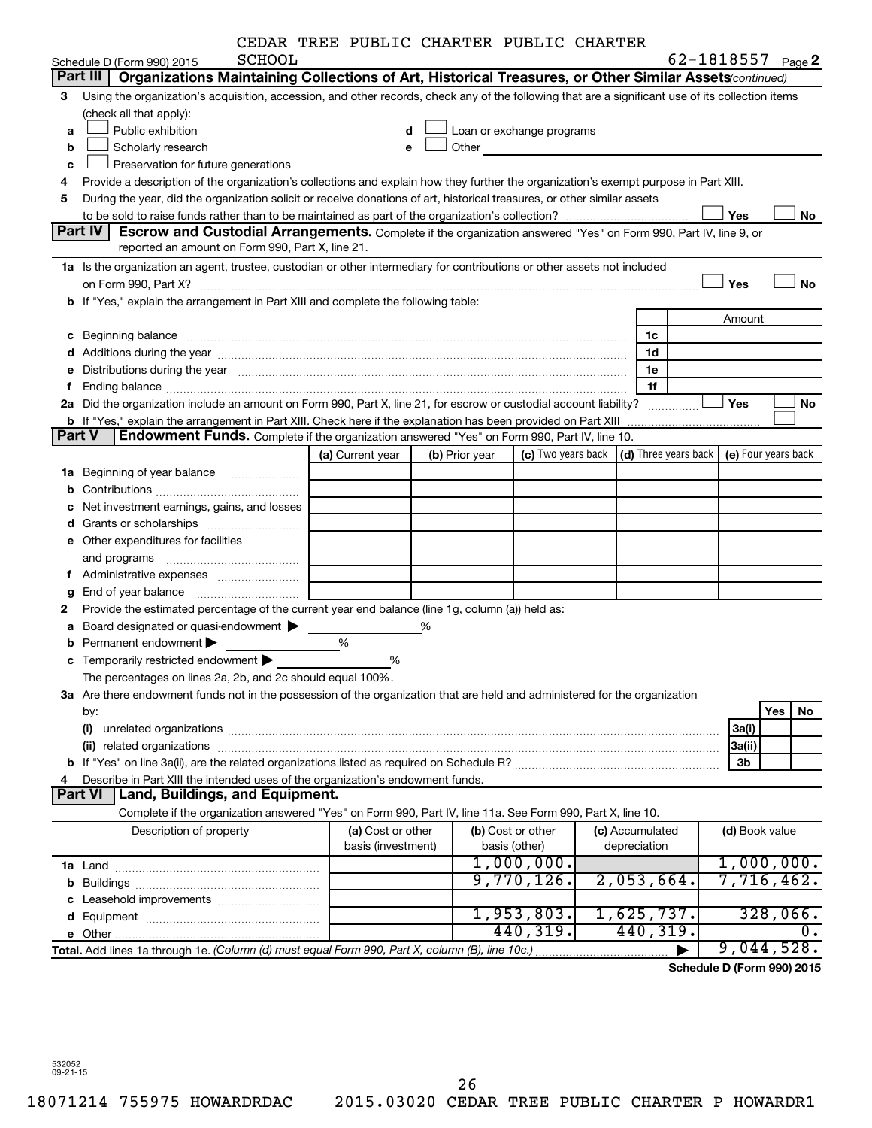|  |  |  | CEDAR TREE PUBLIC CHARTER PUBLIC CHARTER |  |  |
|--|--|--|------------------------------------------|--|--|
|--|--|--|------------------------------------------|--|--|

|               |                                                                                                                                                                                                                                | CEDAR TREE PUBLIC CHARTER PUBLIC CHARTER |   |                |                                                                                                                                                                                                                                |                      |            |                |                     |
|---------------|--------------------------------------------------------------------------------------------------------------------------------------------------------------------------------------------------------------------------------|------------------------------------------|---|----------------|--------------------------------------------------------------------------------------------------------------------------------------------------------------------------------------------------------------------------------|----------------------|------------|----------------|---------------------|
|               | <b>SCHOOL</b><br>Schedule D (Form 990) 2015                                                                                                                                                                                    |                                          |   |                |                                                                                                                                                                                                                                |                      | 62-1818557 |                | Page 2              |
|               | Part III<br>Organizations Maintaining Collections of Art, Historical Treasures, or Other Similar Assets (continued)                                                                                                            |                                          |   |                |                                                                                                                                                                                                                                |                      |            |                |                     |
| 3             | Using the organization's acquisition, accession, and other records, check any of the following that are a significant use of its collection items                                                                              |                                          |   |                |                                                                                                                                                                                                                                |                      |            |                |                     |
|               | (check all that apply):                                                                                                                                                                                                        |                                          |   |                |                                                                                                                                                                                                                                |                      |            |                |                     |
| a             | Public exhibition                                                                                                                                                                                                              | d                                        |   |                | Loan or exchange programs                                                                                                                                                                                                      |                      |            |                |                     |
| b             | Scholarly research                                                                                                                                                                                                             | e                                        |   |                | Other and the control of the control of the control of the control of the control of the control of the control of the control of the control of the control of the control of the control of the control of the control of th |                      |            |                |                     |
| c             | Preservation for future generations                                                                                                                                                                                            |                                          |   |                |                                                                                                                                                                                                                                |                      |            |                |                     |
| 4             | Provide a description of the organization's collections and explain how they further the organization's exempt purpose in Part XIII.                                                                                           |                                          |   |                |                                                                                                                                                                                                                                |                      |            |                |                     |
| 5             | During the year, did the organization solicit or receive donations of art, historical treasures, or other similar assets                                                                                                       |                                          |   |                |                                                                                                                                                                                                                                |                      |            |                |                     |
|               |                                                                                                                                                                                                                                |                                          |   |                |                                                                                                                                                                                                                                |                      | Yes        |                | No                  |
|               | Part IV<br>Escrow and Custodial Arrangements. Complete if the organization answered "Yes" on Form 990, Part IV, line 9, or                                                                                                     |                                          |   |                |                                                                                                                                                                                                                                |                      |            |                |                     |
|               | reported an amount on Form 990, Part X, line 21.                                                                                                                                                                               |                                          |   |                |                                                                                                                                                                                                                                |                      |            |                |                     |
|               | 1a Is the organization an agent, trustee, custodian or other intermediary for contributions or other assets not included                                                                                                       |                                          |   |                |                                                                                                                                                                                                                                |                      |            |                |                     |
|               | on Form 990, Part X? [11] The Content of The Content of The Content of The Content of The Content of The Content of The Content of The Content of The Content of The Content of The Content of The Content of The Content of T |                                          |   |                |                                                                                                                                                                                                                                |                      | Yes        |                | <b>No</b>           |
|               | b If "Yes," explain the arrangement in Part XIII and complete the following table:                                                                                                                                             |                                          |   |                |                                                                                                                                                                                                                                |                      |            |                |                     |
|               |                                                                                                                                                                                                                                |                                          |   |                |                                                                                                                                                                                                                                |                      |            | Amount         |                     |
|               | c Beginning balance                                                                                                                                                                                                            |                                          |   |                |                                                                                                                                                                                                                                | 1c                   |            |                |                     |
|               |                                                                                                                                                                                                                                |                                          |   |                |                                                                                                                                                                                                                                | 1d                   |            |                |                     |
|               | e Distributions during the year measurement contained and the state of the state of the state of the state of the state of the state of the state of the state of the state of the state of the state of the state of the stat |                                          |   |                |                                                                                                                                                                                                                                | 1e                   |            |                |                     |
| f             |                                                                                                                                                                                                                                |                                          |   |                |                                                                                                                                                                                                                                | 1f                   |            |                |                     |
|               | 2a Did the organization include an amount on Form 990, Part X, line 21, for escrow or custodial account liability?                                                                                                             |                                          |   |                |                                                                                                                                                                                                                                |                      | Yes        |                | No                  |
|               | b If "Yes," explain the arrangement in Part XIII. Check here if the explanation has been provided on Part XIII                                                                                                                 |                                          |   |                |                                                                                                                                                                                                                                |                      |            |                |                     |
| <b>Part V</b> | Endowment Funds. Complete if the organization answered "Yes" on Form 990, Part IV, line 10.                                                                                                                                    |                                          |   |                |                                                                                                                                                                                                                                |                      |            |                |                     |
|               |                                                                                                                                                                                                                                | (a) Current year                         |   | (b) Prior year | (c) Two years back                                                                                                                                                                                                             | (d) Three years back |            |                | (e) Four years back |
|               | 1a Beginning of year balance                                                                                                                                                                                                   |                                          |   |                |                                                                                                                                                                                                                                |                      |            |                |                     |
|               |                                                                                                                                                                                                                                |                                          |   |                |                                                                                                                                                                                                                                |                      |            |                |                     |
| с             | Net investment earnings, gains, and losses                                                                                                                                                                                     |                                          |   |                |                                                                                                                                                                                                                                |                      |            |                |                     |
|               |                                                                                                                                                                                                                                |                                          |   |                |                                                                                                                                                                                                                                |                      |            |                |                     |
|               | e Other expenditures for facilities                                                                                                                                                                                            |                                          |   |                |                                                                                                                                                                                                                                |                      |            |                |                     |
|               |                                                                                                                                                                                                                                |                                          |   |                |                                                                                                                                                                                                                                |                      |            |                |                     |
|               |                                                                                                                                                                                                                                |                                          |   |                |                                                                                                                                                                                                                                |                      |            |                |                     |
| g             |                                                                                                                                                                                                                                |                                          |   |                |                                                                                                                                                                                                                                |                      |            |                |                     |
| 2             | Provide the estimated percentage of the current year end balance (line 1g, column (a)) held as:                                                                                                                                |                                          |   |                |                                                                                                                                                                                                                                |                      |            |                |                     |
|               | <b>a</b> Board designated or quasi-endowment $\blacktriangleright$                                                                                                                                                             |                                          | % |                |                                                                                                                                                                                                                                |                      |            |                |                     |
|               | <b>b</b> Permanent endowment $\blacktriangleright$                                                                                                                                                                             | %                                        |   |                |                                                                                                                                                                                                                                |                      |            |                |                     |
| c             | Temporarily restricted endowment                                                                                                                                                                                               | %                                        |   |                |                                                                                                                                                                                                                                |                      |            |                |                     |
|               | The percentages on lines 2a, 2b, and 2c should equal 100%                                                                                                                                                                      |                                          |   |                |                                                                                                                                                                                                                                |                      |            |                |                     |
|               | 3a Are there endowment funds not in the possession of the organization that are held and administered for the organization                                                                                                     |                                          |   |                |                                                                                                                                                                                                                                |                      |            |                |                     |
|               | by:                                                                                                                                                                                                                            |                                          |   |                |                                                                                                                                                                                                                                |                      |            |                | Yes<br>No           |
|               | (i)                                                                                                                                                                                                                            |                                          |   |                |                                                                                                                                                                                                                                |                      |            | 3a(i)          |                     |
|               | (ii) related organizations                                                                                                                                                                                                     |                                          |   |                |                                                                                                                                                                                                                                |                      |            | 3a(ii)         |                     |
|               |                                                                                                                                                                                                                                |                                          |   |                |                                                                                                                                                                                                                                |                      |            | 3 <sub>b</sub> |                     |
| 4             | Describe in Part XIII the intended uses of the organization's endowment funds.                                                                                                                                                 |                                          |   |                |                                                                                                                                                                                                                                |                      |            |                |                     |
|               | Land, Buildings, and Equipment.<br><b>Part VI</b>                                                                                                                                                                              |                                          |   |                |                                                                                                                                                                                                                                |                      |            |                |                     |
|               | Complete if the organization answered "Yes" on Form 990, Part IV, line 11a. See Form 990, Part X, line 10.                                                                                                                     |                                          |   |                |                                                                                                                                                                                                                                |                      |            |                |                     |
|               | Description of property                                                                                                                                                                                                        | (a) Cost or other                        |   |                | (b) Cost or other                                                                                                                                                                                                              | (c) Accumulated      |            | (d) Book value |                     |
|               |                                                                                                                                                                                                                                | basis (investment)                       |   |                | basis (other)                                                                                                                                                                                                                  | depreciation         |            |                |                     |
|               |                                                                                                                                                                                                                                |                                          |   |                | 1,000,000.                                                                                                                                                                                                                     |                      |            |                | 1,000,000.          |
|               |                                                                                                                                                                                                                                |                                          |   |                | 9,770,126.                                                                                                                                                                                                                     | 2,053,664.           |            |                | 7,716,462.          |
|               |                                                                                                                                                                                                                                |                                          |   |                |                                                                                                                                                                                                                                |                      |            |                |                     |
|               |                                                                                                                                                                                                                                |                                          |   |                | 1,953,803.                                                                                                                                                                                                                     | 1,625,737.           |            |                | 328,066.            |
|               |                                                                                                                                                                                                                                |                                          |   |                | 440,319.                                                                                                                                                                                                                       | 440,319.             |            |                |                     |
|               | Total. Add lines 1a through 1e. (Column (d) must equal Form 990, Part X, column (B), line 10c.)                                                                                                                                |                                          |   |                |                                                                                                                                                                                                                                |                      |            |                | 9,044,528.          |

**Schedule D (Form 990) 2015**

532052 09-21-15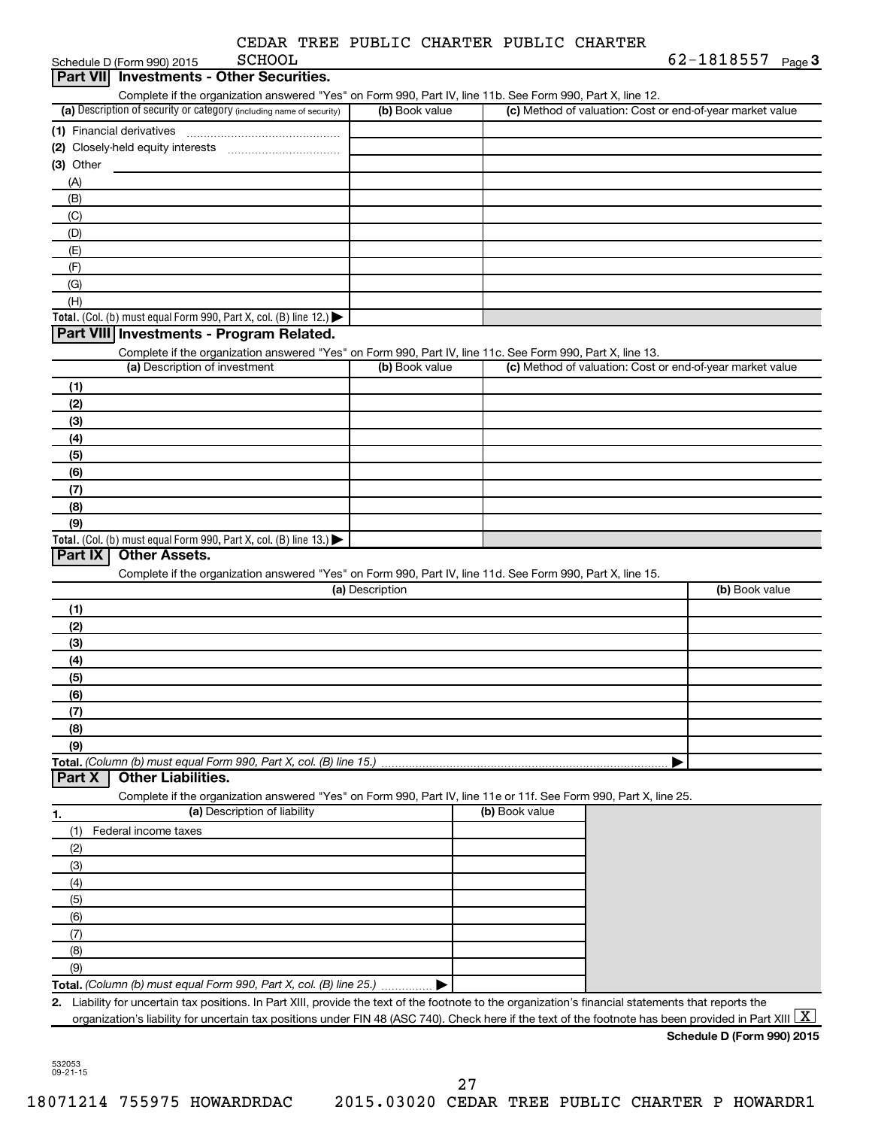|  | CEDAR TREE PUBLIC CHARTER PUBLIC CHARTER |  |
|--|------------------------------------------|--|
|  |                                          |  |

|                           | <b>SCHOOL</b><br>Schedule D (Form 990) 2015                                                                                                              |                 |                |                                                           | 62-1818557<br>Page $3$     |
|---------------------------|----------------------------------------------------------------------------------------------------------------------------------------------------------|-----------------|----------------|-----------------------------------------------------------|----------------------------|
| <b>Part VIII</b>          | <b>Investments - Other Securities.</b>                                                                                                                   |                 |                |                                                           |                            |
|                           | Complete if the organization answered "Yes" on Form 990, Part IV, line 11b. See Form 990, Part X, line 12.                                               |                 |                |                                                           |                            |
|                           | (a) Description of security or category (including name of security)                                                                                     | (b) Book value  |                | (c) Method of valuation: Cost or end-of-year market value |                            |
| (1) Financial derivatives |                                                                                                                                                          |                 |                |                                                           |                            |
|                           |                                                                                                                                                          |                 |                |                                                           |                            |
| $(3)$ Other               |                                                                                                                                                          |                 |                |                                                           |                            |
| (A)                       |                                                                                                                                                          |                 |                |                                                           |                            |
| (B)                       |                                                                                                                                                          |                 |                |                                                           |                            |
| (C)                       |                                                                                                                                                          |                 |                |                                                           |                            |
| (D)                       |                                                                                                                                                          |                 |                |                                                           |                            |
| (E)                       |                                                                                                                                                          |                 |                |                                                           |                            |
| (F)                       |                                                                                                                                                          |                 |                |                                                           |                            |
| (G)                       |                                                                                                                                                          |                 |                |                                                           |                            |
| (H)                       |                                                                                                                                                          |                 |                |                                                           |                            |
|                           | Total. (Col. (b) must equal Form 990, Part X, col. (B) line 12.) $\blacktriangleright$                                                                   |                 |                |                                                           |                            |
|                           | Part VIII Investments - Program Related.                                                                                                                 |                 |                |                                                           |                            |
|                           | Complete if the organization answered "Yes" on Form 990, Part IV, line 11c. See Form 990, Part X, line 13.                                               |                 |                |                                                           |                            |
|                           | (a) Description of investment                                                                                                                            | (b) Book value  |                | (c) Method of valuation: Cost or end-of-year market value |                            |
| (1)                       |                                                                                                                                                          |                 |                |                                                           |                            |
| (2)                       |                                                                                                                                                          |                 |                |                                                           |                            |
| (3)                       |                                                                                                                                                          |                 |                |                                                           |                            |
|                           |                                                                                                                                                          |                 |                |                                                           |                            |
| (4)                       |                                                                                                                                                          |                 |                |                                                           |                            |
| (5)                       |                                                                                                                                                          |                 |                |                                                           |                            |
| (6)                       |                                                                                                                                                          |                 |                |                                                           |                            |
| (7)                       |                                                                                                                                                          |                 |                |                                                           |                            |
| (8)                       |                                                                                                                                                          |                 |                |                                                           |                            |
| (9)                       |                                                                                                                                                          |                 |                |                                                           |                            |
| Part IX                   | Total. (Col. (b) must equal Form 990, Part X, col. (B) line $13.$ )<br><b>Other Assets.</b>                                                              |                 |                |                                                           |                            |
|                           | Complete if the organization answered "Yes" on Form 990, Part IV, line 11d. See Form 990, Part X, line 15.                                               |                 |                |                                                           |                            |
|                           |                                                                                                                                                          | (a) Description |                |                                                           | (b) Book value             |
|                           |                                                                                                                                                          |                 |                |                                                           |                            |
| (1)<br>(2)                |                                                                                                                                                          |                 |                |                                                           |                            |
| (3)                       |                                                                                                                                                          |                 |                |                                                           |                            |
|                           |                                                                                                                                                          |                 |                |                                                           |                            |
| (4)                       |                                                                                                                                                          |                 |                |                                                           |                            |
| (5)                       |                                                                                                                                                          |                 |                |                                                           |                            |
| (6)                       |                                                                                                                                                          |                 |                |                                                           |                            |
| (7)                       |                                                                                                                                                          |                 |                |                                                           |                            |
| (8)                       |                                                                                                                                                          |                 |                |                                                           |                            |
| (9)                       |                                                                                                                                                          |                 |                |                                                           |                            |
| Part X                    | Total. (Column (b) must equal Form 990, Part X, col. (B) line 15.)<br><b>Other Liabilities.</b>                                                          |                 |                |                                                           |                            |
|                           | Complete if the organization answered "Yes" on Form 990, Part IV, line 11e or 11f. See Form 990, Part X, line 25.                                        |                 |                |                                                           |                            |
|                           | (a) Description of liability                                                                                                                             |                 | (b) Book value |                                                           |                            |
| 1.                        | Federal income taxes                                                                                                                                     |                 |                |                                                           |                            |
| (1)                       |                                                                                                                                                          |                 |                |                                                           |                            |
| (2)                       |                                                                                                                                                          |                 |                |                                                           |                            |
| (3)                       |                                                                                                                                                          |                 |                |                                                           |                            |
| (4)                       |                                                                                                                                                          |                 |                |                                                           |                            |
| (5)                       |                                                                                                                                                          |                 |                |                                                           |                            |
| (6)                       |                                                                                                                                                          |                 |                |                                                           |                            |
| (7)                       |                                                                                                                                                          |                 |                |                                                           |                            |
| (8)                       |                                                                                                                                                          |                 |                |                                                           |                            |
| (9)                       |                                                                                                                                                          |                 |                |                                                           |                            |
|                           | Total. (Column (b) must equal Form 990, Part X, col. (B) line 25.)  ▶                                                                                    |                 |                |                                                           |                            |
|                           |                                                                                                                                                          |                 |                |                                                           |                            |
|                           | 2. Liability for uncertain tax positions. In Part XIII, provide the text of the footnote to the organization's financial statements that reports the     |                 |                |                                                           |                            |
|                           | organization's liability for uncertain tax positions under FIN 48 (ASC 740). Check here if the text of the footnote has been provided in Part XIII $ X $ |                 |                |                                                           | Schedule D (Form 990) 2015 |

532053 09-21-15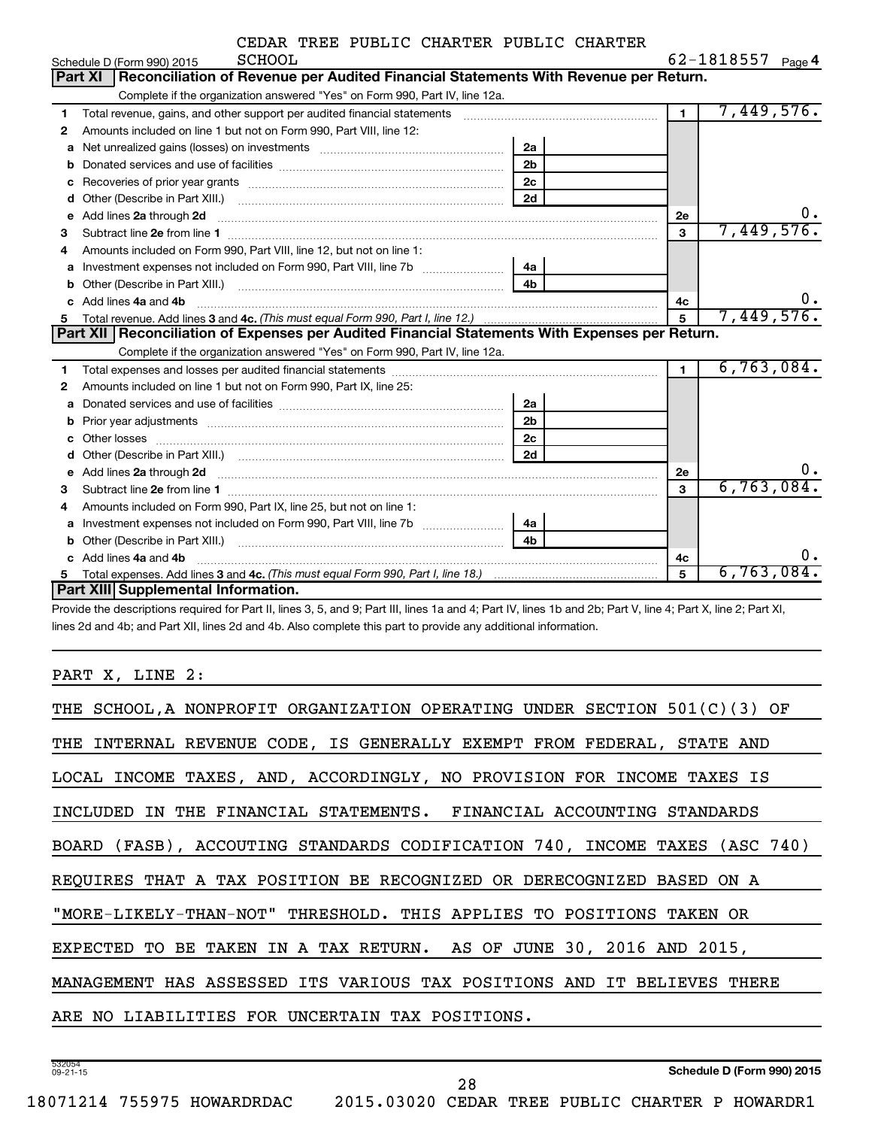|    | <b>SCHOOL</b><br>Schedule D (Form 990) 2015                                                                                                                                                                                         |                |                | $62 - 1818557$ Page 4 |
|----|-------------------------------------------------------------------------------------------------------------------------------------------------------------------------------------------------------------------------------------|----------------|----------------|-----------------------|
|    | Reconciliation of Revenue per Audited Financial Statements With Revenue per Return.<br><b>Part XI</b>                                                                                                                               |                |                |                       |
|    | Complete if the organization answered "Yes" on Form 990, Part IV, line 12a.                                                                                                                                                         |                |                |                       |
| 1  | Total revenue, gains, and other support per audited financial statements [111] [11] Total revenue, gains, and other support per audited financial statements                                                                        |                | $\overline{1}$ | 7,449,576.            |
| 2  | Amounts included on line 1 but not on Form 990, Part VIII, line 12:                                                                                                                                                                 |                |                |                       |
| a  |                                                                                                                                                                                                                                     | 2a             |                |                       |
| b  |                                                                                                                                                                                                                                     | 2 <sub>b</sub> |                |                       |
| с  | Recoveries of prior year grants [11] matter contracts and prior year grants and prior year grants and prior year grants and prior year of the state of the state of the state of the state of the state of the state of the st      | 2 <sub>c</sub> |                |                       |
| d  |                                                                                                                                                                                                                                     | 2d             |                |                       |
| e  | Add lines 2a through 2d                                                                                                                                                                                                             |                | 2e             | 0.                    |
| З  |                                                                                                                                                                                                                                     |                | 3              | 7,449,576.            |
| 4  | Amounts included on Form 990, Part VIII, line 12, but not on line 1:                                                                                                                                                                |                |                |                       |
|    |                                                                                                                                                                                                                                     | 4a             |                |                       |
| b  |                                                                                                                                                                                                                                     | 4 <sub>b</sub> |                |                       |
| c. | Add lines 4a and 4b                                                                                                                                                                                                                 |                | 4c             | ο.                    |
| 5  |                                                                                                                                                                                                                                     |                | 5              | 7,449,576.            |
|    | Part XII   Reconciliation of Expenses per Audited Financial Statements With Expenses per Return.                                                                                                                                    |                |                |                       |
|    |                                                                                                                                                                                                                                     |                |                |                       |
|    | Complete if the organization answered "Yes" on Form 990, Part IV, line 12a.                                                                                                                                                         |                |                |                       |
| 1  |                                                                                                                                                                                                                                     |                | $\mathbf{1}$   | 6,763,084.            |
| 2  | Amounts included on line 1 but not on Form 990, Part IX, line 25:                                                                                                                                                                   |                |                |                       |
| a  |                                                                                                                                                                                                                                     | 2a             |                |                       |
| b  |                                                                                                                                                                                                                                     | 2 <sub>b</sub> |                |                       |
| c  |                                                                                                                                                                                                                                     | 2 <sub>c</sub> |                |                       |
| d  |                                                                                                                                                                                                                                     | 2d             |                |                       |
| e  | Add lines 2a through 2d <b>must be a constructed as the constant of the S2a</b> through 2d mess 2a through 2d must be a series and the series of the series of the series of the series of the series of the series of the series o |                | 2e             | 0.                    |
| З  |                                                                                                                                                                                                                                     |                | 3              | 6,763,084.            |
| 4  | Amounts included on Form 990, Part IX, line 25, but not on line 1:                                                                                                                                                                  |                |                |                       |
| a  |                                                                                                                                                                                                                                     | 4a             |                |                       |
| b  |                                                                                                                                                                                                                                     | 4 <sub>b</sub> |                |                       |
|    | Add lines 4a and 4b                                                                                                                                                                                                                 |                | 4с             | о.                    |
|    | <b>Part XIII Supplemental Information.</b>                                                                                                                                                                                          |                | 5              | $6,763,084$ .         |

Provide the descriptions required for Part II, lines 3, 5, and 9; Part III, lines 1a and 4; Part IV, lines 1b and 2b; Part V, line 4; Part X, line 2; Part XI, lines 2d and 4b; and Part XII, lines 2d and 4b. Also complete this part to provide any additional information.

PART X, LINE 2:

| THE SCHOOL, A NONPROFIT ORGANIZATION OPERATING UNDER SECTION 501(C)(3) OF  |  |  |  |  |  |
|----------------------------------------------------------------------------|--|--|--|--|--|
| THE INTERNAL REVENUE CODE, IS GENERALLY EXEMPT FROM FEDERAL, STATE AND     |  |  |  |  |  |
| LOCAL INCOME TAXES, AND, ACCORDINGLY, NO PROVISION FOR INCOME TAXES IS     |  |  |  |  |  |
| INCLUDED IN THE FINANCIAL STATEMENTS. FINANCIAL ACCOUNTING STANDARDS       |  |  |  |  |  |
| BOARD (FASB), ACCOUTING STANDARDS CODIFICATION 740, INCOME TAXES (ASC 740) |  |  |  |  |  |
| REQUIRES THAT A TAX POSITION BE RECOGNIZED OR DERECOGNIZED BASED ON A      |  |  |  |  |  |
| "MORE-LIKELY-THAN-NOT" THRESHOLD. THIS APPLIES TO POSITIONS TAKEN OR       |  |  |  |  |  |
| EXPECTED TO BE TAKEN IN A TAX RETURN. AS OF JUNE 30, 2016 AND 2015,        |  |  |  |  |  |
| MANAGEMENT HAS ASSESSED ITS VARIOUS TAX POSITIONS AND IT BELIEVES THERE    |  |  |  |  |  |
| ARE NO LIABILITIES FOR UNCERTAIN TAX POSITIONS.                            |  |  |  |  |  |
|                                                                            |  |  |  |  |  |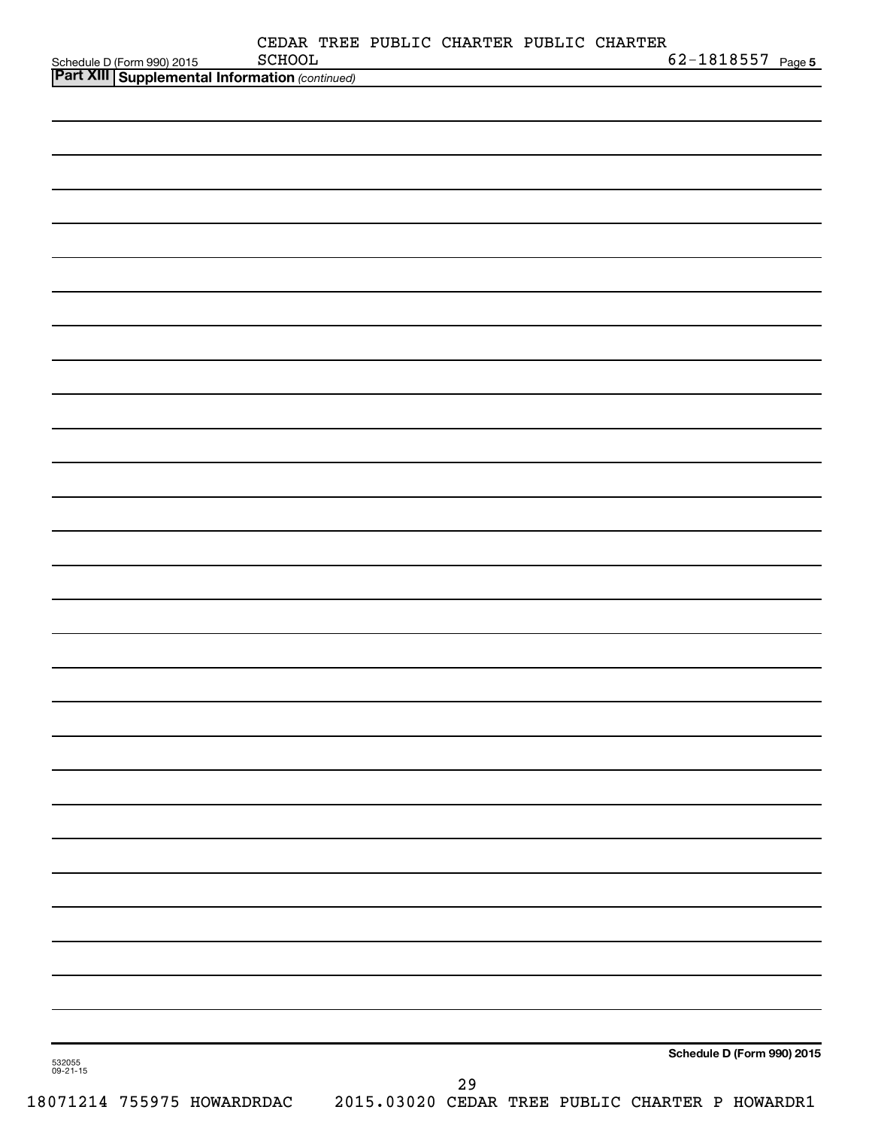| Schedule D (Form 990) 2015 SCHOOL<br><b>Part XIII   Supplemental Information</b> (continued) | CEDAR TREE PUBLIC CHARTER PUBLIC CHARTER<br>SCHOOL |    |  | $62 - 1818557$ Page 5      |  |
|----------------------------------------------------------------------------------------------|----------------------------------------------------|----|--|----------------------------|--|
|                                                                                              |                                                    |    |  |                            |  |
|                                                                                              |                                                    |    |  |                            |  |
|                                                                                              |                                                    |    |  |                            |  |
|                                                                                              |                                                    |    |  |                            |  |
|                                                                                              |                                                    |    |  |                            |  |
|                                                                                              |                                                    |    |  |                            |  |
|                                                                                              |                                                    |    |  |                            |  |
|                                                                                              |                                                    |    |  |                            |  |
|                                                                                              |                                                    |    |  |                            |  |
|                                                                                              |                                                    |    |  |                            |  |
|                                                                                              |                                                    |    |  |                            |  |
|                                                                                              |                                                    |    |  |                            |  |
|                                                                                              |                                                    |    |  |                            |  |
|                                                                                              |                                                    |    |  |                            |  |
|                                                                                              |                                                    |    |  |                            |  |
|                                                                                              |                                                    |    |  |                            |  |
|                                                                                              |                                                    |    |  |                            |  |
|                                                                                              |                                                    |    |  |                            |  |
|                                                                                              |                                                    |    |  |                            |  |
|                                                                                              |                                                    |    |  |                            |  |
|                                                                                              |                                                    |    |  |                            |  |
|                                                                                              |                                                    |    |  |                            |  |
|                                                                                              |                                                    |    |  |                            |  |
|                                                                                              |                                                    |    |  |                            |  |
|                                                                                              |                                                    |    |  |                            |  |
|                                                                                              |                                                    |    |  |                            |  |
|                                                                                              |                                                    |    |  |                            |  |
|                                                                                              |                                                    |    |  |                            |  |
|                                                                                              |                                                    |    |  |                            |  |
|                                                                                              |                                                    |    |  |                            |  |
|                                                                                              |                                                    |    |  |                            |  |
| 532055<br>09-21-15                                                                           |                                                    |    |  | Schedule D (Form 990) 2015 |  |
|                                                                                              |                                                    | 29 |  |                            |  |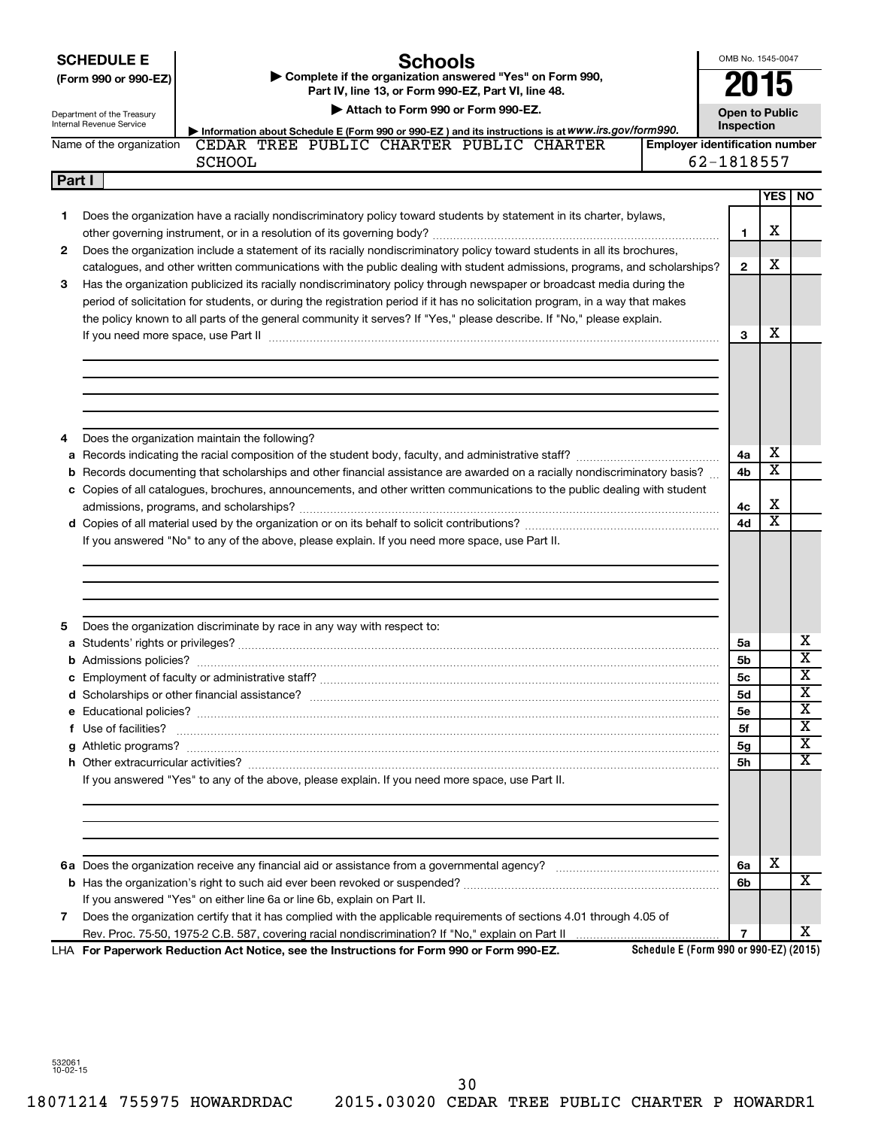|        | <b>SCHEDULE E</b><br><b>Schools</b><br>Complete if the organization answered "Yes" on Form 990,<br>(Form 990 or 990-EZ)<br>Part IV, line 13, or Form 990-EZ, Part VI, line 48.<br>Attach to Form 990 or Form 990-EZ.<br>Department of the Treasury<br>Internal Revenue Service                                                                                                      | OMB No. 1545-0047<br>015<br><b>Open to Public</b> |                         |                            |
|--------|-------------------------------------------------------------------------------------------------------------------------------------------------------------------------------------------------------------------------------------------------------------------------------------------------------------------------------------------------------------------------------------|---------------------------------------------------|-------------------------|----------------------------|
|        | Information about Schedule E (Form 990 or 990-EZ) and its instructions is at WWW.irs.gov/form990.<br>CEDAR TREE PUBLIC CHARTER PUBLIC CHARTER<br>Name of the organization<br><b>Employer identification number</b><br><b>SCHOOL</b>                                                                                                                                                 | Inspection<br>62-1818557                          |                         |                            |
| Part I |                                                                                                                                                                                                                                                                                                                                                                                     |                                                   |                         |                            |
|        |                                                                                                                                                                                                                                                                                                                                                                                     |                                                   | <b>YES</b>              | <b>NO</b>                  |
| 1      | Does the organization have a racially nondiscriminatory policy toward students by statement in its charter, bylaws,                                                                                                                                                                                                                                                                 | 1                                                 | х                       |                            |
| 2      | Does the organization include a statement of its racially nondiscriminatory policy toward students in all its brochures,                                                                                                                                                                                                                                                            |                                                   |                         |                            |
| 3      | catalogues, and other written communications with the public dealing with student admissions, programs, and scholarships?<br>Has the organization publicized its racially nondiscriminatory policy through newspaper or broadcast media during the<br>period of solicitation for students, or during the registration period if it has no solicitation program, in a way that makes | $\mathbf{2}$                                      | x                       |                            |
|        | the policy known to all parts of the general community it serves? If "Yes," please describe. If "No," please explain.                                                                                                                                                                                                                                                               |                                                   |                         |                            |
|        | If you need more space, use Part II manufactured and continuum contract to the Part II manufacture and the manufacture of the space with the manufacture of the space with the manufacture of the space of the manufacture of                                                                                                                                                       | з                                                 | х                       |                            |
| 4      | Does the organization maintain the following?                                                                                                                                                                                                                                                                                                                                       |                                                   |                         |                            |
| a      |                                                                                                                                                                                                                                                                                                                                                                                     | 4a                                                | х                       |                            |
| b      | Records documenting that scholarships and other financial assistance are awarded on a racially nondiscriminatory basis?                                                                                                                                                                                                                                                             | 4b                                                | х                       |                            |
|        | c Copies of all catalogues, brochures, announcements, and other written communications to the public dealing with student                                                                                                                                                                                                                                                           |                                                   |                         |                            |
|        |                                                                                                                                                                                                                                                                                                                                                                                     | 4c                                                | х                       |                            |
|        |                                                                                                                                                                                                                                                                                                                                                                                     | 4d                                                | $\overline{\textbf{x}}$ |                            |
|        | If you answered "No" to any of the above, please explain. If you need more space, use Part II.                                                                                                                                                                                                                                                                                      |                                                   |                         |                            |
| 5      | Does the organization discriminate by race in any way with respect to:                                                                                                                                                                                                                                                                                                              |                                                   |                         |                            |
|        |                                                                                                                                                                                                                                                                                                                                                                                     | 5a                                                |                         | x<br>$\overline{\text{x}}$ |
|        |                                                                                                                                                                                                                                                                                                                                                                                     | 5b                                                |                         | $\overline{\text{x}}$      |
|        |                                                                                                                                                                                                                                                                                                                                                                                     | 5c                                                |                         | $\overline{\textbf{x}}$    |
|        |                                                                                                                                                                                                                                                                                                                                                                                     | 5d                                                |                         | х                          |
|        |                                                                                                                                                                                                                                                                                                                                                                                     | <b>5e</b><br>5f                                   |                         | X                          |
|        | f Use of facilities? <b>www.communities.</b> We can be a series of the contract of the contract of the contract of the contract of the contract of the contract of the contract of the contract of the contract of the contract of                                                                                                                                                  |                                                   |                         | х                          |
|        |                                                                                                                                                                                                                                                                                                                                                                                     | 5g<br>5h                                          |                         | х                          |
|        | If you answered "Yes" to any of the above, please explain. If you need more space, use Part II.                                                                                                                                                                                                                                                                                     |                                                   |                         |                            |
|        |                                                                                                                                                                                                                                                                                                                                                                                     | 6a<br>6b                                          | x                       | x                          |
|        | If you answered "Yes" on either line 6a or line 6b, explain on Part II.                                                                                                                                                                                                                                                                                                             |                                                   |                         |                            |
| 7      | Does the organization certify that it has complied with the applicable requirements of sections 4.01 through 4.05 of                                                                                                                                                                                                                                                                |                                                   |                         |                            |
|        |                                                                                                                                                                                                                                                                                                                                                                                     | $\overline{7}$                                    |                         | x                          |
|        | Schedule E (Form 990 or 990-EZ) (2015)<br>LHA For Paperwork Reduction Act Notice, see the Instructions for Form 990 or Form 990-EZ.                                                                                                                                                                                                                                                 |                                                   |                         |                            |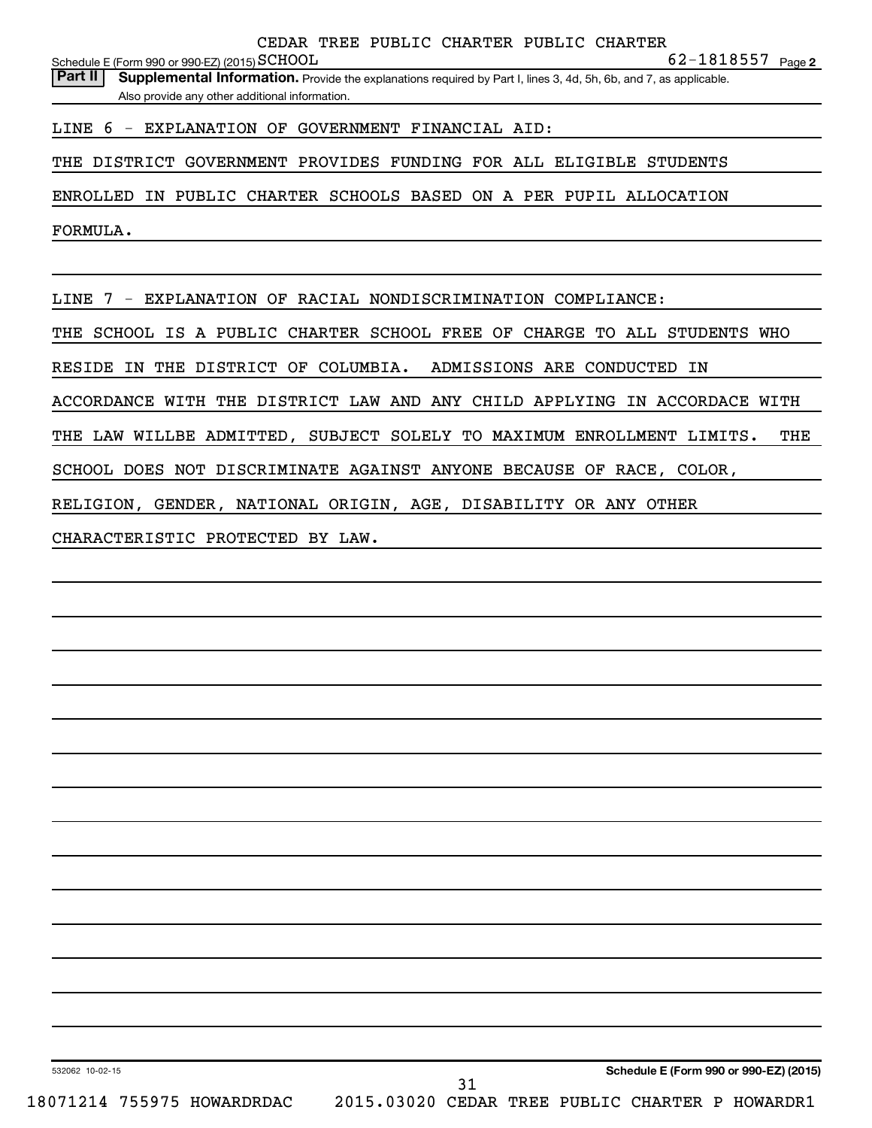**2** SCHOOL 62-1818557 Schedule E (Form 990 or 990-EZ) (2015)  $\operatorname{SCHOOL}$ 

LINE 6 - EXPLANATION OF GOVERNMENT FINANCIAL AID:

THE DISTRICT GOVERNMENT PROVIDES FUNDING FOR ALL ELIGIBLE STUDENTS

ENROLLED IN PUBLIC CHARTER SCHOOLS BASED ON A PER PUPIL ALLOCATION

FORMULA.

LINE 7 - EXPLANATION OF RACIAL NONDISCRIMINATION COMPLIANCE:

THE SCHOOL IS A PUBLIC CHARTER SCHOOL FREE OF CHARGE TO ALL STUDENTS WHO

RESIDE IN THE DISTRICT OF COLUMBIA. ADMISSIONS ARE CONDUCTED IN

ACCORDANCE WITH THE DISTRICT LAW AND ANY CHILD APPLYING IN ACCORDACE WITH

THE LAW WILLBE ADMITTED, SUBJECT SOLELY TO MAXIMUM ENROLLMENT LIMITS. THE

SCHOOL DOES NOT DISCRIMINATE AGAINST ANYONE BECAUSE OF RACE, COLOR,

RELIGION, GENDER, NATIONAL ORIGIN, AGE, DISABILITY OR ANY OTHER

CHARACTERISTIC PROTECTED BY LAW.

532062 10-02-15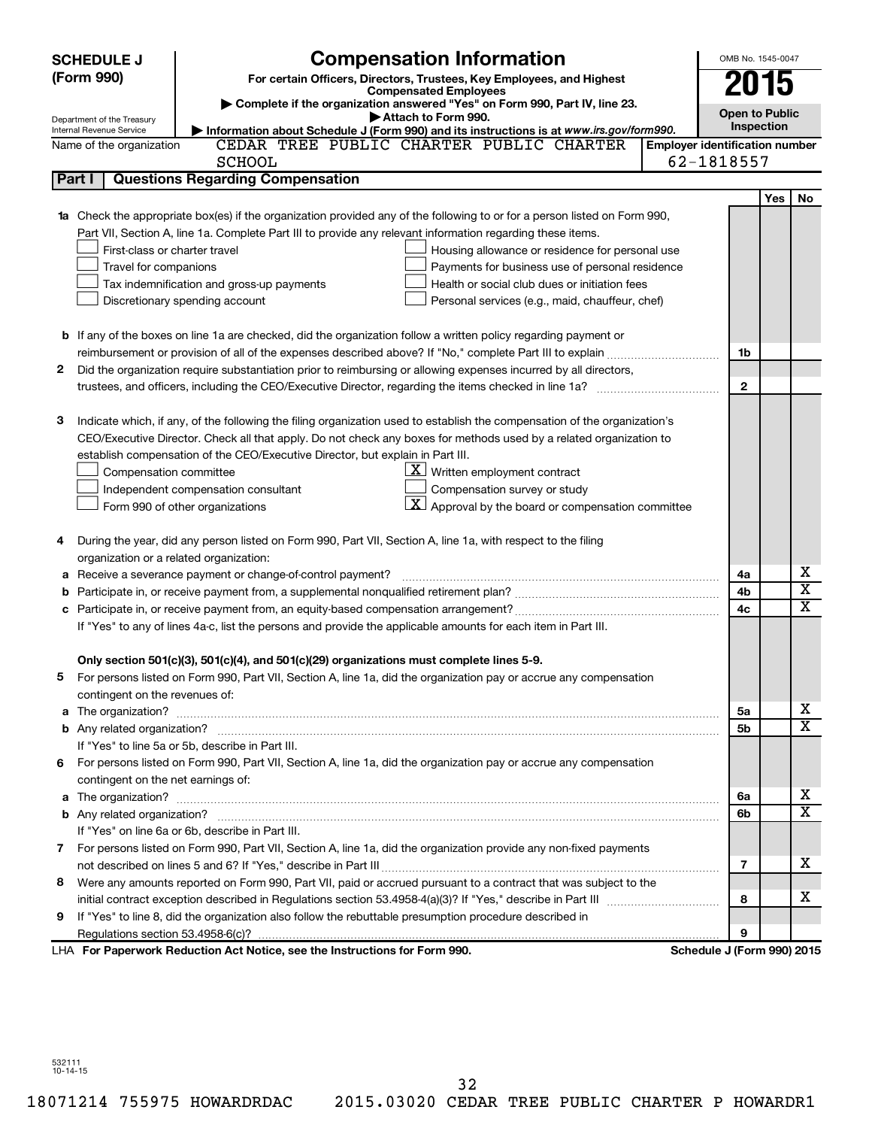| <b>SCHEDULE J</b>                                                                                             | <b>Compensation Information</b>                                                                                             |                                       | OMB No. 1545-0047          |                         |    |
|---------------------------------------------------------------------------------------------------------------|-----------------------------------------------------------------------------------------------------------------------------|---------------------------------------|----------------------------|-------------------------|----|
| (Form 990)                                                                                                    | For certain Officers, Directors, Trustees, Key Employees, and Highest                                                       |                                       | 2015                       |                         |    |
|                                                                                                               | <b>Compensated Employees</b>                                                                                                |                                       |                            |                         |    |
|                                                                                                               | Complete if the organization answered "Yes" on Form 990, Part IV, line 23.<br>Attach to Form 990.                           |                                       | <b>Open to Public</b>      |                         |    |
| Department of the Treasury<br>Internal Revenue Service                                                        | Information about Schedule J (Form 990) and its instructions is at www.irs.gov/form990.                                     |                                       | Inspection                 |                         |    |
| Name of the organization                                                                                      | CEDAR TREE PUBLIC CHARTER PUBLIC CHARTER                                                                                    | <b>Employer identification number</b> |                            |                         |    |
|                                                                                                               | <b>SCHOOL</b>                                                                                                               |                                       | 62-1818557                 |                         |    |
| Part I                                                                                                        | <b>Questions Regarding Compensation</b>                                                                                     |                                       |                            |                         |    |
|                                                                                                               |                                                                                                                             |                                       |                            | Yes                     | No |
| 1a                                                                                                            | Check the appropriate box(es) if the organization provided any of the following to or for a person listed on Form 990,      |                                       |                            |                         |    |
|                                                                                                               | Part VII, Section A, line 1a. Complete Part III to provide any relevant information regarding these items.                  |                                       |                            |                         |    |
|                                                                                                               | First-class or charter travel<br>Housing allowance or residence for personal use                                            |                                       |                            |                         |    |
| Travel for companions                                                                                         | Payments for business use of personal residence                                                                             |                                       |                            |                         |    |
|                                                                                                               | Health or social club dues or initiation fees<br>Tax indemnification and gross-up payments                                  |                                       |                            |                         |    |
|                                                                                                               | Discretionary spending account<br>Personal services (e.g., maid, chauffeur, chef)                                           |                                       |                            |                         |    |
|                                                                                                               |                                                                                                                             |                                       |                            |                         |    |
|                                                                                                               | <b>b</b> If any of the boxes on line 1a are checked, did the organization follow a written policy regarding payment or      |                                       |                            |                         |    |
|                                                                                                               |                                                                                                                             |                                       | 1b                         |                         |    |
| 2                                                                                                             | Did the organization require substantiation prior to reimbursing or allowing expenses incurred by all directors,            |                                       |                            |                         |    |
|                                                                                                               | trustees, and officers, including the CEO/Executive Director, regarding the items checked in line 1a?                       |                                       | $\mathbf{2}$               |                         |    |
|                                                                                                               |                                                                                                                             |                                       |                            |                         |    |
| з                                                                                                             | Indicate which, if any, of the following the filing organization used to establish the compensation of the organization's   |                                       |                            |                         |    |
|                                                                                                               | CEO/Executive Director. Check all that apply. Do not check any boxes for methods used by a related organization to          |                                       |                            |                         |    |
|                                                                                                               | establish compensation of the CEO/Executive Director, but explain in Part III.                                              |                                       |                            |                         |    |
| Compensation committee                                                                                        | $\underline{\mathbf{X}}$ Written employment contract                                                                        |                                       |                            |                         |    |
|                                                                                                               | Compensation survey or study<br>Independent compensation consultant                                                         |                                       |                            |                         |    |
|                                                                                                               | $\lfloor \underline{\textbf{X}} \rfloor$ Approval by the board or compensation committee<br>Form 990 of other organizations |                                       |                            |                         |    |
|                                                                                                               |                                                                                                                             |                                       |                            |                         |    |
| 4                                                                                                             | During the year, did any person listed on Form 990, Part VII, Section A, line 1a, with respect to the filing                |                                       |                            |                         |    |
|                                                                                                               | organization or a related organization:                                                                                     |                                       |                            |                         |    |
| Receive a severance payment or change-of-control payment?<br>а                                                |                                                                                                                             | 4a                                    |                            | х                       |    |
| b                                                                                                             |                                                                                                                             | 4b                                    |                            | $\overline{\textbf{x}}$ |    |
| c                                                                                                             |                                                                                                                             | 4c                                    |                            | $\overline{\textbf{x}}$ |    |
| If "Yes" to any of lines 4a-c, list the persons and provide the applicable amounts for each item in Part III. |                                                                                                                             |                                       |                            |                         |    |
|                                                                                                               |                                                                                                                             |                                       |                            |                         |    |
|                                                                                                               | Only section 501(c)(3), 501(c)(4), and 501(c)(29) organizations must complete lines 5-9.                                    |                                       |                            |                         |    |
|                                                                                                               | For persons listed on Form 990, Part VII, Section A, line 1a, did the organization pay or accrue any compensation           |                                       |                            |                         |    |
| contingent on the revenues of:                                                                                |                                                                                                                             |                                       |                            |                         |    |
|                                                                                                               |                                                                                                                             |                                       | 5а                         |                         | х  |
|                                                                                                               |                                                                                                                             |                                       | 5b                         |                         | х  |
|                                                                                                               | If "Yes" to line 5a or 5b, describe in Part III.                                                                            |                                       |                            |                         |    |
|                                                                                                               | 6 For persons listed on Form 990, Part VII, Section A, line 1a, did the organization pay or accrue any compensation         |                                       |                            |                         |    |
| contingent on the net earnings of:                                                                            |                                                                                                                             |                                       |                            |                         |    |
|                                                                                                               |                                                                                                                             |                                       | 6a                         |                         | х  |
|                                                                                                               |                                                                                                                             |                                       | 6b                         |                         | х  |
|                                                                                                               | If "Yes" on line 6a or 6b, describe in Part III.                                                                            |                                       |                            |                         |    |
|                                                                                                               | 7 For persons listed on Form 990, Part VII, Section A, line 1a, did the organization provide any non-fixed payments         |                                       |                            |                         |    |
|                                                                                                               |                                                                                                                             |                                       | 7                          |                         | х  |
| 8.                                                                                                            | Were any amounts reported on Form 990, Part VII, paid or accrued pursuant to a contract that was subject to the             |                                       |                            |                         |    |
|                                                                                                               |                                                                                                                             |                                       |                            |                         | х  |
| 9.                                                                                                            | If "Yes" to line 8, did the organization also follow the rebuttable presumption procedure described in                      |                                       |                            |                         |    |
|                                                                                                               |                                                                                                                             |                                       | 9                          |                         |    |
|                                                                                                               | LHA For Paperwork Reduction Act Notice, see the Instructions for Form 990.                                                  |                                       | Schedule J (Form 990) 2015 |                         |    |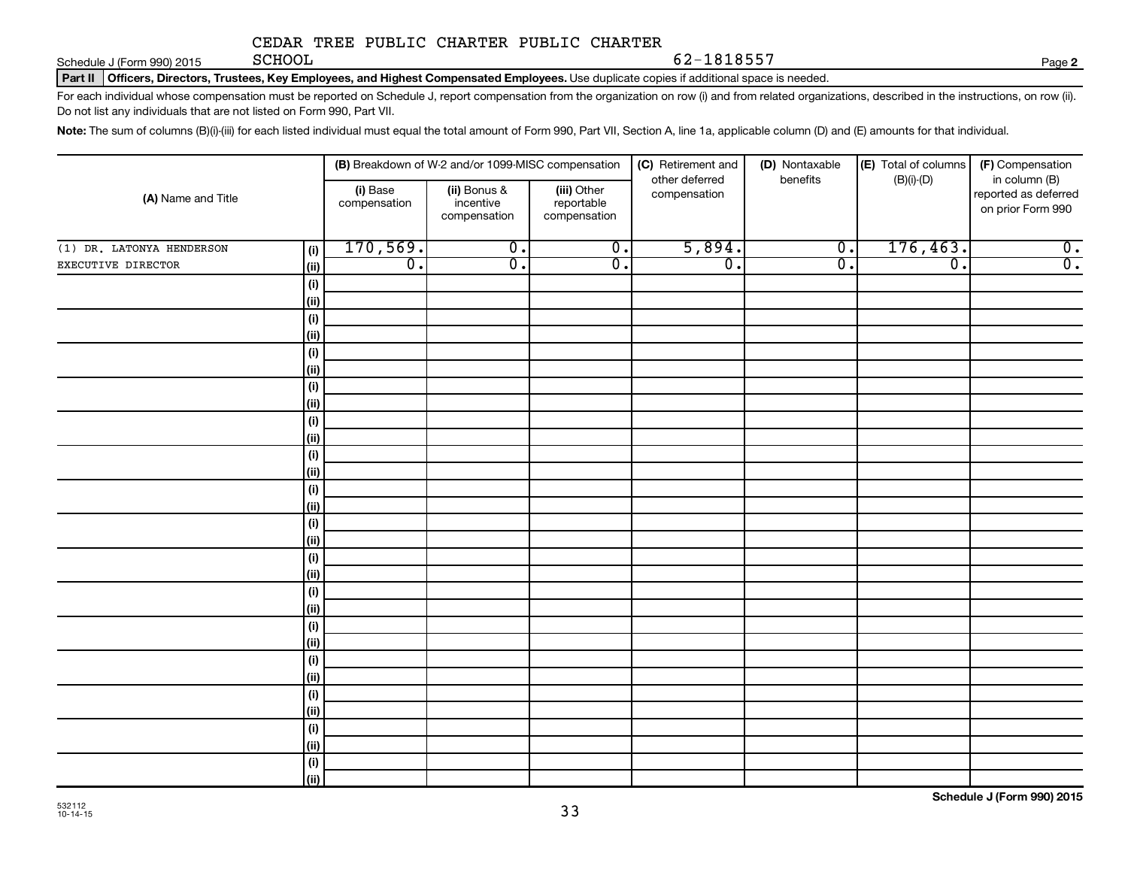Schedule J (Form 990) 2015 **Page SCHOOL** 

62-1818557

**2**

Part II | Officers, Directors, Trustees, Key Employees, and Highest Compensated Employees. Use duplicate copies if additional space is needed.

For each individual whose compensation must be reported on Schedule J, report compensation from the organization on row (i) and from related organizations, described in the instructions, on row (ii). Do not list any individuals that are not listed on Form 990, Part VII.

Note: The sum of columns (B)(i)-(iii) for each listed individual must equal the total amount of Form 990, Part VII, Section A, line 1a, applicable column (D) and (E) amounts for that individual.

|                                  | (B) Breakdown of W-2 and/or 1099-MISC compensation |                                           |                                           | (C) Retirement and             | (D) Nontaxable   | (E) Total of columns | (F) Compensation                                           |
|----------------------------------|----------------------------------------------------|-------------------------------------------|-------------------------------------------|--------------------------------|------------------|----------------------|------------------------------------------------------------|
| (A) Name and Title               | (i) Base<br>compensation                           | (ii) Bonus &<br>incentive<br>compensation | (iii) Other<br>reportable<br>compensation | other deferred<br>compensation | benefits         | $(B)(i)-(D)$         | in column (B)<br>reported as deferred<br>on prior Form 990 |
| (1) DR. LATONYA HENDERSON<br>(i) | 170, 569.                                          | $\overline{0}$ .                          | $\overline{0}$ .                          | 5,894.                         | $\overline{0}$ . | 176,463.             | $\overline{0}$ .                                           |
| EXECUTIVE DIRECTOR<br>(ii)       | $\overline{0}$ .                                   | σ.                                        | $\overline{0}$ .                          | $\overline{0}$ .               | $\overline{0}$ . | $\overline{0}$ .     | $\overline{0}$ .                                           |
| (i)                              |                                                    |                                           |                                           |                                |                  |                      |                                                            |
| (ii)                             |                                                    |                                           |                                           |                                |                  |                      |                                                            |
| (i)                              |                                                    |                                           |                                           |                                |                  |                      |                                                            |
| (ii)                             |                                                    |                                           |                                           |                                |                  |                      |                                                            |
| (i)                              |                                                    |                                           |                                           |                                |                  |                      |                                                            |
| (ii)                             |                                                    |                                           |                                           |                                |                  |                      |                                                            |
| (i)                              |                                                    |                                           |                                           |                                |                  |                      |                                                            |
| (ii)                             |                                                    |                                           |                                           |                                |                  |                      |                                                            |
| (i)                              |                                                    |                                           |                                           |                                |                  |                      |                                                            |
| (ii)                             |                                                    |                                           |                                           |                                |                  |                      |                                                            |
| (i)                              |                                                    |                                           |                                           |                                |                  |                      |                                                            |
| (ii)                             |                                                    |                                           |                                           |                                |                  |                      |                                                            |
| (i)                              |                                                    |                                           |                                           |                                |                  |                      |                                                            |
| (ii)                             |                                                    |                                           |                                           |                                |                  |                      |                                                            |
| (i)                              |                                                    |                                           |                                           |                                |                  |                      |                                                            |
| $\vert$ (ii)                     |                                                    |                                           |                                           |                                |                  |                      |                                                            |
| (i)                              |                                                    |                                           |                                           |                                |                  |                      |                                                            |
| $\vert$ (ii)                     |                                                    |                                           |                                           |                                |                  |                      |                                                            |
| (i)                              |                                                    |                                           |                                           |                                |                  |                      |                                                            |
| $\vert$ (ii)                     |                                                    |                                           |                                           |                                |                  |                      |                                                            |
| (i)                              |                                                    |                                           |                                           |                                |                  |                      |                                                            |
| $\vert$ (ii)<br>(i)              |                                                    |                                           |                                           |                                |                  |                      |                                                            |
| $\vert$ (ii)                     |                                                    |                                           |                                           |                                |                  |                      |                                                            |
| (i)                              |                                                    |                                           |                                           |                                |                  |                      |                                                            |
| $\vert$ (ii)                     |                                                    |                                           |                                           |                                |                  |                      |                                                            |
| (i)                              |                                                    |                                           |                                           |                                |                  |                      |                                                            |
| (ii)                             |                                                    |                                           |                                           |                                |                  |                      |                                                            |
| (i)                              |                                                    |                                           |                                           |                                |                  |                      |                                                            |
| (iii)                            |                                                    |                                           |                                           |                                |                  |                      |                                                            |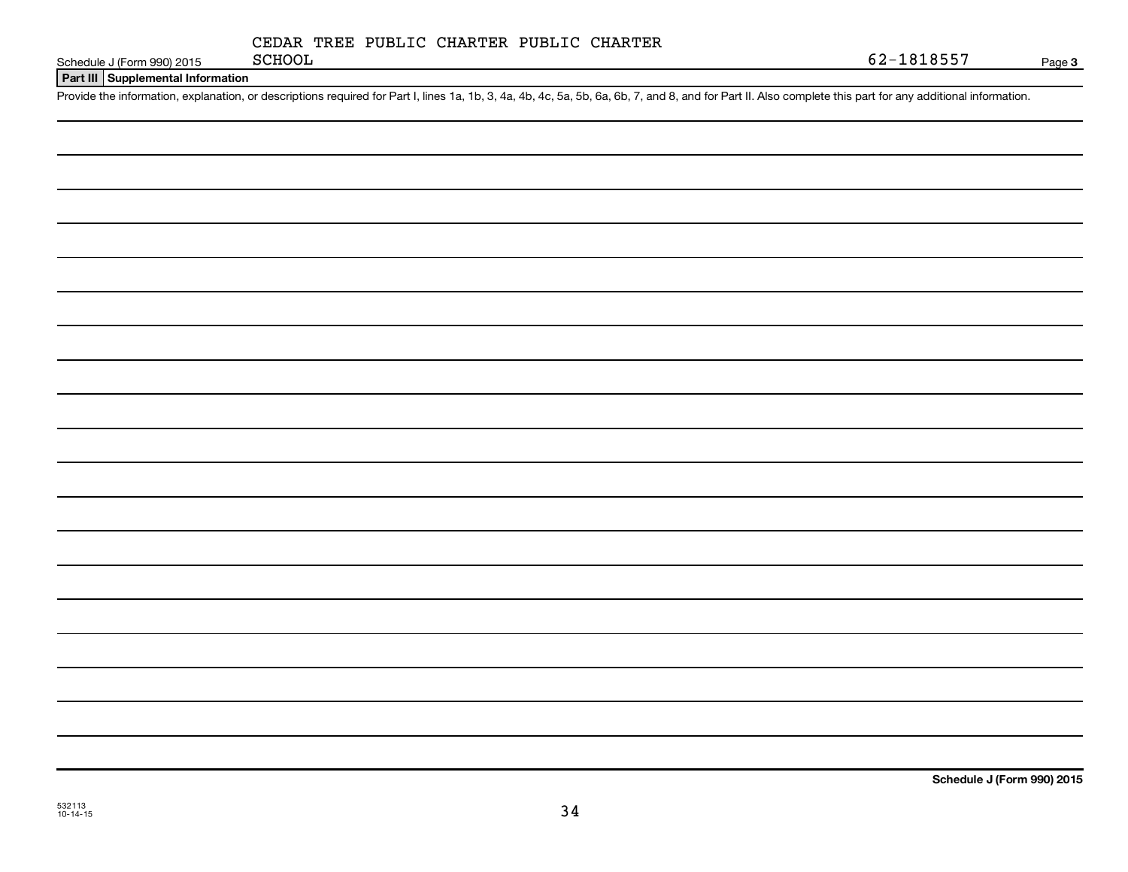|  | CEDAR TREE PUBLIC CHARTER PUBLIC CHARTER |  |
|--|------------------------------------------|--|
|  |                                          |  |

Schedule J (Form 990) 2015 SCHOOL

**Part III Supplemental Information**

Provide the information, explanation, or descriptions required for Part I, lines 1a, 1b, 3, 4a, 4b, 4c, 5a, 5b, 6a, 6b, 7, and 8, and for Part II. Also complete this part for any additional information.

532113 10-14-15

**Schedule J (Form 990) 2015**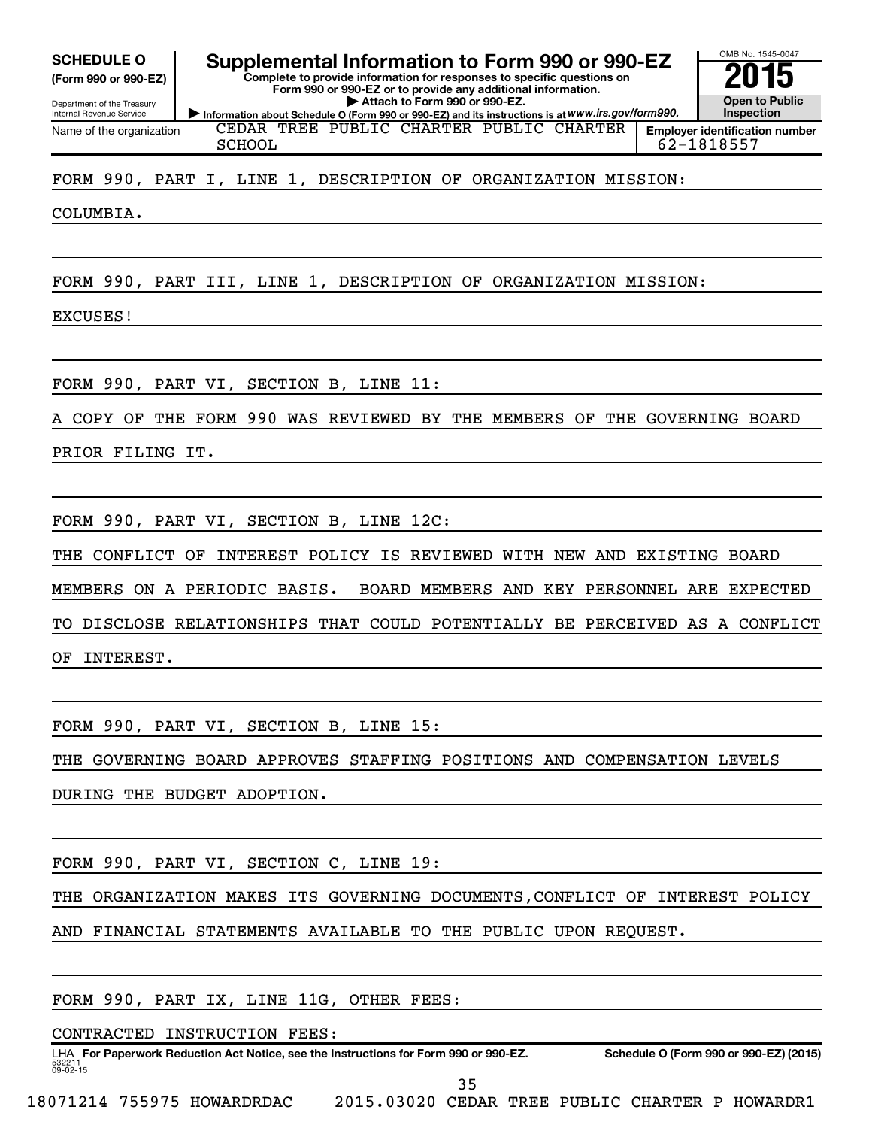**(Form 990 or 990-EZ)**

Department of the Treasury Internal Revenue Service Name of the organization

SCHEDULE O **Supplemental Information to Form 990 or 990-EZ** 2015<br>(Form 990 or 990-EZ) Complete to provide information for responses to specific questions on

**Information about Schedule O (Form 990 or 990-EZ) and its instructions is at WWW.irs.gov/form990. Complete to provide information for responses to specific questions on Form 990 or 990-EZ or to provide any additional information. | Attach to Form 990 or 990-EZ.**



CEDAR TREE PUBLIC CHARTER PUBLIC CHARTER SCHOOL 62-1818557

FORM 990, PART I, LINE 1, DESCRIPTION OF ORGANIZATION MISSION:

COLUMBIA.

FORM 990, PART III, LINE 1, DESCRIPTION OF ORGANIZATION MISSION:

EXCUSES!

FORM 990, PART VI, SECTION B, LINE 11:

COPY OF THE FORM 990 WAS REVIEWED BY THE MEMBERS OF THE GOVERNING BOARD

PRIOR FILING IT.

FORM 990, PART VI, SECTION B, LINE 12C:

THE CONFLICT OF INTEREST POLICY IS REVIEWED WITH NEW AND EXISTING BOARD

MEMBERS ON A PERIODIC BASIS. BOARD MEMBERS AND KEY PERSONNEL ARE EXPECTED

TO DISCLOSE RELATIONSHIPS THAT COULD POTENTIALLY BE PERCEIVED AS A CONFLICT

OF INTEREST.

FORM 990, PART VI, SECTION B, LINE 15:

THE GOVERNING BOARD APPROVES STAFFING POSITIONS AND COMPENSATION LEVELS

DURING THE BUDGET ADOPTION.

FORM 990, PART VI, SECTION C, LINE 19:

THE ORGANIZATION MAKES ITS GOVERNING DOCUMENTS,CONFLICT OF INTEREST POLICY

AND FINANCIAL STATEMENTS AVAILABLE TO THE PUBLIC UPON REQUEST.

FORM 990, PART IX, LINE 11G, OTHER FEES:

CONTRACTED INSTRUCTION FEES:

532211  $09 - 02 - 15$ LHA For Paperwork Reduction Act Notice, see the Instructions for Form 990 or 990-EZ. Schedule O (Form 990 or 990-EZ) (2015)